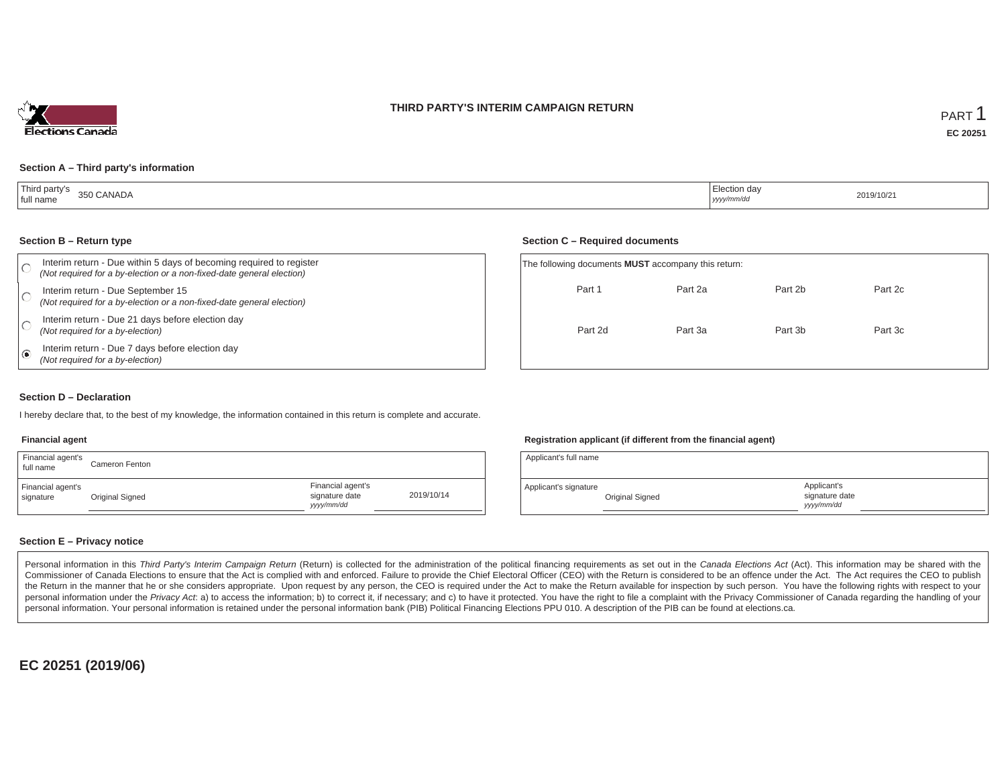



#### **Section A – Third party's information**

| Third party's<br>350 CANADA<br>full name | ∟lection day<br>  yyyy/mm/dd | 2019/10/21 |
|------------------------------------------|------------------------------|------------|
|------------------------------------------|------------------------------|------------|

#### **Section B – Return type**

|   | Interim return - Due within 5 days of becoming required to register<br>(Not required for a by-election or a non-fixed-date general election) | The following documents |         |
|---|----------------------------------------------------------------------------------------------------------------------------------------------|-------------------------|---------|
|   | Interim return - Due September 15<br>(Not required for a by-election or a non-fixed-date general election)                                   |                         | Part 1  |
|   | Interim return - Due 21 days before election day<br>(Not required for a by-election)                                                         |                         | Part 2d |
| ☞ | Interim return - Due 7 days before election day<br>(Not required for a by-election)                                                          |                         |         |

#### **Section C – Required documents**

| The following documents <b>MUST</b> accompany this return: |         |         |         |  |  |  |  |  |  |  |
|------------------------------------------------------------|---------|---------|---------|--|--|--|--|--|--|--|
| Part 1                                                     | Part 2a | Part 2b | Part 2c |  |  |  |  |  |  |  |
| Part 2d                                                    | Part 3a | Part 3b | Part 3c |  |  |  |  |  |  |  |
|                                                            |         |         |         |  |  |  |  |  |  |  |

#### **Section D – Declaration**

I hereby declare that, to the best of my knowledge, the information contained in this return is complete and accurate.

#### **Financial agent**

| Financial agent's<br>full name | Cameron Fenton  |                                                  |            |
|--------------------------------|-----------------|--------------------------------------------------|------------|
| Financial agent's<br>signature | Original Signed | Financial agent's<br>signature date<br>yyy/mm/dd | 2019/10/14 |

#### **Registration applicant (if different from the financial agent)**

| Applicant's full name |                 |                                            |  |
|-----------------------|-----------------|--------------------------------------------|--|
| Applicant's signature | Original Signed | Applicant's<br>signature date<br>vyy/mm/dd |  |

#### **Section E – Privacy notice**

Personal information in this Third Party's Interim Campaign Return (Return) is collected for the administration of the political financing requirements as set out in the Canada Elections Act (Act). This information may be Commissioner of Canada Elections to ensure that the Act is complied with and enforced. Failure to provide the Chief Electoral Officer (CEO) with the Return is considered to be an offence under the Act. The Act requires the the Return in the manner that he or she considers appropriate. Upon request by any person, the CEO is required under the Act to make the Return available for inspection by such person. You have the following rights with re personal information under the Privacy Act. a) to access the information; b) to correct it, if necessary; and c) to have it protected. You have the right to file a complaint with the Privacy Commissioner of Canada regardin personal information. Your personal information is retained under the personal information bank (PIB) Political Financing Elections PPU 010. A description of the PIB can be found at elections.ca.

**EC 20251 (2019/06)**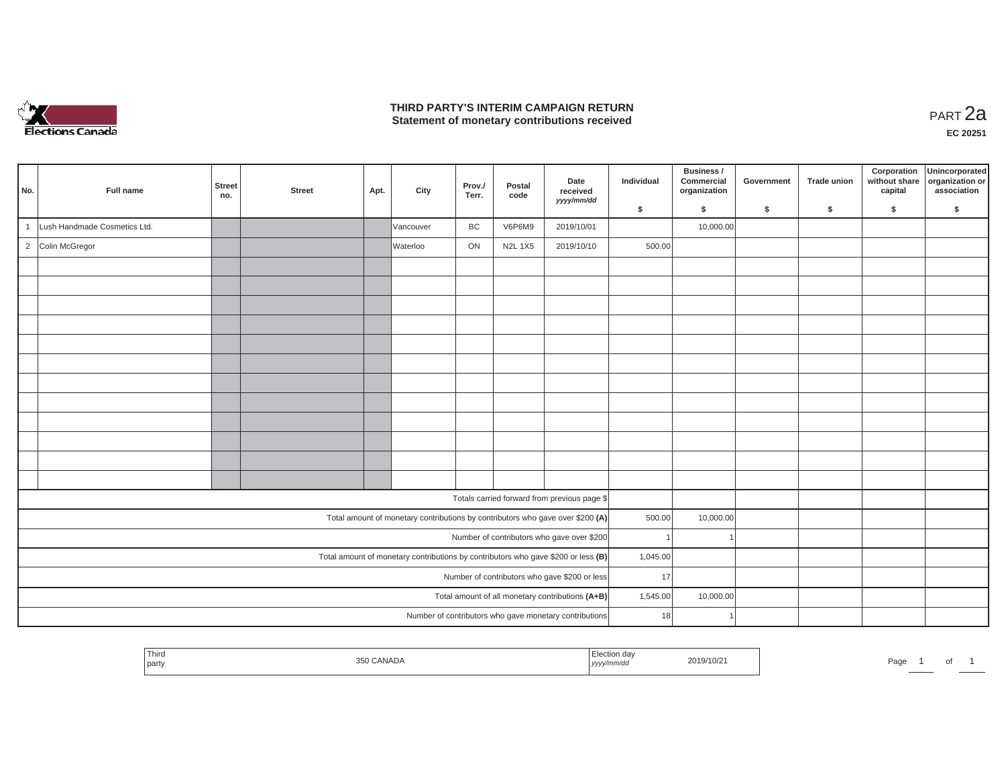

#### **THIRD PARTY'S INTERIM CAMPAIGN RETURN THIRD PARTY'S INTERIM CAMPAIGN RETURN<br>Statement of monetary contributions received PART 2a**

| No.          | Full name                    | <b>Street</b><br>no. | <b>Street</b> | Apt. | City      | Prov./<br>Terr. | Postal<br>code | Date<br>received<br>yyyy/mm/dd                                                      | Individual | Business /<br>Commercial<br>organization | Government | <b>Trade union</b> | Corporation<br>without share<br>capital | Unincorporated<br>organization or<br>association |
|--------------|------------------------------|----------------------|---------------|------|-----------|-----------------|----------------|-------------------------------------------------------------------------------------|------------|------------------------------------------|------------|--------------------|-----------------------------------------|--------------------------------------------------|
|              |                              |                      |               |      |           |                 |                |                                                                                     | \$         | \$                                       | \$         | \$                 | \$                                      | \$                                               |
| $\mathbf{1}$ | Lush Handmade Cosmetics Ltd. |                      |               |      | Vancouver | BC              | V6P6M9         | 2019/10/01                                                                          |            | 10,000.00                                |            |                    |                                         |                                                  |
|              | 2 Colin McGregor             |                      |               |      | Waterloo  | ON              | <b>N2L 1X5</b> | 2019/10/10                                                                          | 500.00     |                                          |            |                    |                                         |                                                  |
|              |                              |                      |               |      |           |                 |                |                                                                                     |            |                                          |            |                    |                                         |                                                  |
|              |                              |                      |               |      |           |                 |                |                                                                                     |            |                                          |            |                    |                                         |                                                  |
|              |                              |                      |               |      |           |                 |                |                                                                                     |            |                                          |            |                    |                                         |                                                  |
|              |                              |                      |               |      |           |                 |                |                                                                                     |            |                                          |            |                    |                                         |                                                  |
|              |                              |                      |               |      |           |                 |                |                                                                                     |            |                                          |            |                    |                                         |                                                  |
|              |                              |                      |               |      |           |                 |                |                                                                                     |            |                                          |            |                    |                                         |                                                  |
|              |                              |                      |               |      |           |                 |                |                                                                                     |            |                                          |            |                    |                                         |                                                  |
|              |                              |                      |               |      |           |                 |                |                                                                                     |            |                                          |            |                    |                                         |                                                  |
|              |                              |                      |               |      |           |                 |                |                                                                                     |            |                                          |            |                    |                                         |                                                  |
|              |                              |                      |               |      |           |                 |                |                                                                                     |            |                                          |            |                    |                                         |                                                  |
|              |                              |                      |               |      |           |                 |                |                                                                                     |            |                                          |            |                    |                                         |                                                  |
|              |                              |                      |               |      |           |                 |                |                                                                                     |            |                                          |            |                    |                                         |                                                  |
|              |                              |                      |               |      |           |                 |                | Totals carried forward from previous page \$                                        |            |                                          |            |                    |                                         |                                                  |
|              |                              |                      |               |      |           |                 |                | Total amount of monetary contributions by contributors who gave over \$200 (A)      | 500.00     | 10,000.00                                |            |                    |                                         |                                                  |
|              |                              |                      |               |      |           |                 |                | Number of contributors who gave over \$200                                          |            |                                          |            |                    |                                         |                                                  |
|              |                              |                      |               |      |           |                 |                | Total amount of monetary contributions by contributors who gave \$200 or less $(B)$ | 1,045.00   |                                          |            |                    |                                         |                                                  |
|              |                              |                      |               |      |           |                 |                | Number of contributors who gave \$200 or less                                       | 17         |                                          |            |                    |                                         |                                                  |
|              |                              |                      |               |      |           |                 |                | Total amount of all monetary contributions (A+B)                                    | 1,545.00   | 10,000.00                                |            |                    |                                         |                                                  |
|              |                              |                      |               |      |           |                 |                | Number of contributors who gave monetary contributions                              | 18         |                                          |            |                    |                                         |                                                  |
|              |                              |                      |               |      |           |                 |                |                                                                                     |            |                                          |            |                    |                                         |                                                  |

| <b>Contract Contract Contract</b><br>' I hira<br>ANADA<br>'019/10/<br>350 I<br>Page<br>I party<br>,,,,, | ັ |  |
|---------------------------------------------------------------------------------------------------------|---|--|
|---------------------------------------------------------------------------------------------------------|---|--|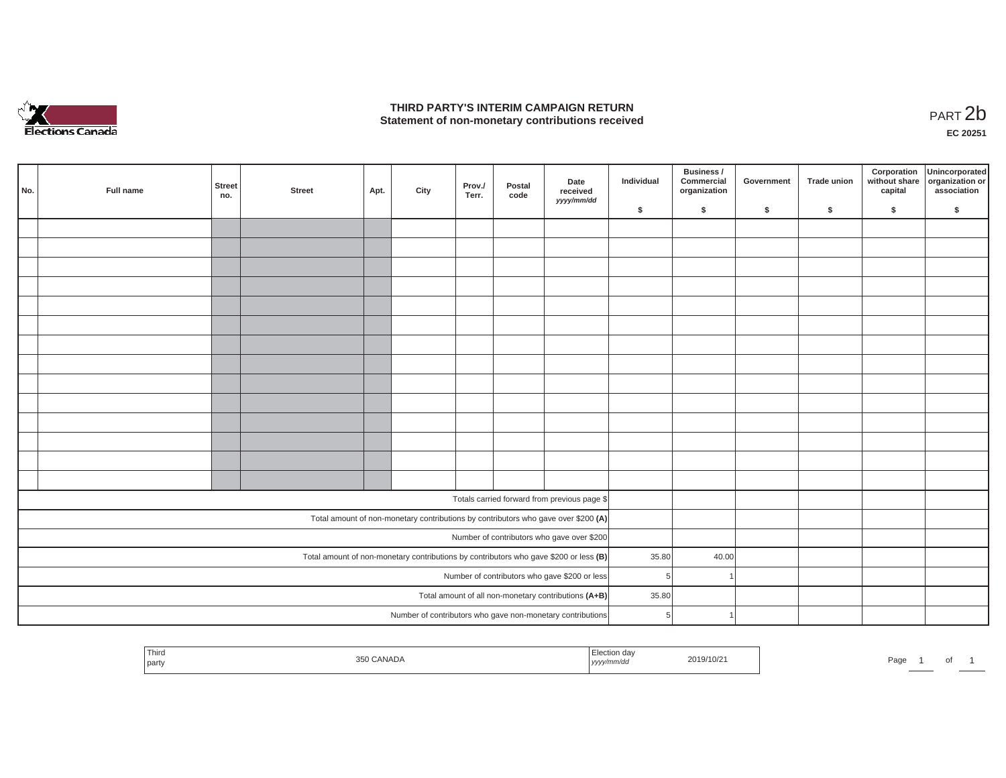

#### **THIRD PARTY'S INTERIM CAMPAIGN RETURN**  THIRD PARTY'S INTERIM CAMPAIGN RETURN<br>Statement of non-monetary contributions received<br>**PART 2**b

**EC 20251**

|     |           |                      |               |      |      |                 |                |                                                                                       |            | Business /                 |            |                    | Corporation              | Unincorporated                 |
|-----|-----------|----------------------|---------------|------|------|-----------------|----------------|---------------------------------------------------------------------------------------|------------|----------------------------|------------|--------------------|--------------------------|--------------------------------|
| No. | Full name | <b>Street</b><br>no. | <b>Street</b> | Apt. | City | Prov./<br>Terr. | Postal<br>code | Date<br>received<br>yyyy/mm/dd                                                        | Individual | Commercial<br>organization | Government | <b>Trade union</b> | without share<br>capital | organization or<br>association |
|     |           |                      |               |      |      |                 |                |                                                                                       | \$         | \$                         | \$         | \$                 | \$                       | \$                             |
|     |           |                      |               |      |      |                 |                |                                                                                       |            |                            |            |                    |                          |                                |
|     |           |                      |               |      |      |                 |                |                                                                                       |            |                            |            |                    |                          |                                |
|     |           |                      |               |      |      |                 |                |                                                                                       |            |                            |            |                    |                          |                                |
|     |           |                      |               |      |      |                 |                |                                                                                       |            |                            |            |                    |                          |                                |
|     |           |                      |               |      |      |                 |                |                                                                                       |            |                            |            |                    |                          |                                |
|     |           |                      |               |      |      |                 |                |                                                                                       |            |                            |            |                    |                          |                                |
|     |           |                      |               |      |      |                 |                |                                                                                       |            |                            |            |                    |                          |                                |
|     |           |                      |               |      |      |                 |                |                                                                                       |            |                            |            |                    |                          |                                |
|     |           |                      |               |      |      |                 |                |                                                                                       |            |                            |            |                    |                          |                                |
|     |           |                      |               |      |      |                 |                |                                                                                       |            |                            |            |                    |                          |                                |
|     |           |                      |               |      |      |                 |                |                                                                                       |            |                            |            |                    |                          |                                |
|     |           |                      |               |      |      |                 |                |                                                                                       |            |                            |            |                    |                          |                                |
|     |           |                      |               |      |      |                 |                |                                                                                       |            |                            |            |                    |                          |                                |
|     |           |                      |               |      |      |                 |                |                                                                                       |            |                            |            |                    |                          |                                |
|     |           |                      |               |      |      |                 |                | Totals carried forward from previous page \$                                          |            |                            |            |                    |                          |                                |
|     |           |                      |               |      |      |                 |                | Total amount of non-monetary contributions by contributors who gave over \$200 (A)    |            |                            |            |                    |                          |                                |
|     |           |                      |               |      |      |                 |                | Number of contributors who gave over \$200                                            |            |                            |            |                    |                          |                                |
|     |           |                      |               |      |      |                 |                |                                                                                       |            |                            |            |                    |                          |                                |
|     |           |                      |               |      |      |                 |                | Total amount of non-monetary contributions by contributors who gave \$200 or less (B) | 35.80      | 40.00                      |            |                    |                          |                                |
|     |           |                      |               |      |      |                 |                | Number of contributors who gave \$200 or less                                         | 5          |                            |            |                    |                          |                                |
|     |           |                      |               |      |      |                 |                | Total amount of all non-monetary contributions (A+B)                                  | 35.80      |                            |            |                    |                          |                                |
|     |           |                      |               |      |      |                 |                | Number of contributors who gave non-monetary contributions                            | 5          |                            |            |                    |                          |                                |

| Third<br>party | <b>CANADA</b><br>250. | ction day<br>נעצען | 2019/10/2 | Page | ັ |  |
|----------------|-----------------------|--------------------|-----------|------|---|--|
|                |                       |                    |           |      |   |  |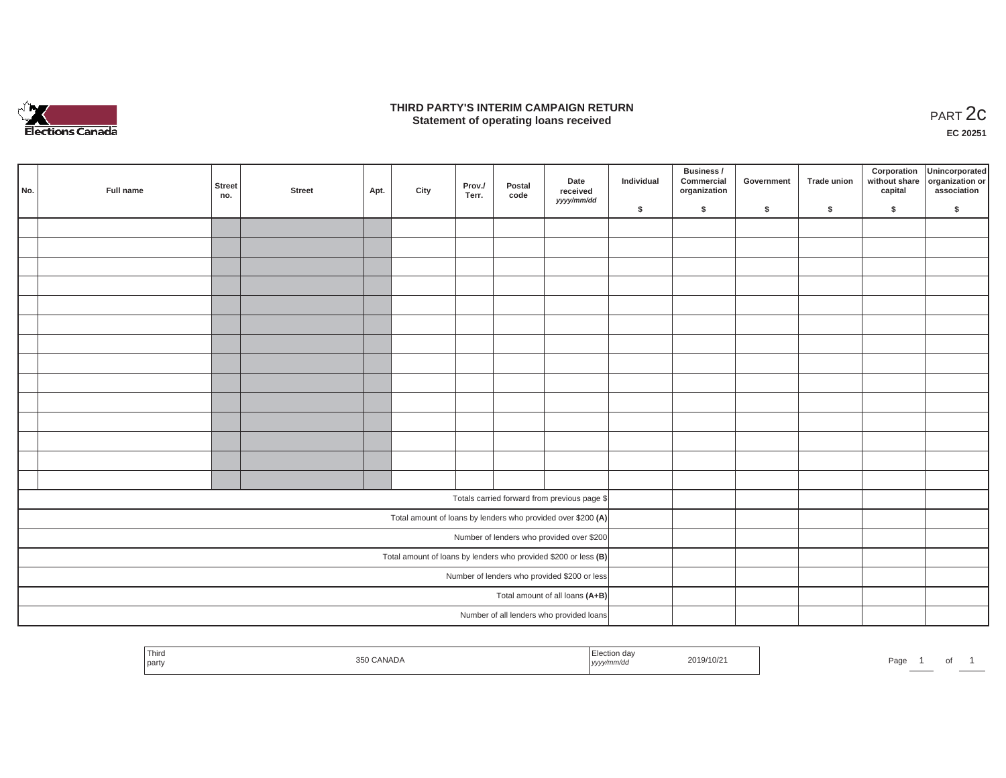

#### **THIRD PARTY'S INTERIM CAMPAIGN RETURN**  RD PARTY'S INTERIM CAMPAIGN RETURN<br>Statement of operating loans received **PART 2c**

**EC 20251**

| No. | Full name | <b>Street</b><br>no. | <b>Street</b> | Apt. | City | Prov./<br>Terr. | Postal<br>code | Date<br>received<br>yyyy/mm/dd                                    | Individual | Business /<br>Commercial<br>organization | Government | Trade union | Corporation<br>capital | Unincorporated<br>without share organization or<br>association |
|-----|-----------|----------------------|---------------|------|------|-----------------|----------------|-------------------------------------------------------------------|------------|------------------------------------------|------------|-------------|------------------------|----------------------------------------------------------------|
|     |           |                      |               |      |      |                 |                |                                                                   | \$         | $\sqrt{2}$                               | \$         | $\sqrt{2}$  | \$                     | \$                                                             |
|     |           |                      |               |      |      |                 |                |                                                                   |            |                                          |            |             |                        |                                                                |
|     |           |                      |               |      |      |                 |                |                                                                   |            |                                          |            |             |                        |                                                                |
|     |           |                      |               |      |      |                 |                |                                                                   |            |                                          |            |             |                        |                                                                |
|     |           |                      |               |      |      |                 |                |                                                                   |            |                                          |            |             |                        |                                                                |
|     |           |                      |               |      |      |                 |                |                                                                   |            |                                          |            |             |                        |                                                                |
|     |           |                      |               |      |      |                 |                |                                                                   |            |                                          |            |             |                        |                                                                |
|     |           |                      |               |      |      |                 |                |                                                                   |            |                                          |            |             |                        |                                                                |
|     |           |                      |               |      |      |                 |                |                                                                   |            |                                          |            |             |                        |                                                                |
|     |           |                      |               |      |      |                 |                |                                                                   |            |                                          |            |             |                        |                                                                |
|     |           |                      |               |      |      |                 |                |                                                                   |            |                                          |            |             |                        |                                                                |
|     |           |                      |               |      |      |                 |                |                                                                   |            |                                          |            |             |                        |                                                                |
|     |           |                      |               |      |      |                 |                |                                                                   |            |                                          |            |             |                        |                                                                |
|     |           |                      |               |      |      |                 |                |                                                                   |            |                                          |            |             |                        |                                                                |
|     |           |                      |               |      |      |                 |                |                                                                   |            |                                          |            |             |                        |                                                                |
|     |           |                      |               |      |      |                 |                | Totals carried forward from previous page \$                      |            |                                          |            |             |                        |                                                                |
|     |           |                      |               |      |      |                 |                | Total amount of loans by lenders who provided over \$200 (A)      |            |                                          |            |             |                        |                                                                |
|     |           |                      |               |      |      |                 |                | Number of lenders who provided over \$200                         |            |                                          |            |             |                        |                                                                |
|     |           |                      |               |      |      |                 |                | Total amount of loans by lenders who provided \$200 or less $(B)$ |            |                                          |            |             |                        |                                                                |
|     |           |                      |               |      |      |                 |                | Number of lenders who provided \$200 or less                      |            |                                          |            |             |                        |                                                                |
|     |           |                      |               |      |      |                 |                | Total amount of all loans (A+B)                                   |            |                                          |            |             |                        |                                                                |
|     |           |                      |               |      |      |                 |                | Number of all lenders who provided loans                          |            |                                          |            |             |                        |                                                                |

| Election day<br>Third<br>2019/10/21<br>CANADA<br>350<br>Page<br>  yyyy/mm/dd<br>party |  |
|---------------------------------------------------------------------------------------|--|
|---------------------------------------------------------------------------------------|--|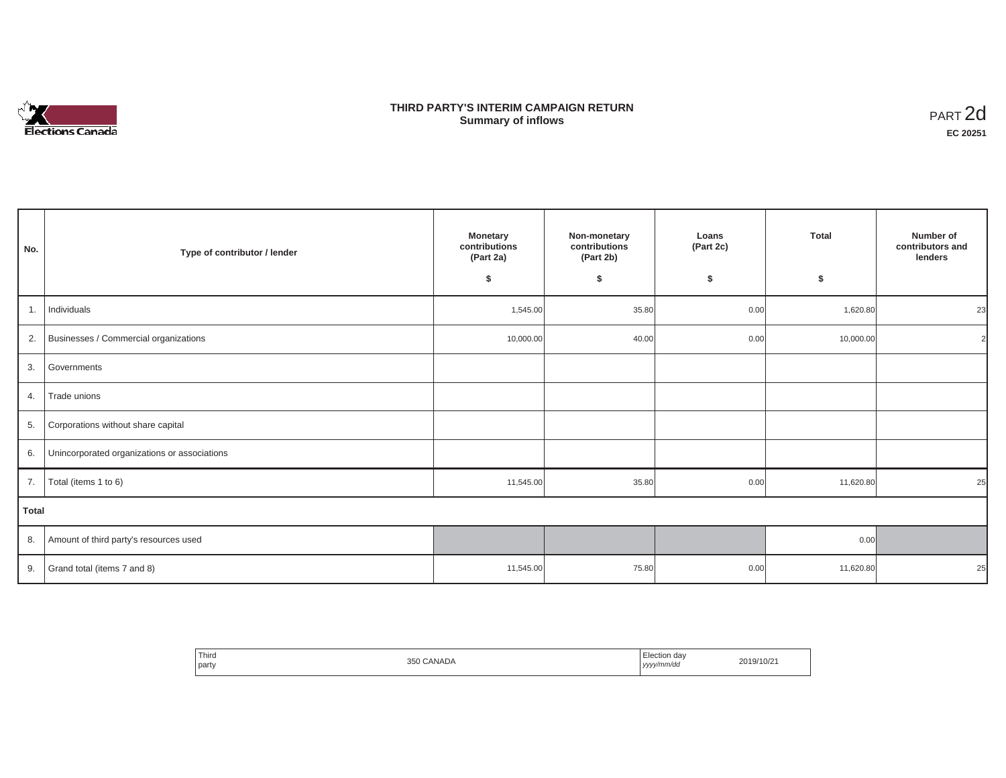

# **THIRD PARTY'S INTERIM CAMPAIGN RETURN SUMMARY STATE SUMMARY OF A SUMMARY OF A SUMMARY OF A SUMMARY OF A SUMMARY OF A SUMMARY OF A SUMMARY OF A SUMMA**<br> **Summary of inflows**

| No.          | Type of contributor / lender                 | <b>Monetary</b><br>contributions<br>(Part 2a)<br>\$ | Non-monetary<br>contributions<br>(Part 2b)<br>\$ | Loans<br>(Part 2c)<br>\$ | <b>Total</b><br>\$ | Number of<br>contributors and<br>lenders |  |  |  |
|--------------|----------------------------------------------|-----------------------------------------------------|--------------------------------------------------|--------------------------|--------------------|------------------------------------------|--|--|--|
| 1.           | Individuals                                  | 1,545.00                                            | 35.80                                            | 0.00                     | 1,620.80           | 23                                       |  |  |  |
|              | 2. Businesses / Commercial organizations     | 10,000.00                                           | 40.00                                            | 0.00                     | 10,000.00          |                                          |  |  |  |
| 3.           | Governments                                  |                                                     |                                                  |                          |                    |                                          |  |  |  |
| 4.           | Trade unions                                 |                                                     |                                                  |                          |                    |                                          |  |  |  |
|              | 5. Corporations without share capital        |                                                     |                                                  |                          |                    |                                          |  |  |  |
| 6.           | Unincorporated organizations or associations |                                                     |                                                  |                          |                    |                                          |  |  |  |
| 7.           | Total (items 1 to 6)                         | 11,545.00                                           | 35.80                                            | 0.00                     | 11,620.80          | 25                                       |  |  |  |
| <b>Total</b> |                                              |                                                     |                                                  |                          |                    |                                          |  |  |  |
|              | 8. Amount of third party's resources used    |                                                     |                                                  |                          | 0.00               |                                          |  |  |  |
| 9.           | Grand total (items 7 and 8)                  | 11,545.00                                           | 75.80                                            | 0.00                     | 11,620.80          | 25                                       |  |  |  |

| Third |        | Election day | 2019/10/21 |
|-------|--------|--------------|------------|
| party | CANADA |              |            |
|       | 350    | yyyy/mm/dd   |            |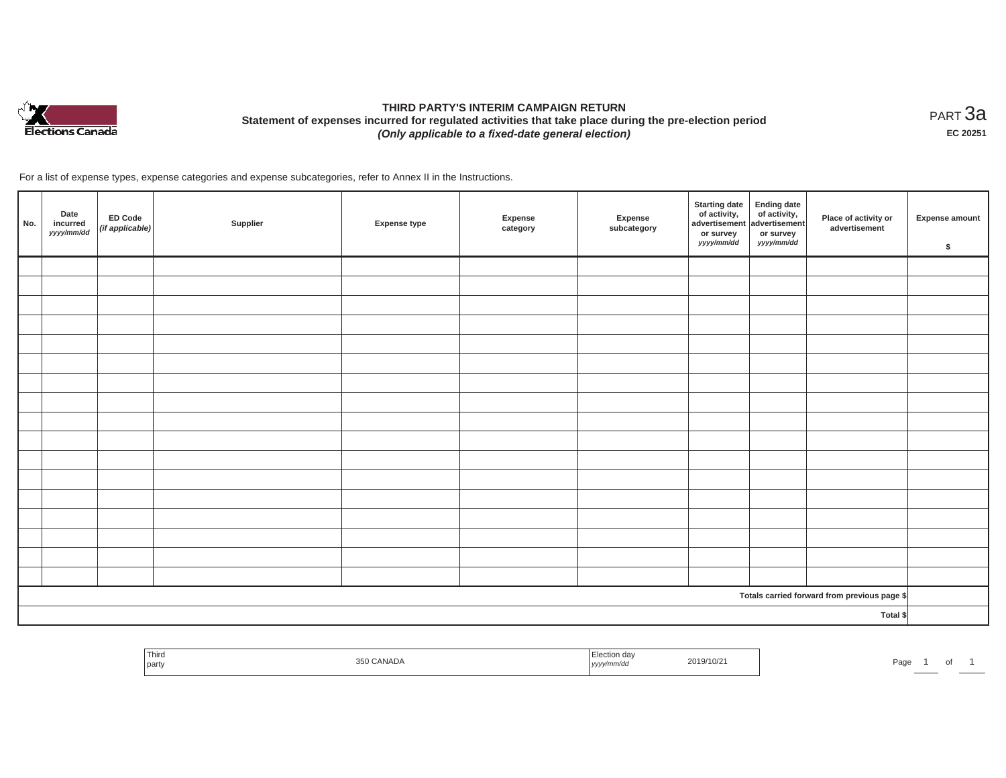

# **THIRD PARTY'S INTERIM CAMPAIGN RETURN Statement of expenses incurred for regulated activities that take place during the pre-election period**  *(Only applicable to a fixed-date general election)*

<code>PART $3$ a</code> **EC 20251**

| No. | Date<br>incurred<br>yyyy/mm/dd | ED Code<br>(if applicable) | Supplier | <b>Expense type</b> | Expense<br>category | Expense<br>subcategory | <b>Starting date</b><br>of activity, of activity,<br>advertisement advertisement<br>or survey<br>yyyy/mm/dd | <b>Ending date</b><br>or survey<br>yyyy/mm/dd | Place of activity or<br>advertisement        | <b>Expense amount</b><br>\$ |
|-----|--------------------------------|----------------------------|----------|---------------------|---------------------|------------------------|-------------------------------------------------------------------------------------------------------------|-----------------------------------------------|----------------------------------------------|-----------------------------|
|     |                                |                            |          |                     |                     |                        |                                                                                                             |                                               |                                              |                             |
|     |                                |                            |          |                     |                     |                        |                                                                                                             |                                               |                                              |                             |
|     |                                |                            |          |                     |                     |                        |                                                                                                             |                                               |                                              |                             |
|     |                                |                            |          |                     |                     |                        |                                                                                                             |                                               |                                              |                             |
|     |                                |                            |          |                     |                     |                        |                                                                                                             |                                               |                                              |                             |
|     |                                |                            |          |                     |                     |                        |                                                                                                             |                                               |                                              |                             |
|     |                                |                            |          |                     |                     |                        |                                                                                                             |                                               |                                              |                             |
|     |                                |                            |          |                     |                     |                        |                                                                                                             |                                               |                                              |                             |
|     |                                |                            |          |                     |                     |                        |                                                                                                             |                                               |                                              |                             |
|     |                                |                            |          |                     |                     |                        |                                                                                                             |                                               |                                              |                             |
|     |                                |                            |          |                     |                     |                        |                                                                                                             |                                               |                                              |                             |
|     |                                |                            |          |                     |                     |                        |                                                                                                             |                                               |                                              |                             |
|     |                                |                            |          |                     |                     |                        |                                                                                                             |                                               |                                              |                             |
|     |                                |                            |          |                     |                     |                        |                                                                                                             |                                               |                                              |                             |
|     |                                |                            |          |                     |                     |                        |                                                                                                             |                                               |                                              |                             |
|     |                                |                            |          |                     |                     |                        |                                                                                                             |                                               |                                              |                             |
|     |                                |                            |          |                     |                     |                        |                                                                                                             |                                               |                                              |                             |
|     |                                |                            |          |                     |                     |                        |                                                                                                             |                                               | Totals carried forward from previous page \$ |                             |
|     |                                |                            |          |                     |                     |                        |                                                                                                             |                                               | Total \$                                     |                             |

| <sup>1</sup> Thiro<br>part | . CANADA<br>ミトロ | ----<br>ل∪tion dav<br>$-10$<br>  yyyy<br>,,,,,, | 2019/10/21 | Page |  |
|----------------------------|-----------------|-------------------------------------------------|------------|------|--|
|                            |                 |                                                 |            |      |  |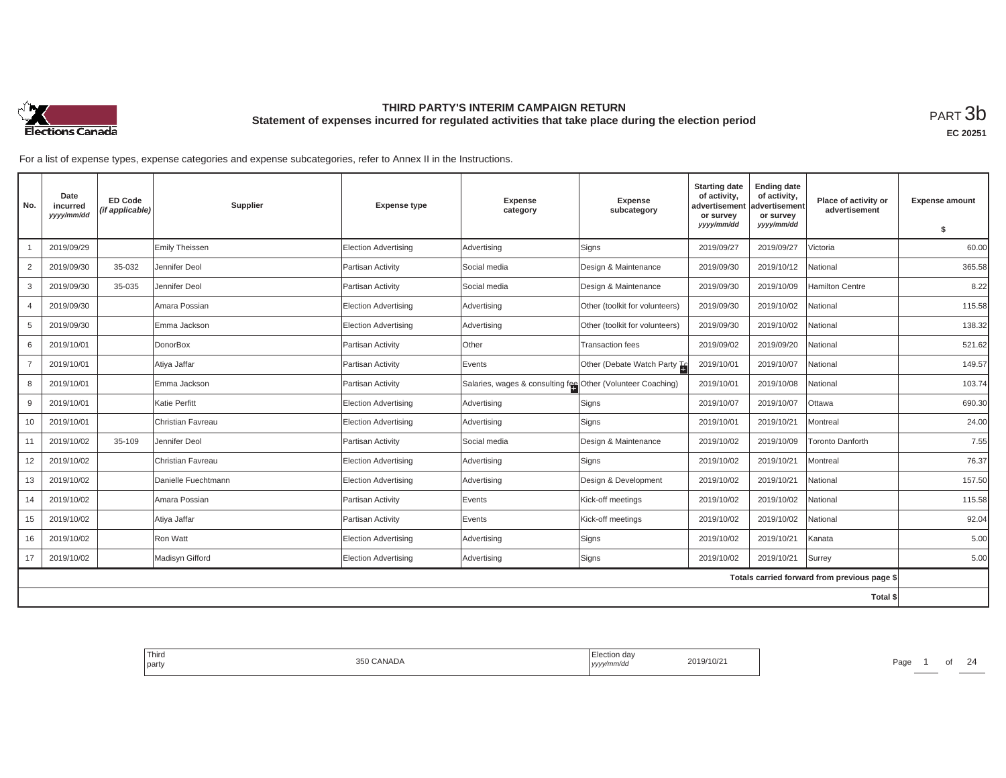

**EC 20251**

| No.            | Date<br>incurred<br>yyyy/mm/dd | <b>ED Code</b><br>(if applicable) | Supplier            | <b>Expense type</b>         | Expense<br>category                                         | <b>Expense</b><br>subcategory  | <b>Starting date</b><br>of activity,<br>advertisement<br>or survey | <b>Ending date</b><br>of activity,<br>advertisement<br>or survey | Place of activity or<br>advertisement        | <b>Expense amount</b> |
|----------------|--------------------------------|-----------------------------------|---------------------|-----------------------------|-------------------------------------------------------------|--------------------------------|--------------------------------------------------------------------|------------------------------------------------------------------|----------------------------------------------|-----------------------|
|                |                                |                                   |                     |                             |                                                             |                                | yyyy/mm/dd                                                         | yyyy/mm/dd                                                       |                                              | \$                    |
|                | 2019/09/29                     |                                   | Emily Theissen      | Election Advertising        | Advertising                                                 | Signs                          | 2019/09/27                                                         | 2019/09/27                                                       | Victoria                                     | 60.00                 |
| 2              | 2019/09/30                     | 35-032                            | Jennifer Deol       | Partisan Activity           | Social media                                                | Design & Maintenance           | 2019/09/30                                                         | 2019/10/12                                                       | National                                     | 365.58                |
| 3              | 2019/09/30                     | 35-035                            | Jennifer Deol       | Partisan Activity           | Social media                                                | Design & Maintenance           | 2019/09/30                                                         | 2019/10/09                                                       | Hamilton Centre                              | 8.22                  |
| $\overline{4}$ | 2019/09/30                     |                                   | Amara Possian       | Election Advertising        | Advertising                                                 | Other (toolkit for volunteers) | 2019/09/30                                                         | 2019/10/02                                                       | National                                     | 115.58                |
| 5              | 2019/09/30                     |                                   | Emma Jackson        | Election Advertising        | Advertising                                                 | Other (toolkit for volunteers) | 2019/09/30                                                         | 2019/10/02                                                       | National                                     | 138.32                |
| 6              | 2019/10/01                     |                                   | DonorBox            | Partisan Activity           | Other                                                       | <b>Transaction fees</b>        | 2019/09/02                                                         | 2019/09/20                                                       | National                                     | 521.62                |
| $\overline{7}$ | 2019/10/01                     |                                   | Atiya Jaffar        | Partisan Activity           | Events                                                      | Other (Debate Watch Party To   | 2019/10/01                                                         | 2019/10/07                                                       | National                                     | 149.57                |
| 8              | 2019/10/01                     |                                   | Emma Jackson        | Partisan Activity           | Salaries, wages & consulting fee Other (Volunteer Coaching) |                                | 2019/10/01                                                         | 2019/10/08                                                       | National                                     | 103.74                |
| 9              | 2019/10/01                     |                                   | Katie Perfitt       | Election Advertising        | Advertising                                                 | Signs                          | 2019/10/07                                                         | 2019/10/07                                                       | Ottawa                                       | 690.30                |
| 10             | 2019/10/01                     |                                   | Christian Favreau   | <b>Election Advertising</b> | Advertising                                                 | Signs                          | 2019/10/01                                                         | 2019/10/21                                                       | Montreal                                     | 24.00                 |
| 11             | 2019/10/02                     | 35-109                            | Jennifer Deol       | Partisan Activity           | Social media                                                | Design & Maintenance           | 2019/10/02                                                         | 2019/10/09                                                       | Toronto Danforth                             | 7.55                  |
| 12             | 2019/10/02                     |                                   | Christian Favreau   | Election Advertising        | Advertising                                                 | Signs                          | 2019/10/02                                                         | 2019/10/21                                                       | Montreal                                     | 76.37                 |
| 13             | 2019/10/02                     |                                   | Danielle Fuechtmann | Election Advertising        | Advertising                                                 | Design & Development           | 2019/10/02                                                         | 2019/10/21                                                       | National                                     | 157.50                |
| 14             | 2019/10/02                     |                                   | Amara Possian       | Partisan Activity           | Events                                                      | Kick-off meetings              | 2019/10/02                                                         | 2019/10/02                                                       | National                                     | 115.58                |
| 15             | 2019/10/02                     |                                   | Atiya Jaffar        | Partisan Activity           | Events                                                      | Kick-off meetings              | 2019/10/02                                                         | 2019/10/02                                                       | National                                     | 92.04                 |
| 16             | 2019/10/02                     |                                   | Ron Watt            | Election Advertising        | Advertising                                                 | Signs                          | 2019/10/02                                                         | 2019/10/21                                                       | Kanata                                       | 5.00                  |
| 17             | 2019/10/02                     |                                   | Madisyn Gifford     | <b>Election Advertising</b> | Advertising                                                 | Signs                          | 2019/10/02                                                         | 2019/10/21                                                       | Surrey                                       | 5.00                  |
|                |                                |                                   |                     |                             |                                                             |                                |                                                                    |                                                                  | Totals carried forward from previous page \$ |                       |
| Total \$       |                                |                                   |                     |                             |                                                             |                                |                                                                    |                                                                  |                                              |                       |

| l Third<br>party | CANADA | $\cdot$ $ \cdot$<br>Election day<br>$-10$<br>.<br>, yyyy/mm/aa | 2019/10/2 | Page |  | $\sim$ |
|------------------|--------|----------------------------------------------------------------|-----------|------|--|--------|
|                  |        |                                                                |           |      |  |        |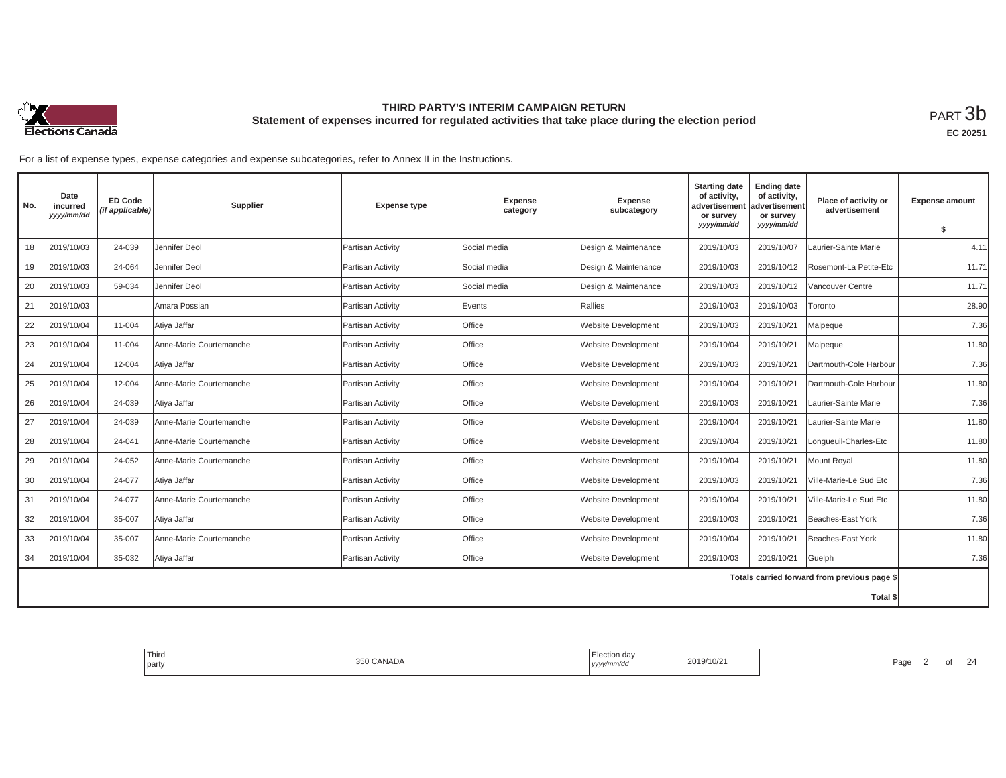

**EC 20251**

| No. | Date<br>incurred<br>yyyy/mm/dd | <b>ED Code</b><br>(if applicable) | <b>Supplier</b>         | <b>Expense type</b> | <b>Expense</b><br>category | <b>Expense</b><br>subcategory | <b>Starting date</b><br>of activity,<br>advertisement<br>or survey | <b>Ending date</b><br>of activity,<br>advertisement<br>or survey | Place of activity or<br>advertisement        | <b>Expense amount</b> |
|-----|--------------------------------|-----------------------------------|-------------------------|---------------------|----------------------------|-------------------------------|--------------------------------------------------------------------|------------------------------------------------------------------|----------------------------------------------|-----------------------|
|     |                                |                                   |                         |                     |                            |                               | yyyy/mm/dd                                                         | yyyy/mm/dd                                                       |                                              | S.                    |
| 18  | 2019/10/03                     | 24-039                            | Jennifer Deol           | Partisan Activity   | Social media               | Design & Maintenance          | 2019/10/03                                                         | 2019/10/07                                                       | Laurier-Sainte Marie                         | 4.11                  |
| 19  | 2019/10/03                     | 24-064                            | Jennifer Deol           | Partisan Activity   | Social media               | Design & Maintenance          | 2019/10/03                                                         | 2019/10/12                                                       | Rosemont-La Petite-Etc                       | 11.71                 |
| 20  | 2019/10/03                     | 59-034                            | Jennifer Deol           | Partisan Activity   | Social media               | Design & Maintenance          | 2019/10/03                                                         | 2019/10/12                                                       | Vancouver Centre                             | 11.71                 |
| 21  | 2019/10/03                     |                                   | Amara Possian           | Partisan Activity   | Events                     | Rallies                       | 2019/10/03                                                         | 2019/10/03                                                       | Toronto                                      | 28.90                 |
| 22  | 2019/10/04                     | 11-004                            | Atiya Jaffar            | Partisan Activity   | Office                     | <b>Website Development</b>    | 2019/10/03                                                         | 2019/10/21                                                       | Malpeque                                     | 7.36                  |
| 23  | 2019/10/04                     | 11-004                            | Anne-Marie Courtemanche | Partisan Activity   | Office                     | <b>Website Development</b>    | 2019/10/04                                                         | 2019/10/21                                                       | Malpeque                                     | 11.80                 |
| 24  | 2019/10/04                     | 12-004                            | Atiya Jaffar            | Partisan Activity   | Office                     | Website Development           | 2019/10/03                                                         | 2019/10/21                                                       | Dartmouth-Cole Harbour                       | 7.36                  |
| 25  | 2019/10/04                     | 12-004                            | Anne-Marie Courtemanche | Partisan Activity   | Office                     | <b>Website Development</b>    | 2019/10/04                                                         | 2019/10/21                                                       | Dartmouth-Cole Harbour                       | 11.80                 |
| 26  | 2019/10/04                     | 24-039                            | Atiya Jaffar            | Partisan Activity   | Office                     | Website Development           | 2019/10/03                                                         | 2019/10/21                                                       | Laurier-Sainte Marie                         | 7.36                  |
| 27  | 2019/10/04                     | 24-039                            | Anne-Marie Courtemanche | Partisan Activity   | Office                     | Website Development           | 2019/10/04                                                         | 2019/10/21                                                       | Laurier-Sainte Marie                         | 11.80                 |
| 28  | 2019/10/04                     | 24-041                            | Anne-Marie Courtemanche | Partisan Activity   | Office                     | <b>Website Development</b>    | 2019/10/04                                                         | 2019/10/21                                                       | Lonqueuil-Charles-Etc                        | 11.80                 |
| 29  | 2019/10/04                     | 24-052                            | Anne-Marie Courtemanche | Partisan Activity   | Office                     | <b>Website Development</b>    | 2019/10/04                                                         | 2019/10/21                                                       | Mount Roval                                  | 11.80                 |
| 30  | 2019/10/04                     | 24-077                            | Atiya Jaffar            | Partisan Activity   | Office                     | <b>Website Development</b>    | 2019/10/03                                                         | 2019/10/21                                                       | Ville-Marie-Le Sud Etc                       | 7.36                  |
| 31  | 2019/10/04                     | 24-077                            | Anne-Marie Courtemanche | Partisan Activity   | Office                     | Website Development           | 2019/10/04                                                         | 2019/10/21                                                       | Ville-Marie-Le Sud Etc                       | 11.80                 |
| 32  | 2019/10/04                     | 35-007                            | Atiya Jaffar            | Partisan Activity   | Office                     | Website Development           | 2019/10/03                                                         | 2019/10/21                                                       | Beaches-East York                            | 7.36                  |
| 33  | 2019/10/04                     | 35-007                            | Anne-Marie Courtemanche | Partisan Activity   | Office                     | <b>Website Development</b>    | 2019/10/04                                                         | 2019/10/21                                                       | Beaches-East York                            | 11.80                 |
| 34  | 2019/10/04                     | 35-032                            | Atiya Jaffar            | Partisan Activity   | Office                     | Website Development           | 2019/10/03                                                         | 2019/10/21                                                       | Guelph                                       | 7.36                  |
|     |                                |                                   |                         |                     |                            |                               |                                                                    |                                                                  | Totals carried forward from previous page \$ |                       |
|     |                                |                                   |                         |                     |                            |                               |                                                                    |                                                                  | Total \$                                     |                       |

| Third<br>350 CANADA<br>the control of the con-<br>party | Election day<br>2019/10/21<br>  yyyy/mm/dd | $\sim$<br>Page<br>- |
|---------------------------------------------------------|--------------------------------------------|---------------------|
|---------------------------------------------------------|--------------------------------------------|---------------------|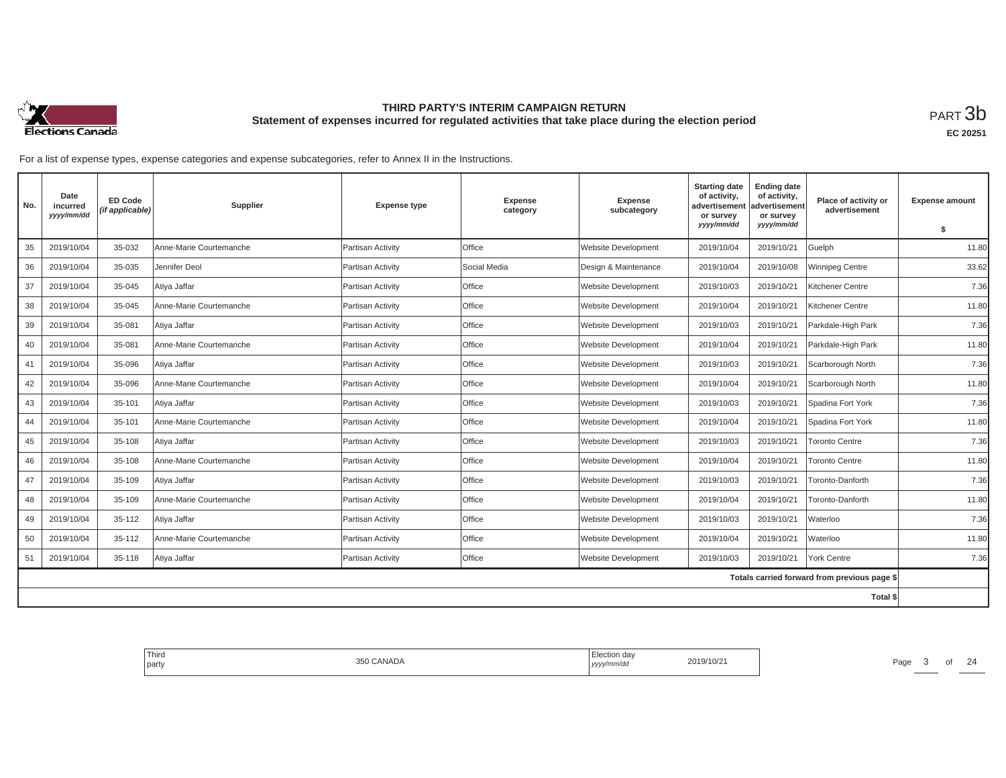

**EC 20251**

| No. | Date<br>incurred<br>yyyy/mm/dd | <b>ED Code</b><br>(if applicable) | Supplier                | <b>Expense type</b> | <b>Expense</b><br>category | <b>Expense</b><br>subcategory | <b>Starting date</b><br>of activity,<br>advertisement<br>or survey | <b>Ending date</b><br>of activity,<br>advertisement<br>or survey | Place of activity or<br>advertisement        | <b>Expense amount</b> |
|-----|--------------------------------|-----------------------------------|-------------------------|---------------------|----------------------------|-------------------------------|--------------------------------------------------------------------|------------------------------------------------------------------|----------------------------------------------|-----------------------|
|     |                                |                                   |                         |                     |                            |                               | yyyy/mm/dd                                                         | yyyy/mm/dd                                                       |                                              | S.                    |
| 35  | 2019/10/04                     | 35-032                            | Anne-Marie Courtemanche | Partisan Activity   | Office                     | <b>Website Development</b>    | 2019/10/04                                                         | 2019/10/21                                                       | Guelph                                       | 11.80                 |
| 36  | 2019/10/04                     | 35-035                            | Jennifer Deol           | Partisan Activity   | Social Media               | Design & Maintenance          | 2019/10/04                                                         | 2019/10/08                                                       | Winnipeg Centre                              | 33.62                 |
| 37  | 2019/10/04                     | 35-045                            | Atiya Jaffar            | Partisan Activity   | Office                     | <b>Website Development</b>    | 2019/10/03                                                         | 2019/10/21                                                       | Kitchener Centre                             | 7.36                  |
| 38  | 2019/10/04                     | 35-045                            | Anne-Marie Courtemanche | Partisan Activity   | Office                     | <b>Website Development</b>    | 2019/10/04                                                         | 2019/10/21                                                       | Kitchener Centre                             | 11.80                 |
| 39  | 2019/10/04                     | 35-081                            | Atiya Jaffar            | Partisan Activity   | Office                     | <b>Website Development</b>    | 2019/10/03                                                         | 2019/10/21                                                       | Parkdale-High Park                           | 7.36                  |
| 40  | 2019/10/04                     | 35-081                            | Anne-Marie Courtemanche | Partisan Activity   | Office                     | <b>Website Development</b>    | 2019/10/04                                                         | 2019/10/21                                                       | Parkdale-High Park                           | 11.80                 |
| 41  | 2019/10/04                     | 35-096                            | Atiya Jaffar            | Partisan Activity   | Office                     | <b>Website Development</b>    | 2019/10/03                                                         | 2019/10/21                                                       | Scarborough North                            | 7.36                  |
| 42  | 2019/10/04                     | 35-096                            | Anne-Marie Courtemanche | Partisan Activity   | Office                     | <b>Website Development</b>    | 2019/10/04                                                         | 2019/10/21                                                       | Scarborough North                            | 11.80                 |
| 43  | 2019/10/04                     | 35-101                            | Atiya Jaffar            | Partisan Activity   | Office                     | Website Development           | 2019/10/03                                                         | 2019/10/21                                                       | Spadina Fort York                            | 7.36                  |
| 44  | 2019/10/04                     | 35-101                            | Anne-Marie Courtemanche | Partisan Activity   | Office                     | <b>Website Development</b>    | 2019/10/04                                                         | 2019/10/21                                                       | Spadina Fort York                            | 11.80                 |
| 45  | 2019/10/04                     | 35-108                            | Atiya Jaffar            | Partisan Activity   | Office                     | <b>Website Development</b>    | 2019/10/03                                                         | 2019/10/21                                                       | <b>Toronto Centre</b>                        | 7.36                  |
| 46  | 2019/10/04                     | 35-108                            | Anne-Marie Courtemanche | Partisan Activity   | Office                     | <b>Website Development</b>    | 2019/10/04                                                         | 2019/10/21                                                       | <b>Toronto Centre</b>                        | 11.80                 |
| 47  | 2019/10/04                     | 35-109                            | Atiya Jaffar            | Partisan Activity   | Office                     | <b>Website Development</b>    | 2019/10/03                                                         | 2019/10/21                                                       | Toronto-Danforth                             | 7.36                  |
| 48  | 2019/10/04                     | 35-109                            | Anne-Marie Courtemanche | Partisan Activity   | Office                     | Website Development           | 2019/10/04                                                         | 2019/10/21                                                       | Toronto-Danforth                             | 11.80                 |
| 49  | 2019/10/04                     | 35-112                            | Atiya Jaffar            | Partisan Activity   | Office                     | Website Development           | 2019/10/03                                                         | 2019/10/21                                                       | Waterloo                                     | 7.36                  |
| 50  | 2019/10/04                     | 35-112                            | Anne-Marie Courtemanche | Partisan Activity   | Office                     | <b>Website Development</b>    | 2019/10/04                                                         | 2019/10/21                                                       | Waterloo                                     | 11.80                 |
| 51  | 2019/10/04                     | 35-118                            | Atiya Jaffar            | Partisan Activity   | Office                     | <b>Website Development</b>    | 2019/10/03                                                         | 2019/10/21                                                       | <b>York Centre</b>                           | 7.36                  |
|     |                                |                                   |                         |                     |                            |                               |                                                                    |                                                                  | Totals carried forward from previous page \$ |                       |
|     |                                |                                   |                         |                     |                            |                               |                                                                    |                                                                  | Total \$                                     |                       |

| Third<br>CANADA<br>350<br>the control of the con-<br>l party | <sup>1</sup> Election day<br>$\sim$<br>2019/10/2<br>Page<br>  yyyy/mm/aa<br>the contract of the contract of the contract of the contract of the contract of |
|--------------------------------------------------------------|-------------------------------------------------------------------------------------------------------------------------------------------------------------|
|--------------------------------------------------------------|-------------------------------------------------------------------------------------------------------------------------------------------------------------|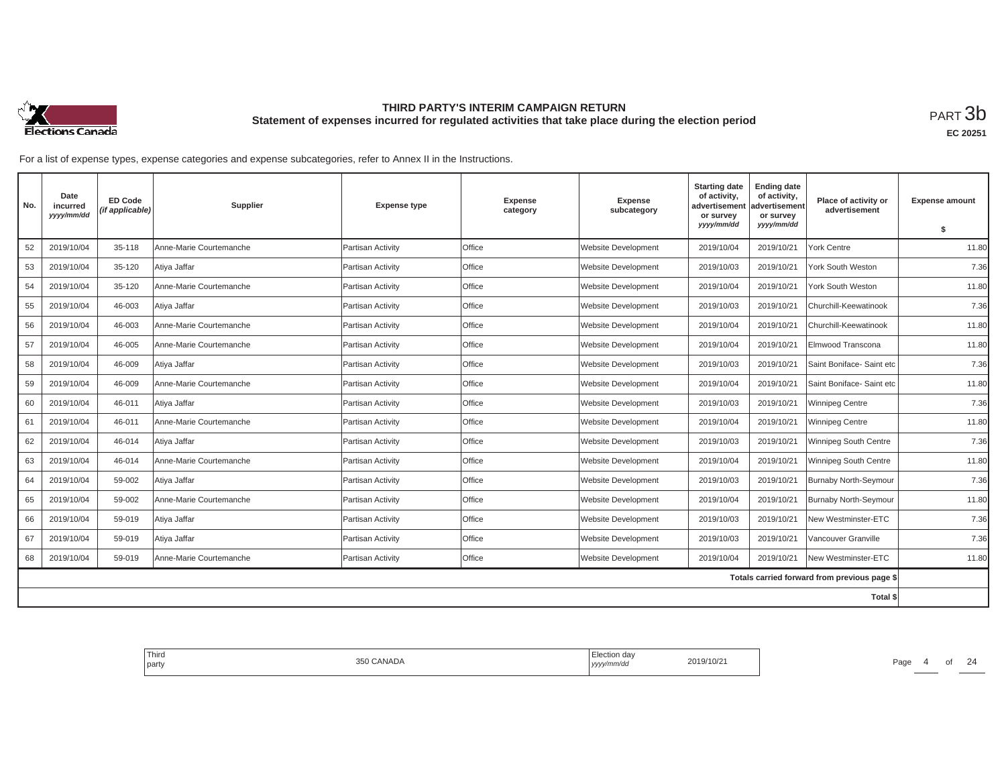

**EC 20251**

| No. | Date<br>incurred<br>yyyy/mm/dd | <b>ED Code</b><br>(if applicable) | Supplier                | <b>Expense type</b> | Expense<br>category | Expense<br>subcategory     | <b>Starting date</b><br>of activity,<br>advertisement<br>or survey | <b>Ending date</b><br>of activity,<br>advertisement<br>or survey | Place of activity or<br>advertisement        | <b>Expense amount</b> |
|-----|--------------------------------|-----------------------------------|-------------------------|---------------------|---------------------|----------------------------|--------------------------------------------------------------------|------------------------------------------------------------------|----------------------------------------------|-----------------------|
|     |                                |                                   |                         |                     |                     |                            | yyyy/mm/dd                                                         | yyyy/mm/dd                                                       |                                              | \$                    |
| 52  | 2019/10/04                     | 35-118                            | Anne-Marie Courtemanche | Partisan Activity   | <b>Office</b>       | <b>Website Development</b> | 2019/10/04                                                         | 2019/10/21                                                       | York Centre                                  | 11.80                 |
| 53  | 2019/10/04                     | 35-120                            | Atiya Jaffar            | Partisan Activity   | Office              | <b>Website Development</b> | 2019/10/03                                                         | 2019/10/21                                                       | York South Weston                            | 7.36                  |
| 54  | 2019/10/04                     | 35-120                            | Anne-Marie Courtemanche | Partisan Activity   | Office              | Website Development        | 2019/10/04                                                         | 2019/10/21                                                       | York South Weston                            | 11.80                 |
| 55  | 2019/10/04                     | 46-003                            | Atiya Jaffar            | Partisan Activity   | Office              | <b>Website Development</b> | 2019/10/03                                                         | 2019/10/21                                                       | Churchill-Keewatinook                        | 7.36                  |
| 56  | 2019/10/04                     | 46-003                            | Anne-Marie Courtemanche | Partisan Activity   | Office              | Website Development        | 2019/10/04                                                         | 2019/10/21                                                       | Churchill-Keewatinook                        | 11.80                 |
| 57  | 2019/10/04                     | 46-005                            | Anne-Marie Courtemanche | Partisan Activitv   | Office              | Website Development        | 2019/10/04                                                         | 2019/10/21                                                       | Elmwood Transcona                            | 11.80                 |
| 58  | 2019/10/04                     | 46-009                            | Atiya Jaffar            | Partisan Activitv   | Office              | <b>Website Development</b> | 2019/10/03                                                         | 2019/10/21                                                       | Saint Boniface- Saint etc                    | 7.36                  |
| 59  | 2019/10/04                     | 46-009                            | Anne-Marie Courtemanche | Partisan Activity   | Office              | <b>Website Development</b> | 2019/10/04                                                         | 2019/10/21                                                       | Saint Boniface- Saint etc                    | 11.80                 |
| 60  | 2019/10/04                     | 46-011                            | Atiya Jaffar            | Partisan Activitv   | Office              | <b>Website Development</b> | 2019/10/03                                                         | 2019/10/21                                                       | <b>Winnipeg Centre</b>                       | 7.36                  |
| 61  | 2019/10/04                     | 46-011                            | Anne-Marie Courtemanche | Partisan Activity   | Office              | <b>Website Development</b> | 2019/10/04                                                         | 2019/10/21                                                       | <b>Winnipeg Centre</b>                       | 11.80                 |
| 62  | 2019/10/04                     | 46-014                            | Atiya Jaffar            | Partisan Activity   | Office              | Website Development        | 2019/10/03                                                         | 2019/10/21                                                       | Winnipeg South Centre                        | 7.36                  |
| 63  | 2019/10/04                     | 46-014                            | Anne-Marie Courtemanche | Partisan Activity   | Office              | <b>Website Development</b> | 2019/10/04                                                         | 2019/10/21                                                       | Winnipeg South Centre                        | 11.80                 |
| 64  | 2019/10/04                     | 59-002                            | Atiya Jaffar            | Partisan Activity   | Office              | <b>Website Development</b> | 2019/10/03                                                         | 2019/10/21                                                       | Burnaby North-Seymour                        | 7.36                  |
| 65  | 2019/10/04                     | 59-002                            | Anne-Marie Courtemanche | Partisan Activity   | Office              | Website Development        | 2019/10/04                                                         | 2019/10/21                                                       | <b>Burnaby North-Seymour</b>                 | 11.80                 |
| 66  | 2019/10/04                     | 59-019                            | Atiya Jaffar            | Partisan Activity   | Office              | <b>Website Development</b> | 2019/10/03                                                         | 2019/10/21                                                       | New Westminster-ETC                          | 7.36                  |
| 67  | 2019/10/04                     | 59-019                            | Atiya Jaffar            | Partisan Activity   | <b>Office</b>       | <b>Website Development</b> | 2019/10/03                                                         | 2019/10/21                                                       | Vancouver Granville                          | 7.36                  |
| 68  | 2019/10/04                     | 59-019                            | Anne-Marie Courtemanche | Partisan Activity   | Office              | <b>Website Development</b> | 2019/10/04                                                         | 2019/10/21                                                       | New Westminster-ETC                          | 11.80                 |
|     |                                |                                   |                         |                     |                     |                            |                                                                    |                                                                  | Totals carried forward from previous page \$ |                       |
|     |                                |                                   |                         |                     |                     |                            |                                                                    |                                                                  | <b>Total \$</b>                              |                       |

| Thira<br>CANADA<br>350I<br>the control of the con-<br>party | Election day<br>2019/10/21<br>yyyy/mm/dd | $\sim$<br>Page |
|-------------------------------------------------------------|------------------------------------------|----------------|
|-------------------------------------------------------------|------------------------------------------|----------------|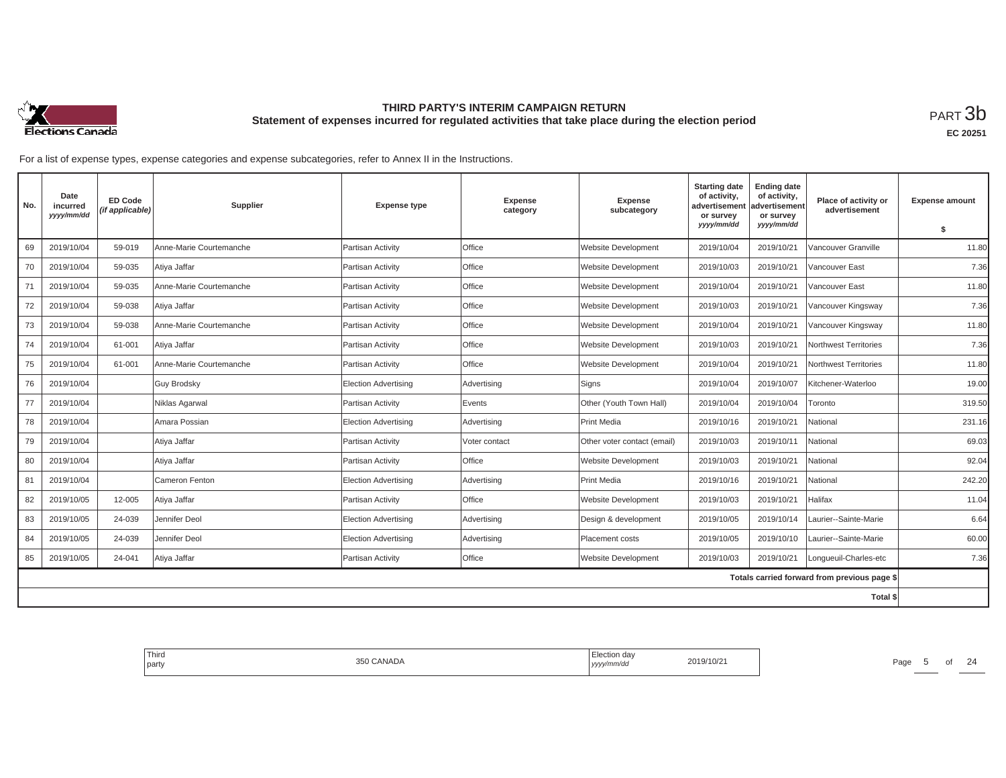

**EC 20251**

| No. | Date<br>incurred<br>yyyy/mm/dd | <b>ED Code</b><br>(if applicable) | Supplier                | <b>Expense type</b>         | <b>Expense</b><br>category | <b>Expense</b><br>subcategory | <b>Starting date</b><br>of activity,<br>advertisement<br>or survey<br>yyyy/mm/dd | <b>Ending date</b><br>of activity,<br>advertisement<br>or survey<br>yyyy/mm/dd | Place of activity or<br>advertisement        | <b>Expense amount</b> |
|-----|--------------------------------|-----------------------------------|-------------------------|-----------------------------|----------------------------|-------------------------------|----------------------------------------------------------------------------------|--------------------------------------------------------------------------------|----------------------------------------------|-----------------------|
|     |                                |                                   |                         |                             |                            |                               |                                                                                  |                                                                                |                                              | \$                    |
| 69  | 2019/10/04                     | 59-019                            | Anne-Marie Courtemanche | Partisan Activity           | Office                     | <b>Website Development</b>    | 2019/10/04                                                                       | 2019/10/21                                                                     | Vancouver Granville                          | 11.80                 |
| 70  | 2019/10/04                     | 59-035                            | Atiya Jaffar            | Partisan Activity           | Office                     | <b>Website Development</b>    | 2019/10/03                                                                       | 2019/10/21                                                                     | Vancouver East                               | 7.36                  |
| 71  | 2019/10/04                     | 59-035                            | Anne-Marie Courtemanche | Partisan Activity           | Office                     | <b>Website Development</b>    | 2019/10/04                                                                       | 2019/10/21                                                                     | Vancouver East                               | 11.80                 |
| 72  | 2019/10/04                     | 59-038                            | Atiya Jaffar            | Partisan Activity           | Office                     | <b>Website Development</b>    | 2019/10/03                                                                       | 2019/10/21                                                                     | Vancouver Kingsway                           | 7.36                  |
| 73  | 2019/10/04                     | 59-038                            | Anne-Marie Courtemanche | Partisan Activity           | Office                     | <b>Website Development</b>    | 2019/10/04                                                                       | 2019/10/21                                                                     | Vancouver Kingsway                           | 11.80                 |
| 74  | 2019/10/04                     | 61-001                            | Atiya Jaffar            | Partisan Activity           | Office                     | <b>Website Development</b>    | 2019/10/03                                                                       | 2019/10/21                                                                     | Northwest Territories                        | 7.36                  |
| 75  | 2019/10/04                     | 61-001                            | Anne-Marie Courtemanche | Partisan Activity           | Office                     | <b>Website Development</b>    | 2019/10/04                                                                       | 2019/10/21                                                                     | Northwest Territories                        | 11.80                 |
| 76  | 2019/10/04                     |                                   | <b>Guy Brodsky</b>      | <b>Election Advertising</b> | Advertising                | Signs                         | 2019/10/04                                                                       | 2019/10/07                                                                     | Kitchener-Waterloo                           | 19.00                 |
| 77  | 2019/10/04                     |                                   | Niklas Agarwal          | Partisan Activity           | Events                     | Other (Youth Town Hall)       | 2019/10/04                                                                       | 2019/10/04                                                                     | Toronto                                      | 319.50                |
| 78  | 2019/10/04                     |                                   | Amara Possian           | <b>Election Advertising</b> | Advertising                | <b>Print Media</b>            | 2019/10/16                                                                       | 2019/10/21                                                                     | National                                     | 231.16                |
| 79  | 2019/10/04                     |                                   | Atiya Jaffar            | Partisan Activity           | Voter contact              | Other voter contact (email)   | 2019/10/03                                                                       | 2019/10/11                                                                     | National                                     | 69.03                 |
| 80  | 2019/10/04                     |                                   | Atiya Jaffar            | Partisan Activity           | Office                     | <b>Website Development</b>    | 2019/10/03                                                                       | 2019/10/21                                                                     | National                                     | 92.04                 |
| 81  | 2019/10/04                     |                                   | Cameron Fenton          | <b>Election Advertising</b> | Advertising                | <b>Print Media</b>            | 2019/10/16                                                                       | 2019/10/21                                                                     | National                                     | 242.20                |
| 82  | 2019/10/05                     | 12-005                            | Atiya Jaffar            | Partisan Activity           | Office                     | <b>Website Development</b>    | 2019/10/03                                                                       | 2019/10/21                                                                     | Halifax                                      | 11.04                 |
| 83  | 2019/10/05                     | 24-039                            | Jennifer Deol           | <b>Election Advertising</b> | Advertising                | Design & development          | 2019/10/05                                                                       | 2019/10/14                                                                     | Laurier--Sainte-Marie                        | 6.64                  |
| 84  | 2019/10/05                     | 24-039                            | Jennifer Deol           | Election Advertising        | Advertising                | Placement costs               | 2019/10/05                                                                       | 2019/10/10                                                                     | Laurier--Sainte-Marie                        | 60.00                 |
| 85  | 2019/10/05                     | 24-041                            | Atiya Jaffar            | Partisan Activity           | Office                     | <b>Website Development</b>    | 2019/10/03                                                                       | 2019/10/21                                                                     | Longueuil-Charles-etc                        | 7.36                  |
|     |                                |                                   |                         |                             |                            |                               |                                                                                  |                                                                                | Totals carried forward from previous page \$ |                       |
|     |                                |                                   |                         |                             |                            |                               |                                                                                  |                                                                                | <b>Total \$</b>                              |                       |

| <b>Third</b><br><b>STATE OF BUILDING</b><br>party | 350 CANADA | Election day<br>2019/10/21<br>yyyy/mm/dd | $\bigcap$<br>Page<br>╱△<br>$\cdot$ |
|---------------------------------------------------|------------|------------------------------------------|------------------------------------|
|                                                   |            |                                          |                                    |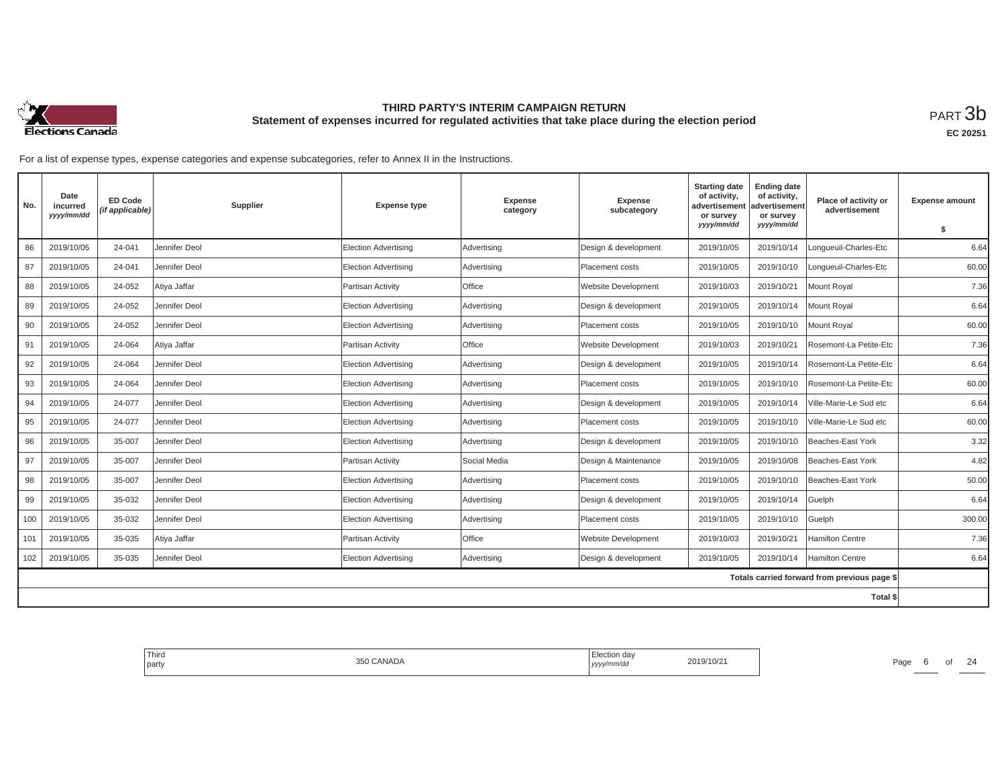

**EC 20251**

| No.      | Date<br>incurred<br>yyyy/mm/dd | <b>ED Code</b><br>(if applicable) | Supplier      | <b>Expense type</b>         | <b>Expense</b><br>category | <b>Expense</b><br>subcategory | <b>Starting date</b><br>of activity,<br>advertisement<br>or survev<br>yyyy/mm/dd | <b>Ending date</b><br>of activity,<br>advertisement<br>or survey<br>yyyy/mm/dd | Place of activity or<br>advertisement        | <b>Expense amount</b> |
|----------|--------------------------------|-----------------------------------|---------------|-----------------------------|----------------------------|-------------------------------|----------------------------------------------------------------------------------|--------------------------------------------------------------------------------|----------------------------------------------|-----------------------|
|          |                                |                                   |               |                             |                            |                               |                                                                                  |                                                                                |                                              | \$                    |
| 86       | 2019/10/05                     | 24-041                            | Jennifer Deol | <b>Election Advertising</b> | Advertising                | Design & development          | 2019/10/05                                                                       | 2019/10/14                                                                     | Longueuil-Charles-Etc                        | 6.64                  |
| 87       | 2019/10/05                     | 24-041                            | Jennifer Deol | <b>Election Advertising</b> | Advertising                | Placement costs               | 2019/10/05                                                                       | 2019/10/10                                                                     | Lonqueuil-Charles-Etc                        | 60.00                 |
| 88       | 2019/10/05                     | 24-052                            | Atiya Jaffar  | Partisan Activity           | Office                     | Website Development           | 2019/10/03                                                                       | 2019/10/21                                                                     | Mount Royal                                  | 7.36                  |
| 89       | 2019/10/05                     | 24-052                            | Jennifer Deol | Election Advertising        | Advertising                | Design & development          | 2019/10/05                                                                       | 2019/10/14                                                                     | Mount Royal                                  | 6.64                  |
| 90       | 2019/10/05                     | 24-052                            | Jennifer Deol | <b>Election Advertising</b> | Advertising                | <b>Placement costs</b>        | 2019/10/05                                                                       | 2019/10/10                                                                     | Mount Royal                                  | 60.00                 |
| 91       | 2019/10/05                     | 24-064                            | Atiya Jaffar  | Partisan Activity           | Office                     | Website Development           | 2019/10/03                                                                       | 2019/10/21                                                                     | Rosemont-La Petite-Etc                       | 7.36                  |
| 92       | 2019/10/05                     | 24-064                            | Jennifer Deol | <b>Election Advertising</b> | Advertising                | Design & development          | 2019/10/05                                                                       | 2019/10/14                                                                     | Rosemont-La Petite-Etc                       | 6.64                  |
| 93       | 2019/10/05                     | 24-064                            | Jennifer Deol | <b>Election Advertising</b> | Advertising                | Placement costs               | 2019/10/05                                                                       | 2019/10/10                                                                     | Rosemont-La Petite-Etc                       | 60.00                 |
| 94       | 2019/10/05                     | 24-077                            | Jennifer Deol | <b>Election Advertising</b> | Advertising                | Design & development          | 2019/10/05                                                                       | 2019/10/14                                                                     | Ville-Marie-Le Sud etc                       | 6.64                  |
| 95       | 2019/10/05                     | 24-077                            | Jennifer Deol | <b>Election Advertising</b> | Advertising                | Placement costs               | 2019/10/05                                                                       | 2019/10/10                                                                     | Ville-Marie-Le Sud etc                       | 60.00                 |
| 96       | 2019/10/05                     | 35-007                            | Jennifer Deol | <b>Election Advertising</b> | Advertising                | Design & development          | 2019/10/05                                                                       | 2019/10/10                                                                     | Beaches-East York                            | 3.32                  |
| 97       | 2019/10/05                     | 35-007                            | Jennifer Deol | Partisan Activity           | Social Media               | Design & Maintenance          | 2019/10/05                                                                       | 2019/10/08                                                                     | Beaches-East York                            | 4.82                  |
| 98       | 2019/10/05                     | 35-007                            | Jennifer Deol | <b>Election Advertising</b> | Advertising                | Placement costs               | 2019/10/05                                                                       | 2019/10/10                                                                     | Beaches-East York                            | 50.00                 |
| 99       | 2019/10/05                     | 35-032                            | Jennifer Deol | <b>Election Advertising</b> | Advertising                | Design & development          | 2019/10/05                                                                       | 2019/10/14                                                                     | Guelph                                       | 6.64                  |
| 100      | 2019/10/05                     | 35-032                            | Jennifer Deol | <b>Election Advertising</b> | Advertising                | <b>Placement costs</b>        | 2019/10/05                                                                       | 2019/10/10                                                                     | Guelph                                       | 300.00                |
| 101      | 2019/10/05                     | 35-035                            | Atiya Jaffar  | Partisan Activity           | <b>Office</b>              | Website Development           | 2019/10/03                                                                       | 2019/10/21                                                                     | <b>Hamilton Centre</b>                       | 7.36                  |
| 102      | 2019/10/05                     | 35-035                            | Jennifer Deol | <b>Election Advertising</b> | Advertising                | Design & development          | 2019/10/05                                                                       | 2019/10/14                                                                     | Hamilton Centre                              | 6.64                  |
|          |                                |                                   |               |                             |                            |                               |                                                                                  |                                                                                | Totals carried forward from previous page \$ |                       |
| Total \$ |                                |                                   |               |                             |                            |                               |                                                                                  |                                                                                |                                              |                       |

| Third<br>Election day<br>2019/10/21<br>350 CANADA<br>Page<br>yyyy/mm/dd<br>b<br>party |
|---------------------------------------------------------------------------------------|
|---------------------------------------------------------------------------------------|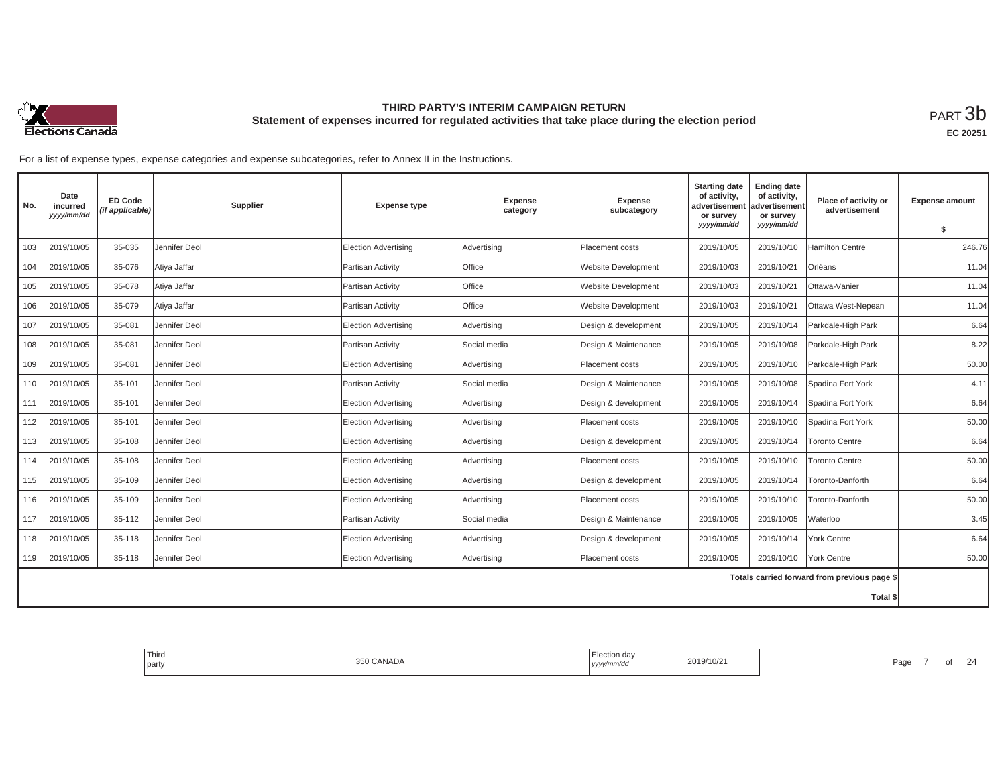

**EC 20251**

| No. | Date<br>incurred<br>yyyy/mm/dd | <b>ED Code</b><br>(if applicable) | Supplier      | <b>Expense type</b>         | <b>Expense</b><br>category | <b>Expense</b><br>subcategory | <b>Starting date</b><br>of activity,<br>advertisement<br>or survey<br>yyyy/mm/dd | <b>Ending date</b><br>of activity,<br>advertisement<br>or survey<br>yyyy/mm/dd | Place of activity or<br>advertisement        | <b>Expense amount</b><br>\$ |
|-----|--------------------------------|-----------------------------------|---------------|-----------------------------|----------------------------|-------------------------------|----------------------------------------------------------------------------------|--------------------------------------------------------------------------------|----------------------------------------------|-----------------------------|
| 103 | 2019/10/05                     | 35-035                            | Jennifer Deol | <b>Election Advertising</b> | Advertising                | Placement costs               | 2019/10/05                                                                       | 2019/10/10                                                                     | <b>Hamilton Centre</b>                       | 246.76                      |
|     |                                |                                   |               |                             |                            |                               |                                                                                  |                                                                                |                                              |                             |
| 104 | 2019/10/05                     | 35-076                            | Atiya Jaffar  | Partisan Activity           | <b>Office</b>              | Website Development           | 2019/10/03                                                                       | 2019/10/21                                                                     | Orléans                                      | 11.04                       |
| 105 | 2019/10/05                     | 35-078                            | Atiya Jaffar  | Partisan Activity           | Office                     | Website Development           | 2019/10/03                                                                       | 2019/10/21                                                                     | Ottawa-Vanier                                | 11.04                       |
| 106 | 2019/10/05                     | 35-079                            | Atiya Jaffar  | Partisan Activity           | Office                     | Website Development           | 2019/10/03                                                                       | 2019/10/21                                                                     | Ottawa West-Nepean                           | 11.04                       |
| 107 | 2019/10/05                     | 35-081                            | Jennifer Deol | Election Advertising        | Advertising                | Design & development          | 2019/10/05                                                                       | 2019/10/14                                                                     | Parkdale-High Park                           | 6.64                        |
| 108 | 2019/10/05                     | 35-081                            | Jennifer Deol | Partisan Activity           | Social media               | Design & Maintenance          | 2019/10/05                                                                       | 2019/10/08                                                                     | Parkdale-High Park                           | 8.22                        |
| 109 | 2019/10/05                     | 35-081                            | Jennifer Deol | <b>Election Advertising</b> | Advertising                | Placement costs               | 2019/10/05                                                                       | 2019/10/10                                                                     | Parkdale-High Park                           | 50.00                       |
| 110 | 2019/10/05                     | 35-101                            | Jennifer Deol | Partisan Activity           | Social media               | Design & Maintenance          | 2019/10/05                                                                       | 2019/10/08                                                                     | Spadina Fort York                            | 4.11                        |
| 111 | 2019/10/05                     | 35-101                            | Jennifer Deol | Election Advertising        | Advertising                | Design & development          | 2019/10/05                                                                       | 2019/10/14                                                                     | Spadina Fort York                            | 6.64                        |
| 112 | 2019/10/05                     | 35-101                            | Jennifer Deol | <b>Election Advertising</b> | Advertising                | Placement costs               | 2019/10/05                                                                       | 2019/10/10                                                                     | Spadina Fort York                            | 50.00                       |
| 113 | 2019/10/05                     | 35-108                            | Jennifer Deol | Election Advertising        | Advertising                | Design & development          | 2019/10/05                                                                       | 2019/10/14                                                                     | <b>Toronto Centre</b>                        | 6.64                        |
| 114 | 2019/10/05                     | 35-108                            | Jennifer Deol | Election Advertising        | Advertising                | Placement costs               | 2019/10/05                                                                       | 2019/10/10                                                                     | <b>Toronto Centre</b>                        | 50.00                       |
| 115 | 2019/10/05                     | 35-109                            | Jennifer Deol | <b>Election Advertising</b> | Advertising                | Design & development          | 2019/10/05                                                                       | 2019/10/14                                                                     | Toronto-Danforth                             | 6.64                        |
| 116 | 2019/10/05                     | 35-109                            | Jennifer Deol | Election Advertising        | Advertising                | Placement costs               | 2019/10/05                                                                       | 2019/10/10                                                                     | Toronto-Danforth                             | 50.00                       |
| 117 | 2019/10/05                     | 35-112                            | Jennifer Deol | Partisan Activity           | Social media               | Design & Maintenance          | 2019/10/05                                                                       | 2019/10/05                                                                     | Waterloo                                     | 3.45                        |
| 118 | 2019/10/05                     | 35-118                            | Jennifer Deol | Election Advertisina        | Advertising                | Design & development          | 2019/10/05                                                                       | 2019/10/14                                                                     | York Centre                                  | 6.64                        |
| 119 | 2019/10/05                     | 35-118                            | Jennifer Deol | <b>Election Advertising</b> | Advertising                | Placement costs               | 2019/10/05                                                                       | 2019/10/10                                                                     | <b>York Centre</b>                           | 50.00                       |
|     |                                |                                   |               |                             |                            |                               |                                                                                  |                                                                                | Totals carried forward from previous page \$ |                             |
|     |                                |                                   |               |                             |                            |                               |                                                                                  |                                                                                | Total \$                                     |                             |

| Third<br><i>≟</i> lection day<br>350 CANADA<br>2019/10/21<br>party<br>yyyy/mm/dd | 24<br>Page |
|----------------------------------------------------------------------------------|------------|
|----------------------------------------------------------------------------------|------------|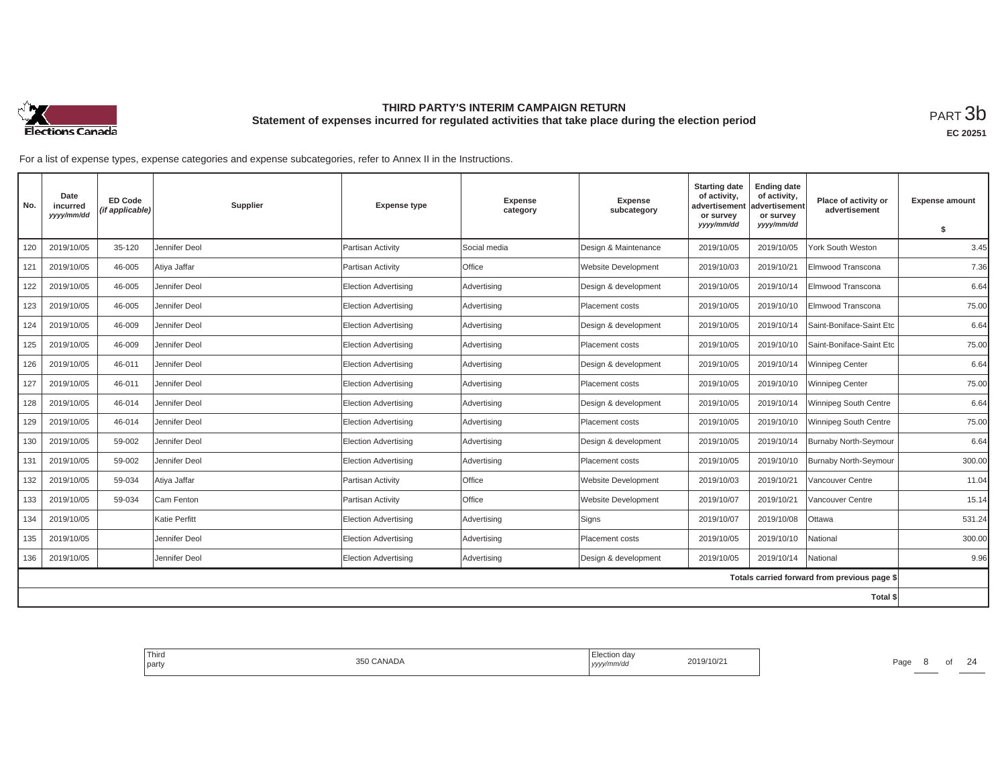

**EC 20251**

| No. | Date<br>incurred<br>yyyy/mm/dd | <b>ED Code</b><br>(if applicable) | Supplier      | <b>Expense type</b>         | <b>Expense</b><br>category | <b>Expense</b><br>subcategory | <b>Starting date</b><br>of activity,<br>advertisement<br>or survey | <b>Ending date</b><br>of activity,<br>advertisement<br>or survey | Place of activity or<br>advertisement        | <b>Expense amount</b> |
|-----|--------------------------------|-----------------------------------|---------------|-----------------------------|----------------------------|-------------------------------|--------------------------------------------------------------------|------------------------------------------------------------------|----------------------------------------------|-----------------------|
|     |                                |                                   |               |                             |                            |                               | yyyy/mm/dd                                                         | yyyy/mm/dd                                                       |                                              | \$                    |
| 120 | 2019/10/05                     | 35-120                            | Jennifer Deol | Partisan Activity           | Social media               | Design & Maintenance          | 2019/10/05                                                         | 2019/10/05                                                       | York South Weston                            | 3.45                  |
| 121 | 2019/10/05                     | 46-005                            | Atiya Jaffar  | Partisan Activity           | <b>Office</b>              | Website Development           | 2019/10/03                                                         | 2019/10/21                                                       | Elmwood Transcona                            | 7.36                  |
| 122 | 2019/10/05                     | 46-005                            | Jennifer Deol | <b>Election Advertising</b> | Advertising                | Design & development          | 2019/10/05                                                         | 2019/10/14                                                       | Elmwood Transcona                            | 6.64                  |
| 123 | 2019/10/05                     | 46-005                            | Jennifer Deol | <b>Election Advertising</b> | Advertising                | Placement costs               | 2019/10/05                                                         | 2019/10/10                                                       | Elmwood Transcona                            | 75.00                 |
| 124 | 2019/10/05                     | 46-009                            | Jennifer Deol | <b>Election Advertising</b> | Advertising                | Design & development          | 2019/10/05                                                         | 2019/10/14                                                       | Saint-Boniface-Saint Etc                     | 6.64                  |
| 125 | 2019/10/05                     | 46-009                            | Jennifer Deol | <b>Election Advertising</b> | Advertising                | Placement costs               | 2019/10/05                                                         | 2019/10/10                                                       | Saint-Boniface-Saint Etc                     | 75.00                 |
| 126 | 2019/10/05                     | 46-011                            | Jennifer Deol | <b>Election Advertising</b> | Advertising                | Design & development          | 2019/10/05                                                         | 2019/10/14                                                       | Winnipeg Center                              | 6.64                  |
| 127 | 2019/10/05                     | 46-011                            | Jennifer Deol | <b>Election Advertising</b> | Advertising                | Placement costs               | 2019/10/05                                                         | 2019/10/10                                                       | <b>Winnipeg Center</b>                       | 75.00                 |
| 128 | 2019/10/05                     | 46-014                            | Jennifer Deol | <b>Election Advertising</b> | Advertising                | Design & development          | 2019/10/05                                                         | 2019/10/14                                                       | Winnipeg South Centre                        | 6.64                  |
| 129 | 2019/10/05                     | 46-014                            | Jennifer Deol | <b>Election Advertising</b> | Advertising                | Placement costs               | 2019/10/05                                                         | 2019/10/10                                                       | Winnipeg South Centre                        | 75.00                 |
| 130 | 2019/10/05                     | 59-002                            | Jennifer Deol | <b>Election Advertising</b> | Advertising                | Design & development          | 2019/10/05                                                         | 2019/10/14                                                       | Burnaby North-Seymour                        | 6.64                  |
| 131 | 2019/10/05                     | 59-002                            | Jennifer Deol | Election Advertising        | Advertising                | Placement costs               | 2019/10/05                                                         | 2019/10/10                                                       | Burnaby North-Seymour                        | 300.00                |
| 132 | 2019/10/05                     | 59-034                            | Atiya Jaffar  | Partisan Activity           | Office                     | Website Development           | 2019/10/03                                                         | 2019/10/21                                                       | Vancouver Centre                             | 11.04                 |
| 133 | 2019/10/05                     | 59-034                            | Cam Fenton    | Partisan Activity           | Office                     | Website Development           | 2019/10/07                                                         | 2019/10/21                                                       | Vancouver Centre                             | 15.14                 |
| 134 | 2019/10/05                     |                                   | Katie Perfitt | <b>Election Advertising</b> | Advertising                | Signs                         | 2019/10/07                                                         | 2019/10/08                                                       | Ottawa                                       | 531.24                |
| 135 | 2019/10/05                     |                                   | Jennifer Deol | Election Advertising        | Advertising                | Placement costs               | 2019/10/05                                                         | 2019/10/10                                                       | Vational                                     | 300.00                |
| 136 | 2019/10/05                     |                                   | Jennifer Deol | <b>Election Advertising</b> | Advertising                | Design & development          | 2019/10/05                                                         | 2019/10/14                                                       | National                                     | 9.96                  |
|     |                                |                                   |               |                             |                            |                               |                                                                    |                                                                  | Totals carried forward from previous page \$ |                       |
|     |                                |                                   |               |                             |                            |                               |                                                                    |                                                                  | Total \$                                     |                       |

| Third<br>party | CANADA<br>くへい | :lection dav<br>nnvac<br>1' | 019/10/2 | Page. | <sup>o</sup> | $\sim$ |
|----------------|---------------|-----------------------------|----------|-------|--------------|--------|
|                |               |                             |          |       |              |        |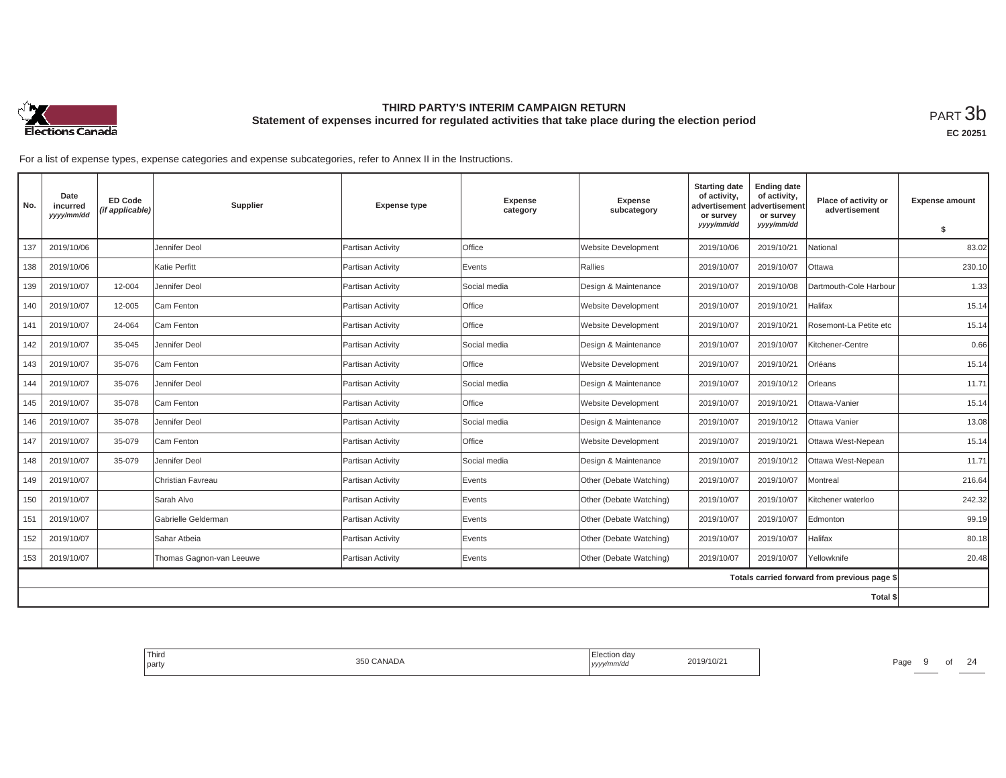

**EC 20251**

| No.             | Date<br>incurred<br>yyyy/mm/dd | <b>ED Code</b><br>(if applicable) | Supplier                 | <b>Expense type</b>      | <b>Expense</b><br>category | <b>Expense</b><br>subcategory | <b>Starting date</b><br>of activity,<br>advertisemen<br>or survey | <b>Ending date</b><br>of activity,<br>advertisement<br>or survey | Place of activity or<br>advertisement        | <b>Expense amount</b> |
|-----------------|--------------------------------|-----------------------------------|--------------------------|--------------------------|----------------------------|-------------------------------|-------------------------------------------------------------------|------------------------------------------------------------------|----------------------------------------------|-----------------------|
|                 |                                |                                   |                          |                          |                            |                               | yyyy/mm/dd                                                        | yyyy/mm/dd                                                       |                                              | \$                    |
| 137             | 2019/10/06                     |                                   | Jennifer Deol            | Partisan Activity        | Office                     | <b>Website Development</b>    | 2019/10/06                                                        | 2019/10/21                                                       | National                                     | 83.02                 |
| 138             | 2019/10/06                     |                                   | Katie Perfitt            | Partisan Activity        | Events                     | Rallies                       | 2019/10/07                                                        | 2019/10/07                                                       | Ottawa                                       | 230.10                |
| 139             | 2019/10/07                     | 12-004                            | Jennifer Deol            | Partisan Activity        | Social media               | Design & Maintenance          | 2019/10/07                                                        | 2019/10/08                                                       | Dartmouth-Cole Harbour                       | 1.33                  |
| 140             | 2019/10/07                     | 12-005                            | Cam Fenton               | Partisan Activity        | Office                     | <b>Website Development</b>    | 2019/10/07                                                        | 2019/10/21                                                       | Halifax                                      | 15.14                 |
| 141             | 2019/10/07                     | 24-064                            | Cam Fenton               | Partisan Activity        | Office                     | Website Development           | 2019/10/07                                                        | 2019/10/21                                                       | Rosemont-La Petite etc                       | 15.14                 |
| 142             | 2019/10/07                     | 35-045                            | Jennifer Deol            | Partisan Activity        | Social media               | Design & Maintenance          | 2019/10/07                                                        | 2019/10/07                                                       | Kitchener-Centre                             | 0.66                  |
| 143             | 2019/10/07                     | 35-076                            | Cam Fenton               | Partisan Activity        | Office                     | <b>Website Development</b>    | 2019/10/07                                                        | 2019/10/21                                                       | Orléans                                      | 15.14                 |
| 144             | 2019/10/07                     | 35-076                            | Jennifer Deol            | Partisan Activity        | Social media               | Design & Maintenance          | 2019/10/07                                                        | 2019/10/12                                                       | Orleans                                      | 11.71                 |
| 145             | 2019/10/07                     | 35-078                            | Cam Fenton               | Partisan Activity        | Office                     | <b>Website Development</b>    | 2019/10/07                                                        | 2019/10/21                                                       | Ottawa-Vanier                                | 15.14                 |
| 146             | 2019/10/07                     | 35-078                            | Jennifer Deol            | Partisan Activity        | Social media               | Design & Maintenance          | 2019/10/07                                                        | 2019/10/12                                                       | Ottawa Vanier                                | 13.08                 |
| 147             | 2019/10/07                     | 35-079                            | Cam Fenton               | Partisan Activity        | Office                     | <b>Website Development</b>    | 2019/10/07                                                        | 2019/10/21                                                       | Ottawa West-Nepean                           | 15.14                 |
| 148             | 2019/10/07                     | 35-079                            | Jennifer Deol            | Partisan Activity        | Social media               | Design & Maintenance          | 2019/10/07                                                        | 2019/10/12                                                       | Ottawa West-Nepean                           | 11.71                 |
| 149             | 2019/10/07                     |                                   | Christian Favreau        | Partisan Activity        | Events                     | Other (Debate Watching)       | 2019/10/07                                                        | 2019/10/07                                                       | Montreal                                     | 216.64                |
| 150             | 2019/10/07                     |                                   | Sarah Alvo               | Partisan Activity        | Events                     | Other (Debate Watching)       | 2019/10/07                                                        | 2019/10/07                                                       | Kitchener waterloo                           | 242.32                |
| 151             | 2019/10/07                     |                                   | Gabrielle Gelderman      | <b>Partisan Activity</b> | Events                     | Other (Debate Watching)       | 2019/10/07                                                        | 2019/10/07                                                       | Edmonton                                     | 99.19                 |
| 152             | 2019/10/07                     |                                   | Sahar Atbeia             | Partisan Activity        | Events                     | Other (Debate Watching)       | 2019/10/07                                                        | 2019/10/07                                                       | Halifax                                      | 80.18                 |
| 153             | 2019/10/07                     |                                   | Thomas Gagnon-van Leeuwe | Partisan Activity        | Events                     | Other (Debate Watching)       | 2019/10/07                                                        | 2019/10/07                                                       | Yellowknife                                  | 20.48                 |
|                 |                                |                                   |                          |                          |                            |                               |                                                                   |                                                                  | Totals carried forward from previous page \$ |                       |
| <b>Total \$</b> |                                |                                   |                          |                          |                            |                               |                                                                   |                                                                  |                                              |                       |

| $-$<br>Thira<br>the control of the control of<br>party | CANADA<br>350 | ⊧iection dav<br>2019/10/2<br>, уууулт<br>'im/a | $\sim$<br>Page<br>. . |
|--------------------------------------------------------|---------------|------------------------------------------------|-----------------------|
|                                                        |               |                                                |                       |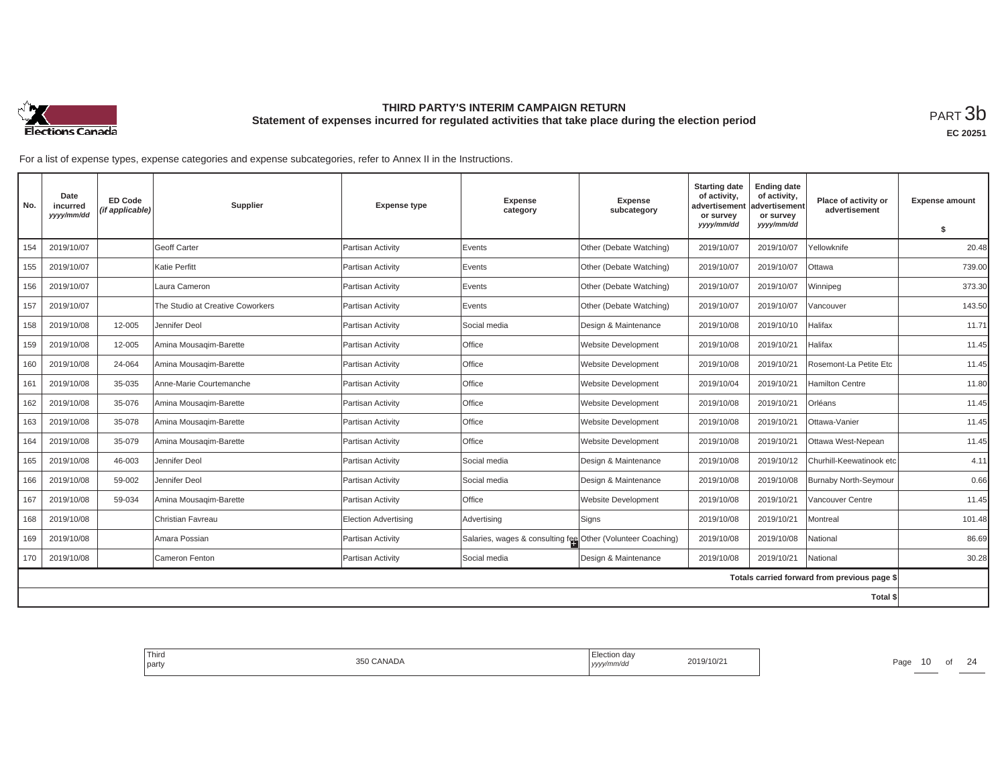

**EC 20251**

| No. | Date<br>incurred<br>yyyy/mm/dd | <b>ED Code</b><br>(if applicable) | Supplier                         | <b>Expense type</b>  | <b>Expense</b><br>category                                  | <b>Expense</b><br>subcategory | <b>Starting date</b><br>of activity,<br>advertisemen<br>or survey | <b>Ending date</b><br>of activity,<br>advertisement<br>or survey | Place of activity or<br>advertisement        | <b>Expense amount</b> |
|-----|--------------------------------|-----------------------------------|----------------------------------|----------------------|-------------------------------------------------------------|-------------------------------|-------------------------------------------------------------------|------------------------------------------------------------------|----------------------------------------------|-----------------------|
|     |                                |                                   |                                  |                      |                                                             |                               | yyyy/mm/dd                                                        | yyyy/mm/dd                                                       |                                              | S.                    |
| 154 | 2019/10/07                     |                                   | Geoff Carter                     | Partisan Activity    | Events                                                      | Other (Debate Watching)       | 2019/10/07                                                        | 2019/10/07                                                       | Yellowknife                                  | 20.48                 |
| 155 | 2019/10/07                     |                                   | Katie Perfitt                    | Partisan Activity    | Events                                                      | Other (Debate Watching)       | 2019/10/07                                                        | 2019/10/07                                                       | Ottawa                                       | 739.00                |
| 156 | 2019/10/07                     |                                   | Laura Cameron                    | Partisan Activity    | Events                                                      | Other (Debate Watching)       | 2019/10/07                                                        | 2019/10/07                                                       | Winnipeg                                     | 373.30                |
| 157 | 2019/10/07                     |                                   | The Studio at Creative Coworkers | Partisan Activity    | Events                                                      | Other (Debate Watching)       | 2019/10/07                                                        | 2019/10/07                                                       | /ancouver                                    | 143.50                |
| 158 | 2019/10/08                     | 12-005                            | Jennifer Deol                    | Partisan Activity    | Social media                                                | Design & Maintenance          | 2019/10/08                                                        | 2019/10/10                                                       | Halifax                                      | 11.71                 |
| 159 | 2019/10/08                     | 12-005                            | Amina Mousagim-Barette           | Partisan Activity    | Office                                                      | <b>Website Development</b>    | 2019/10/08                                                        | 2019/10/21                                                       | Halifax                                      | 11.45                 |
| 160 | 2019/10/08                     | 24-064                            | Amina Mousagim-Barette           | Partisan Activity    | Office                                                      | <b>Website Development</b>    | 2019/10/08                                                        | 2019/10/21                                                       | Rosemont-La Petite Etc                       | 11.45                 |
| 161 | 2019/10/08                     | 35-035                            | Anne-Marie Courtemanche          | Partisan Activity    | Office                                                      | Website Development           | 2019/10/04                                                        | 2019/10/21                                                       | <b>Hamilton Centre</b>                       | 11.80                 |
| 162 | 2019/10/08                     | 35-076                            | Amina Mousagim-Barette           | Partisan Activity    | Office                                                      | <b>Website Development</b>    | 2019/10/08                                                        | 2019/10/21                                                       | Orléans                                      | 11.45                 |
| 163 | 2019/10/08                     | 35-078                            | Amina Mousagim-Barette           | Partisan Activity    | Office                                                      | <b>Website Development</b>    | 2019/10/08                                                        | 2019/10/21                                                       | Ottawa-Vanier                                | 11.45                 |
| 164 | 2019/10/08                     | 35-079                            | Amina Mousagim-Barette           | Partisan Activity    | Office                                                      | <b>Website Development</b>    | 2019/10/08                                                        | 2019/10/21                                                       | Ottawa West-Nepean                           | 11.45                 |
| 165 | 2019/10/08                     | 46-003                            | Jennifer Deol                    | Partisan Activity    | Social media                                                | Design & Maintenance          | 2019/10/08                                                        | 2019/10/12                                                       | Churhill-Keewatinook etc                     | 4.11                  |
| 166 | 2019/10/08                     | 59-002                            | Jennifer Deol                    | Partisan Activity    | Social media                                                | Design & Maintenance          | 2019/10/08                                                        | 2019/10/08                                                       | <b>Burnaby North-Seymour</b>                 | 0.66                  |
| 167 | 2019/10/08                     | 59-034                            | Amina Mousagim-Barette           | Partisan Activity    | Office                                                      | <b>Website Development</b>    | 2019/10/08                                                        | 2019/10/21                                                       | Vancouver Centre                             | 11.45                 |
| 168 | 2019/10/08                     |                                   | Christian Favreau                | Election Advertising | Advertising                                                 | Signs                         | 2019/10/08                                                        | 2019/10/21                                                       | Montreal                                     | 101.48                |
| 169 | 2019/10/08                     |                                   | Amara Possian                    | Partisan Activity    | Salaries, wages & consulting fee Other (Volunteer Coaching) |                               | 2019/10/08                                                        | 2019/10/08                                                       | Vational                                     | 86.69                 |
| 170 | 2019/10/08                     |                                   | Cameron Fenton                   | Partisan Activity    | Social media                                                | Design & Maintenance          | 2019/10/08                                                        | 2019/10/21                                                       | National                                     | 30.28                 |
|     |                                |                                   |                                  |                      |                                                             |                               |                                                                   |                                                                  | Totals carried forward from previous page \$ |                       |
|     |                                |                                   |                                  |                      |                                                             |                               |                                                                   |                                                                  | Total \$                                     |                       |

| Third<br>the control of the con-<br>party | 350 CANADA | Election day<br>  yyyy/mm/dd | 2019/10/2 | Page | - 1 U | $\bigcap$<br>{ 2 |
|-------------------------------------------|------------|------------------------------|-----------|------|-------|------------------|
|                                           |            |                              |           |      |       |                  |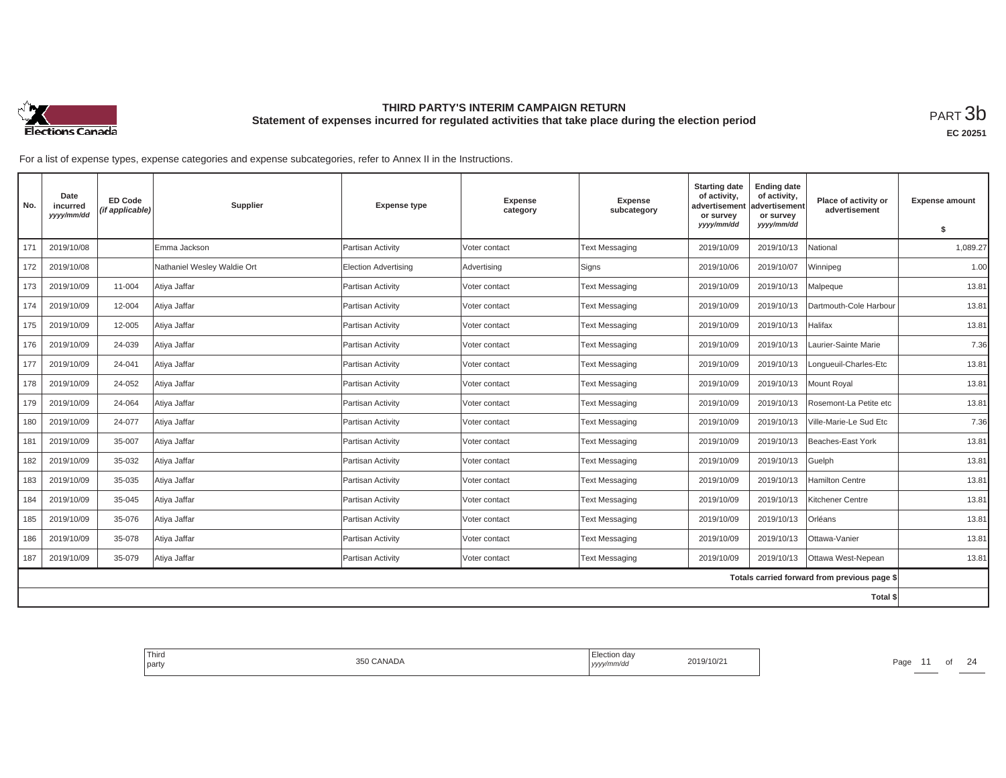

| No. | Date<br>incurred<br>yyyy/mm/dd | <b>ED Code</b><br>(if applicable) | Supplier                    | <b>Expense type</b>  | <b>Expense</b><br>category | <b>Expense</b><br>subcategory | <b>Starting date</b><br>of activity,<br>advertisement<br>or survey<br>yyyy/mm/dd | <b>Ending date</b><br>of activity,<br>advertisement<br>or survey<br>yyyy/mm/dd | Place of activity or<br>advertisement        | <b>Expense amount</b><br>s. |
|-----|--------------------------------|-----------------------------------|-----------------------------|----------------------|----------------------------|-------------------------------|----------------------------------------------------------------------------------|--------------------------------------------------------------------------------|----------------------------------------------|-----------------------------|
| 171 | 2019/10/08                     |                                   | Emma Jackson                | Partisan Activity    | Voter contact              | <b>Text Messaging</b>         | 2019/10/09                                                                       | 2019/10/13                                                                     | National                                     | 1,089.27                    |
| 172 | 2019/10/08                     |                                   | Nathaniel Wesley Waldie Ort | Election Advertising | Advertising                | Signs                         | 2019/10/06                                                                       | 2019/10/07                                                                     | Winnipeg                                     | 1.00                        |
| 173 | 2019/10/09                     | 11-004                            | Atiya Jaffar                | Partisan Activity    | Voter contact              | <b>Text Messaging</b>         | 2019/10/09                                                                       | 2019/10/13                                                                     | Malpeque                                     | 13.81                       |
| 174 | 2019/10/09                     | 12-004                            | Atiya Jaffar                | Partisan Activity    | Voter contact              | Text Messaging                | 2019/10/09                                                                       | 2019/10/13                                                                     | Dartmouth-Cole Harbour                       | 13.81                       |
| 175 | 2019/10/09                     | 12-005                            | Atiya Jaffar                | Partisan Activity    | Voter contact              | Text Messaging                | 2019/10/09                                                                       | 2019/10/13                                                                     | Halifax                                      | 13.81                       |
| 176 | 2019/10/09                     | 24-039                            | Atiya Jaffar                | Partisan Activity    | Voter contact              | <b>Text Messaging</b>         | 2019/10/09                                                                       | 2019/10/13                                                                     | Laurier-Sainte Marie                         | 7.36                        |
| 177 | 2019/10/09                     | 24-041                            | Atiya Jaffar                | Partisan Activity    | Voter contact              | <b>Text Messaging</b>         | 2019/10/09                                                                       | 2019/10/13                                                                     | Lonqueuil-Charles-Etc                        | 13.81                       |
| 178 | 2019/10/09                     | 24-052                            | Atiya Jaffar                | Partisan Activity    | Voter contact              | <b>Text Messaging</b>         | 2019/10/09                                                                       | 2019/10/13                                                                     | <b>Mount Royal</b>                           | 13.81                       |
| 179 | 2019/10/09                     | 24-064                            | Atiya Jaffar                | Partisan Activity    | Voter contact              | <b>Text Messaging</b>         | 2019/10/09                                                                       | 2019/10/13                                                                     | Rosemont-La Petite etc                       | 13.81                       |
| 180 | 2019/10/09                     | 24-077                            | Atiya Jaffar                | Partisan Activity    | Voter contact              | Text Messaging                | 2019/10/09                                                                       | 2019/10/13                                                                     | Ville-Marie-Le Sud Etc                       | 7.36                        |
| 181 | 2019/10/09                     | 35-007                            | Atiya Jaffar                | Partisan Activity    | Voter contact              | Text Messaging                | 2019/10/09                                                                       | 2019/10/13                                                                     | Beaches-East York                            | 13.81                       |
| 182 | 2019/10/09                     | 35-032                            | Atiya Jaffar                | Partisan Activity    | Voter contact              | <b>Text Messaging</b>         | 2019/10/09                                                                       | 2019/10/13                                                                     | Guelph                                       | 13.81                       |
| 183 | 2019/10/09                     | 35-035                            | Atiya Jaffar                | Partisan Activity    | Voter contact              | <b>Text Messaging</b>         | 2019/10/09                                                                       | 2019/10/13                                                                     | Hamilton Centre                              | 13.81                       |
| 184 | 2019/10/09                     | 35-045                            | Atiya Jaffar                | Partisan Activity    | Voter contact              | Text Messaging                | 2019/10/09                                                                       | 2019/10/13                                                                     | Kitchener Centre                             | 13.81                       |
| 185 | 2019/10/09                     | 35-076                            | Atiya Jaffar                | Partisan Activity    | Voter contact              | <b>Text Messaging</b>         | 2019/10/09                                                                       | 2019/10/13                                                                     | Orléans                                      | 13.81                       |
| 186 | 2019/10/09                     | 35-078                            | Atiya Jaffar                | Partisan Activity    | Voter contact              | <b>Text Messaging</b>         | 2019/10/09                                                                       | 2019/10/13                                                                     | Ottawa-Vanier                                | 13.81                       |
| 187 | 2019/10/09                     | 35-079                            | Atiya Jaffar                | Partisan Activity    | Voter contact              | Text Messaging                | 2019/10/09                                                                       | 2019/10/13                                                                     | Ottawa West-Nepean                           | 13.81                       |
|     |                                |                                   |                             |                      |                            |                               |                                                                                  |                                                                                | Totals carried forward from previous page \$ |                             |
|     |                                |                                   |                             |                      |                            |                               |                                                                                  |                                                                                | Total \$                                     |                             |

| Third<br>the control of the con-<br>l party | CANADA<br>ふんい | Election dav<br>2019/10/2<br>.<br>.<br>  ソソソソ | $\sim$<br>Page |
|---------------------------------------------|---------------|-----------------------------------------------|----------------|
|                                             |               |                                               |                |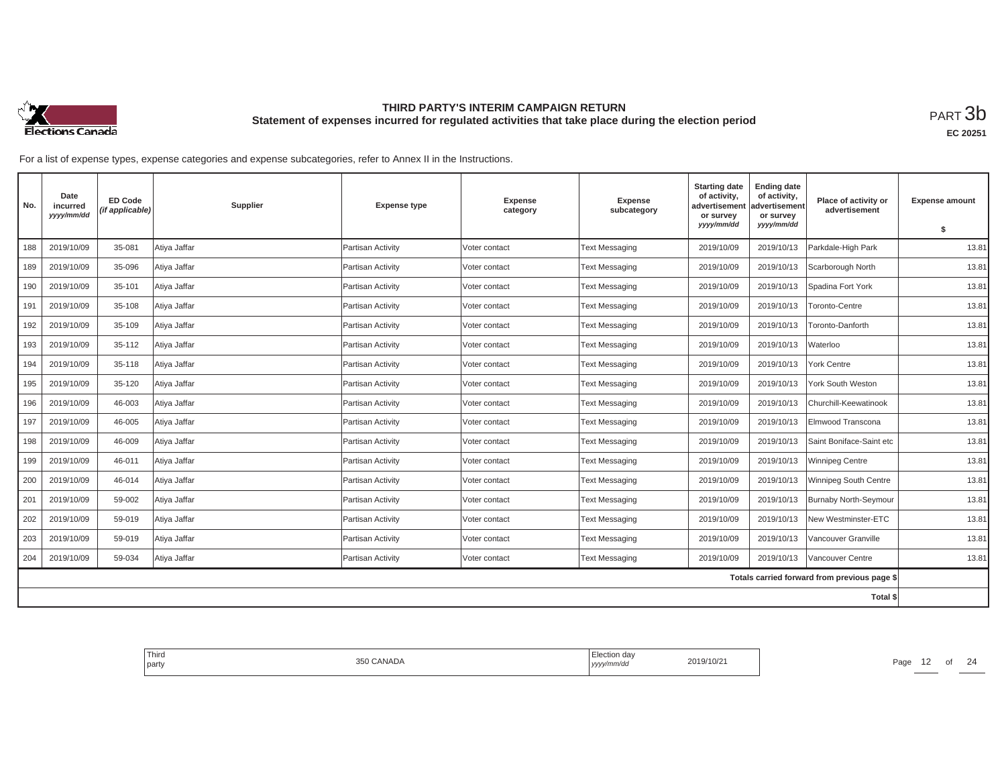

| No. | Date<br>incurred<br>yyyy/mm/dd | <b>ED Code</b><br>(if applicable) | Supplier     | <b>Expense type</b>      | <b>Expense</b><br>category | <b>Expense</b><br>subcategory | <b>Starting date</b><br>of activity,<br>advertisement<br>or survey<br>yyyy/mm/dd | <b>Ending date</b><br>of activity,<br>advertisement<br>or survey<br>yyyy/mm/dd | Place of activity or<br>advertisement        | <b>Expense amount</b><br>\$ |
|-----|--------------------------------|-----------------------------------|--------------|--------------------------|----------------------------|-------------------------------|----------------------------------------------------------------------------------|--------------------------------------------------------------------------------|----------------------------------------------|-----------------------------|
| 188 | 2019/10/09                     | 35-081                            | Atiya Jaffar | Partisan Activity        | Voter contact              | <b>Text Messaging</b>         | 2019/10/09                                                                       | 2019/10/13                                                                     | Parkdale-High Park                           | 13.81                       |
| 189 | 2019/10/09                     | 35-096                            | Atiya Jaffar | Partisan Activity        | Voter contact              | <b>Text Messaging</b>         | 2019/10/09                                                                       | 2019/10/13                                                                     | Scarborough North                            | 13.81                       |
| 190 | 2019/10/09                     | 35-101                            | Atiya Jaffar | Partisan Activity        | Voter contact              | <b>Text Messaging</b>         | 2019/10/09                                                                       | 2019/10/13                                                                     | Spadina Fort York                            | 13.81                       |
| 191 | 2019/10/09                     | 35-108                            | Atiya Jaffar | Partisan Activity        | Voter contact              | <b>Text Messaging</b>         | 2019/10/09                                                                       | 2019/10/13                                                                     | Toronto-Centre                               | 13.81                       |
|     |                                |                                   |              |                          |                            |                               |                                                                                  |                                                                                |                                              |                             |
| 192 | 2019/10/09                     | 35-109                            | Atiya Jaffar | Partisan Activity        | Voter contact              | <b>Text Messaging</b>         | 2019/10/09                                                                       | 2019/10/13                                                                     | Toronto-Danforth                             | 13.81                       |
| 193 | 2019/10/09                     | 35-112                            | Atiya Jaffar | Partisan Activity        | Voter contact              | <b>Text Messaging</b>         | 2019/10/09                                                                       | 2019/10/13                                                                     | Waterloo                                     | 13.81                       |
| 194 | 2019/10/09                     | 35-118                            | Atiya Jaffar | Partisan Activity        | Voter contact              | <b>Text Messaging</b>         | 2019/10/09                                                                       | 2019/10/13                                                                     | York Centre                                  | 13.81                       |
| 195 | 2019/10/09                     | 35-120                            | Atiya Jaffar | Partisan Activity        | Voter contact              | <b>Text Messaging</b>         | 2019/10/09                                                                       | 2019/10/13                                                                     | York South Weston                            | 13.81                       |
| 196 | 2019/10/09                     | 46-003                            | Atiya Jaffar | Partisan Activity        | Voter contact              | <b>Text Messaging</b>         | 2019/10/09                                                                       | 2019/10/13                                                                     | Churchill-Keewatinook                        | 13.81                       |
| 197 | 2019/10/09                     | 46-005                            | Atiya Jaffar | Partisan Activity        | Voter contact              | <b>Text Messaging</b>         | 2019/10/09                                                                       | 2019/10/13                                                                     | Elmwood Transcona                            | 13.81                       |
| 198 | 2019/10/09                     | 46-009                            | Atiya Jaffar | Partisan Activity        | Voter contact              | <b>Text Messaging</b>         | 2019/10/09                                                                       | 2019/10/13                                                                     | Saint Boniface-Saint etc                     | 13.81                       |
| 199 | 2019/10/09                     | 46-011                            | Atiya Jaffar | Partisan Activity        | Voter contact              | <b>Text Messaging</b>         | 2019/10/09                                                                       | 2019/10/13                                                                     | <b>Winnipeg Centre</b>                       | 13.81                       |
| 200 | 2019/10/09                     | 46-014                            | Atiya Jaffar | Partisan Activity        | Voter contact              | <b>Text Messaging</b>         | 2019/10/09                                                                       | 2019/10/13                                                                     | Winnipeg South Centre                        | 13.81                       |
| 201 | 2019/10/09                     | 59-002                            | Atiya Jaffar | Partisan Activity        | Voter contact              | <b>Text Messaging</b>         | 2019/10/09                                                                       | 2019/10/13                                                                     | Burnaby North-Seymour                        | 13.81                       |
| 202 | 2019/10/09                     | 59-019                            | Atiya Jaffar | <b>Partisan Activity</b> | Voter contact              | <b>Text Messaging</b>         | 2019/10/09                                                                       | 2019/10/13                                                                     | New Westminster-ETC                          | 13.81                       |
| 203 | 2019/10/09                     | 59-019                            | Atiya Jaffar | Partisan Activity        | Voter contact              | <b>Text Messaging</b>         | 2019/10/09                                                                       | 2019/10/13                                                                     | Vancouver Granville                          | 13.81                       |
| 204 | 2019/10/09                     | 59-034                            | Atiya Jaffar | Partisan Activity        | Voter contact              | <b>Text Messaging</b>         | 2019/10/09                                                                       | 2019/10/13                                                                     | Vancouver Centre                             | 13.81                       |
|     |                                |                                   |              |                          |                            |                               |                                                                                  |                                                                                | Totals carried forward from previous page \$ |                             |
|     |                                |                                   |              |                          |                            |                               |                                                                                  |                                                                                | <b>Total \$</b>                              |                             |

| Third<br>l party | $\sim$ $\sim$ $\sim$ $\sim$<br>:ANADA | …Jul∪n da∨<br>,,,,, | '10/2 | Page |  | $\sim$ |
|------------------|---------------------------------------|---------------------|-------|------|--|--------|
|                  |                                       |                     |       |      |  |        |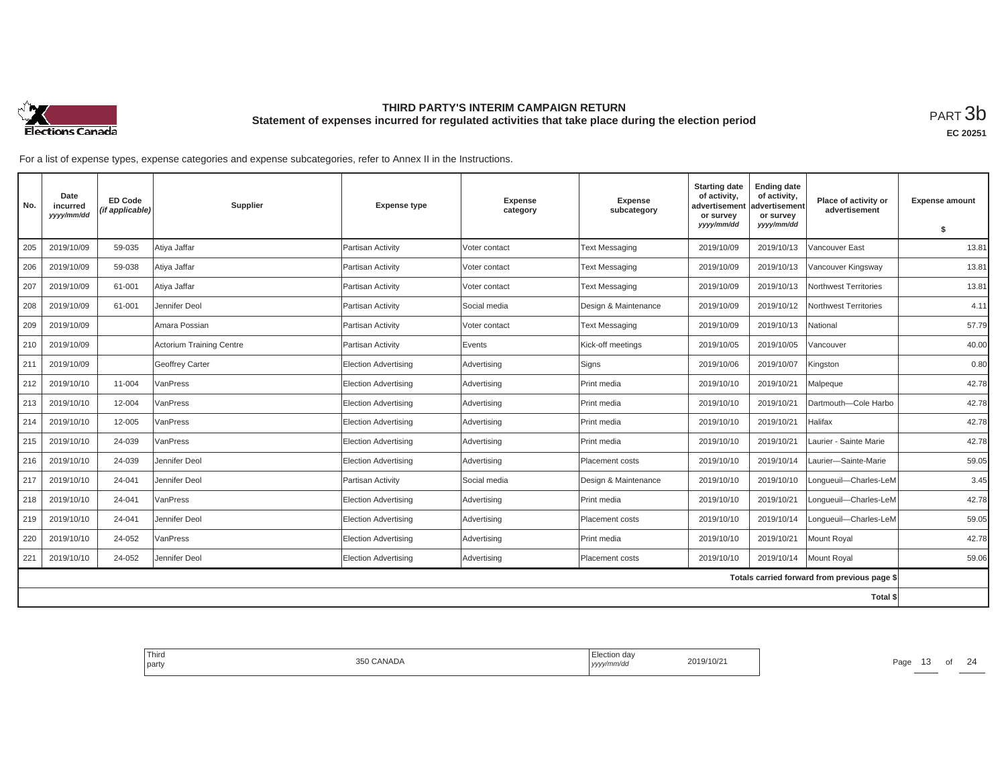

| No. | Date<br>incurred<br>yyyy/mm/dd | <b>ED Code</b><br>(if applicable) | Supplier                 | <b>Expense type</b>         | <b>Expense</b><br>category | <b>Expense</b><br>subcategory | <b>Starting date</b><br>of activity,<br>advertisement<br>or survey<br>yyyy/mm/dd | <b>Ending date</b><br>of activity,<br>advertisement<br>or survey<br>yyyy/mm/dd | Place of activity or<br>advertisement        | <b>Expense amount</b><br>\$ |
|-----|--------------------------------|-----------------------------------|--------------------------|-----------------------------|----------------------------|-------------------------------|----------------------------------------------------------------------------------|--------------------------------------------------------------------------------|----------------------------------------------|-----------------------------|
| 205 | 2019/10/09                     | 59-035                            | Atiya Jaffar             | Partisan Activity           | Voter contact              | <b>Text Messaging</b>         | 2019/10/09                                                                       | 2019/10/13                                                                     | /ancouver East                               | 13.81                       |
|     |                                |                                   |                          |                             |                            |                               |                                                                                  |                                                                                |                                              |                             |
| 206 | 2019/10/09                     | 59-038                            | Atiya Jaffar             | Partisan Activity           | Voter contact              | <b>Text Messaging</b>         | 2019/10/09                                                                       | 2019/10/13                                                                     | Vancouver Kingsway                           | 13.81                       |
| 207 | 2019/10/09                     | 61-001                            | Atiya Jaffar             | Partisan Activity           | Voter contact              | <b>Text Messaging</b>         | 2019/10/09                                                                       | 2019/10/13                                                                     | Northwest Territories                        | 13.81                       |
| 208 | 2019/10/09                     | 61-001                            | Jennifer Deol            | Partisan Activity           | Social media               | Design & Maintenance          | 2019/10/09                                                                       | 2019/10/12                                                                     | Northwest Territories                        | 4.11                        |
| 209 | 2019/10/09                     |                                   | Amara Possian            | Partisan Activity           | Voter contact              | <b>Text Messaging</b>         | 2019/10/09                                                                       | 2019/10/13                                                                     | National                                     | 57.79                       |
| 210 | 2019/10/09                     |                                   | Actorium Training Centre | Partisan Activity           | Events                     | Kick-off meetings             | 2019/10/05                                                                       | 2019/10/05                                                                     | /ancouver                                    | 40.00                       |
| 211 | 2019/10/09                     |                                   | <b>Geoffrey Carter</b>   | <b>Election Advertising</b> | Advertising                | Signs                         | 2019/10/06                                                                       | 2019/10/07                                                                     | Kingston                                     | 0.80                        |
| 212 | 2019/10/10                     | 11-004                            | VanPress                 | <b>Election Advertising</b> | Advertising                | Print media                   | 2019/10/10                                                                       | 2019/10/21                                                                     | Malpeque                                     | 42.78                       |
| 213 | 2019/10/10                     | 12-004                            | VanPress                 | <b>Election Advertising</b> | Advertising                | Print media                   | 2019/10/10                                                                       | 2019/10/21                                                                     | Dartmouth-Cole Harbo                         | 42.78                       |
| 214 | 2019/10/10                     | 12-005                            | VanPress                 | <b>Election Advertising</b> | Advertising                | Print media                   | 2019/10/10                                                                       | 2019/10/21                                                                     | Halifax                                      | 42.78                       |
| 215 | 2019/10/10                     | 24-039                            | VanPress                 | <b>Election Advertising</b> | Advertising                | Print media                   | 2019/10/10                                                                       | 2019/10/21                                                                     | Laurier - Sainte Marie                       | 42.78                       |
| 216 | 2019/10/10                     | 24-039                            | Jennifer Deol            | <b>Election Advertising</b> | Advertising                | Placement costs               | 2019/10/10                                                                       | 2019/10/14                                                                     | Laurier-Sainte-Marie                         | 59.05                       |
| 217 | 2019/10/10                     | 24-041                            | Jennifer Deol            | Partisan Activity           | Social media               | Design & Maintenance          | 2019/10/10                                                                       | 2019/10/10                                                                     | Longueuil-Charles-LeM                        | 3.45                        |
| 218 | 2019/10/10                     | 24-041                            | VanPress                 | <b>Election Advertising</b> | Advertising                | Print media                   | 2019/10/10                                                                       | 2019/10/21                                                                     | Longueuil-Charles-LeM                        | 42.78                       |
| 219 | 2019/10/10                     | 24-041                            | Jennifer Deol            | <b>Election Advertising</b> | Advertising                | Placement costs               | 2019/10/10                                                                       | 2019/10/14                                                                     | Lonqueuil-Charles-LeM                        | 59.05                       |
| 220 | 2019/10/10                     | 24-052                            | VanPress                 | <b>Election Advertising</b> | Advertising                | Print media                   | 2019/10/10                                                                       | 2019/10/21                                                                     | Mount Royal                                  | 42.78                       |
| 221 | 2019/10/10                     | 24-052                            | Jennifer Deol            | <b>Election Advertising</b> | Advertising                | Placement costs               | 2019/10/10                                                                       | 2019/10/14                                                                     | Mount Royal                                  | 59.06                       |
|     |                                |                                   |                          |                             |                            |                               |                                                                                  |                                                                                | Totals carried forward from previous page \$ |                             |
|     |                                |                                   |                          |                             |                            |                               |                                                                                  |                                                                                | Total \$                                     |                             |

| Third<br>party | 350 CANADA | $\sim$ $\sim$ $\sim$ $\sim$<br>∟iection uav<br>  yyyy/mm/aa | 2019/10/21 | Page | ັ | $\bigcap$<br>╱△ |
|----------------|------------|-------------------------------------------------------------|------------|------|---|-----------------|
|                |            |                                                             |            |      |   |                 |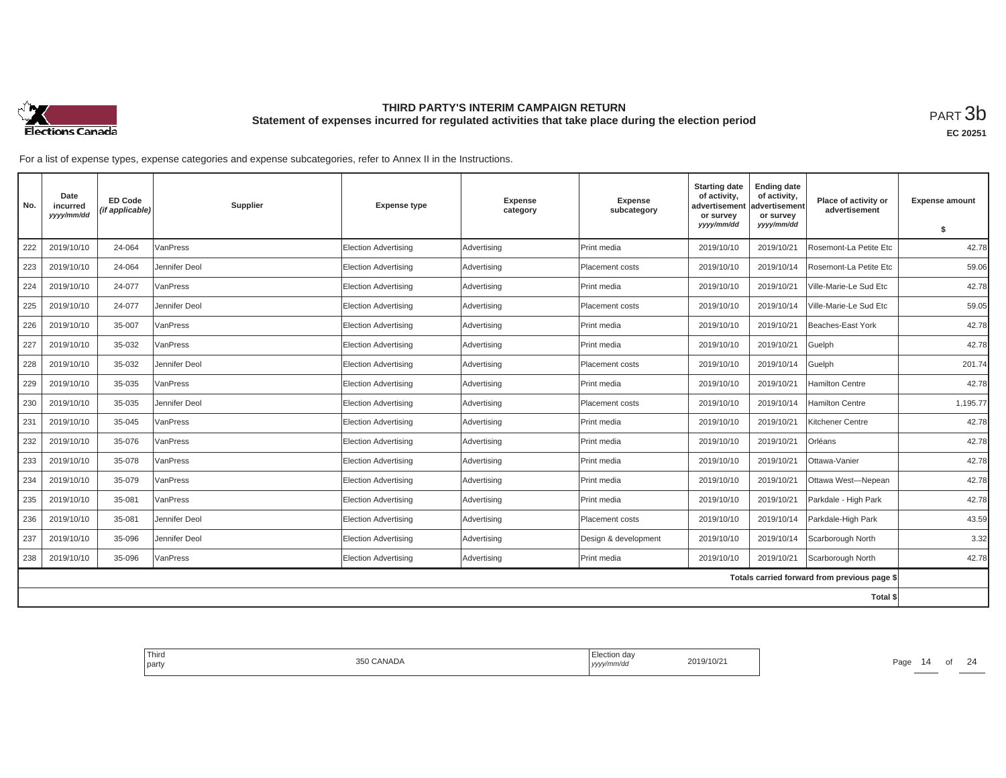

| No. | Date<br>incurred<br>yyyy/mm/dd | <b>ED Code</b><br>(if applicable) | Supplier      | <b>Expense type</b>         | <b>Expense</b><br>category | <b>Expense</b><br>subcategory | <b>Starting date</b><br>of activity,<br>advertisement<br>or survey | <b>Ending date</b><br>of activity,<br>advertisement<br>or survey | Place of activity or<br>advertisement        | <b>Expense amount</b> |
|-----|--------------------------------|-----------------------------------|---------------|-----------------------------|----------------------------|-------------------------------|--------------------------------------------------------------------|------------------------------------------------------------------|----------------------------------------------|-----------------------|
|     |                                |                                   |               |                             |                            |                               | yyyy/mm/dd                                                         | yyyy/mm/dd                                                       |                                              | \$                    |
| 222 | 2019/10/10                     | 24-064                            | VanPress      | <b>Election Advertising</b> | Advertising                | Print media                   | 2019/10/10                                                         | 2019/10/21                                                       | Rosemont-La Petite Etc                       | 42.78                 |
| 223 | 2019/10/10                     | 24-064                            | Jennifer Deol | Election Advertising        | Advertising                | Placement costs               | 2019/10/10                                                         | 2019/10/14                                                       | Rosemont-La Petite Etc                       | 59.06                 |
| 224 | 2019/10/10                     | 24-077                            | VanPress      | <b>Election Advertising</b> | Advertising                | Print media                   | 2019/10/10                                                         | 2019/10/21                                                       | Ville-Marie-Le Sud Etc                       | 42.78                 |
| 225 | 2019/10/10                     | 24-077                            | Jennifer Deol | <b>Election Advertising</b> | Advertising                | Placement costs               | 2019/10/10                                                         | 2019/10/14                                                       | Ville-Marie-Le Sud Etc                       | 59.05                 |
| 226 | 2019/10/10                     | 35-007                            | VanPress      | Election Advertising        | Advertising                | Print media                   | 2019/10/10                                                         | 2019/10/21                                                       | Beaches-East York                            | 42.78                 |
| 227 | 2019/10/10                     | 35-032                            | VanPress      | <b>Election Advertising</b> | Advertising                | Print media                   | 2019/10/10                                                         | 2019/10/21                                                       | Guelph                                       | 42.78                 |
| 228 | 2019/10/10                     | 35-032                            | Jennifer Deol | Election Advertising        | Advertising                | Placement costs               | 2019/10/10                                                         | 2019/10/14                                                       | Guelph                                       | 201.74                |
| 229 | 2019/10/10                     | 35-035                            | VanPress      | <b>Election Advertising</b> | Advertising                | Print media                   | 2019/10/10                                                         | 2019/10/21                                                       | <b>Hamilton Centre</b>                       | 42.78                 |
| 230 | 2019/10/10                     | 35-035                            | Jennifer Deol | <b>Election Advertising</b> | Advertising                | Placement costs               | 2019/10/10                                                         | 2019/10/14                                                       | <b>Hamilton Centre</b>                       | 1,195.77              |
| 231 | 2019/10/10                     | 35-045                            | VanPress      | Election Advertising        | Advertising                | Print media                   | 2019/10/10                                                         | 2019/10/21                                                       | Kitchener Centre                             | 42.78                 |
| 232 | 2019/10/10                     | 35-076                            | VanPress      | <b>Election Advertising</b> | Advertising                | Print media                   | 2019/10/10                                                         | 2019/10/21                                                       | Orléans                                      | 42.78                 |
| 233 | 2019/10/10                     | 35-078                            | VanPress      | <b>Election Advertising</b> | Advertising                | Print media                   | 2019/10/10                                                         | 2019/10/21                                                       | Ottawa-Vanier                                | 42.78                 |
| 234 | 2019/10/10                     | 35-079                            | VanPress      | Election Advertising        | Advertising                | Print media                   | 2019/10/10                                                         | 2019/10/21                                                       | Ottawa West-Nepean                           | 42.78                 |
| 235 | 2019/10/10                     | 35-081                            | VanPress      | <b>Election Advertising</b> | Advertising                | Print media                   | 2019/10/10                                                         | 2019/10/21                                                       | Parkdale - High Park                         | 42.78                 |
| 236 | 2019/10/10                     | 35-081                            | Jennifer Deol | Election Advertising        | Advertising                | Placement costs               | 2019/10/10                                                         | 2019/10/14                                                       | Parkdale-High Park                           | 43.59                 |
| 237 | 2019/10/10                     | 35-096                            | Jennifer Deol | <b>Election Advertising</b> | Advertising                | Design & development          | 2019/10/10                                                         | 2019/10/14                                                       | Scarborough North                            | 3.32                  |
| 238 | 2019/10/10                     | 35-096                            | VanPress      | Election Advertising        | Advertising                | Print media                   | 2019/10/10                                                         | 2019/10/21                                                       | Scarborough North                            | 42.78                 |
|     |                                |                                   |               |                             |                            |                               |                                                                    |                                                                  | Totals carried forward from previous page \$ |                       |
|     |                                |                                   |               |                             |                            |                               |                                                                    |                                                                  | Total \$                                     |                       |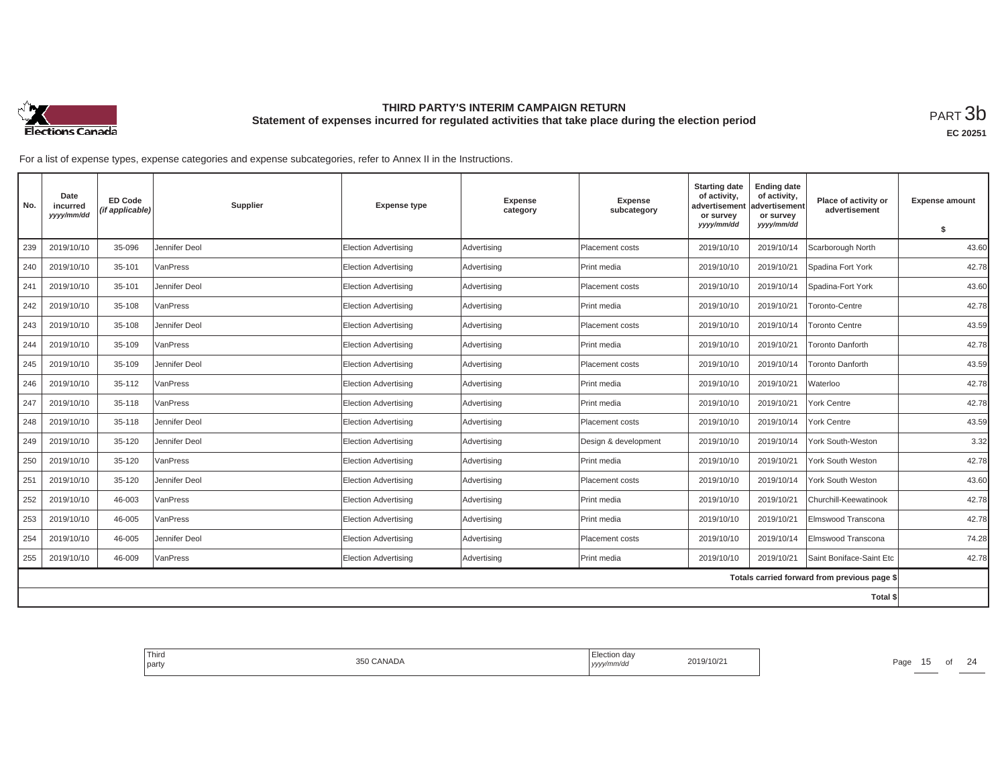

| No. | Date<br>incurred<br>yyyy/mm/dd | <b>ED Code</b><br>(if applicable) | Supplier      | <b>Expense type</b>         | <b>Expense</b><br>category | <b>Expense</b><br>subcategory | <b>Starting date</b><br>of activity,<br>advertisement<br>or survey | <b>Ending date</b><br>of activity,<br>advertisement<br>or survey | Place of activity or<br>advertisement        | <b>Expense amount</b> |
|-----|--------------------------------|-----------------------------------|---------------|-----------------------------|----------------------------|-------------------------------|--------------------------------------------------------------------|------------------------------------------------------------------|----------------------------------------------|-----------------------|
|     |                                |                                   |               |                             |                            |                               | yyyy/mm/dd                                                         | yyyy/mm/dd                                                       |                                              | \$                    |
| 239 | 2019/10/10                     | 35-096                            | Jennifer Deol | <b>Election Advertising</b> | Advertising                | <b>Placement costs</b>        | 2019/10/10                                                         | 2019/10/14                                                       | Scarborough North                            | 43.60                 |
| 240 | 2019/10/10                     | 35-101                            | VanPress      | <b>Election Advertising</b> | Advertising                | Print media                   | 2019/10/10                                                         | 2019/10/21                                                       | Spadina Fort York                            | 42.78                 |
| 241 | 2019/10/10                     | 35-101                            | Jennifer Deol | <b>Election Advertising</b> | Advertising                | Placement costs               | 2019/10/10                                                         | 2019/10/14                                                       | Spadina-Fort York                            | 43.60                 |
| 242 | 2019/10/10                     | 35-108                            | VanPress      | <b>Election Advertising</b> | Advertising                | Print media                   | 2019/10/10                                                         | 2019/10/21                                                       | Toronto-Centre                               | 42.78                 |
| 243 | 2019/10/10                     | 35-108                            | Jennifer Deol | <b>Election Advertising</b> | Advertising                | Placement costs               | 2019/10/10                                                         | 2019/10/14                                                       | <b>Toronto Centre</b>                        | 43.59                 |
| 244 | 2019/10/10                     | 35-109                            | VanPress      | <b>Election Advertising</b> | Advertising                | Print media                   | 2019/10/10                                                         | 2019/10/21                                                       | <b>Toronto Danforth</b>                      | 42.78                 |
| 245 | 2019/10/10                     | 35-109                            | Jennifer Deol | Election Advertising        | Advertising                | Placement costs               | 2019/10/10                                                         | 2019/10/14                                                       | <b>Toronto Danforth</b>                      | 43.59                 |
| 246 | 2019/10/10                     | 35-112                            | VanPress      | Election Advertising        | Advertising                | Print media                   | 2019/10/10                                                         | 2019/10/21                                                       | Waterloo                                     | 42.78                 |
| 247 | 2019/10/10                     | 35-118                            | VanPress      | <b>Election Advertising</b> | Advertising                | Print media                   | 2019/10/10                                                         | 2019/10/21                                                       | York Centre                                  | 42.78                 |
| 248 | 2019/10/10                     | 35-118                            | Jennifer Deol | <b>Election Advertising</b> | Advertising                | Placement costs               | 2019/10/10                                                         | 2019/10/14                                                       | York Centre                                  | 43.59                 |
| 249 | 2019/10/10                     | 35-120                            | Jennifer Deol | <b>Election Advertising</b> | Advertising                | Design & development          | 2019/10/10                                                         | 2019/10/14                                                       | York South-Weston                            | 3.32                  |
| 250 | 2019/10/10                     | 35-120                            | VanPress      | <b>Election Advertising</b> | Advertising                | Print media                   | 2019/10/10                                                         | 2019/10/21                                                       | York South Weston                            | 42.78                 |
| 251 | 2019/10/10                     | 35-120                            | Jennifer Deol | Election Advertisina        | Advertising                | Placement costs               | 2019/10/10                                                         | 2019/10/14                                                       | York South Weston                            | 43.60                 |
| 252 | 2019/10/10                     | 46-003                            | VanPress      | <b>Election Advertising</b> | Advertising                | Print media                   | 2019/10/10                                                         | 2019/10/21                                                       | Churchill-Keewatinook                        | 42.78                 |
| 253 | 2019/10/10                     | 46-005                            | VanPress      | <b>Election Advertising</b> | Advertising                | Print media                   | 2019/10/10                                                         | 2019/10/21                                                       | Elmswood Transcona                           | 42.78                 |
| 254 | 2019/10/10                     | 46-005                            | Jennifer Deol | Election Advertisina        | Advertising                | <b>Placement costs</b>        | 2019/10/10                                                         | 2019/10/14                                                       | Elmswood Transcona                           | 74.28                 |
| 255 | 2019/10/10                     | 46-009                            | VanPress      | <b>Election Advertising</b> | Advertising                | Print media                   | 2019/10/10                                                         | 2019/10/21                                                       | Saint Boniface-Saint Etc                     | 42.78                 |
|     |                                |                                   |               |                             |                            |                               |                                                                    |                                                                  | Totals carried forward from previous page \$ |                       |
|     |                                |                                   |               |                             |                            |                               |                                                                    |                                                                  | Total \$                                     |                       |

| ' Third<br>party | ⊦ua<br>,,,,,<br>1111. | du it |
|------------------|-----------------------|-------|
|                  |                       |       |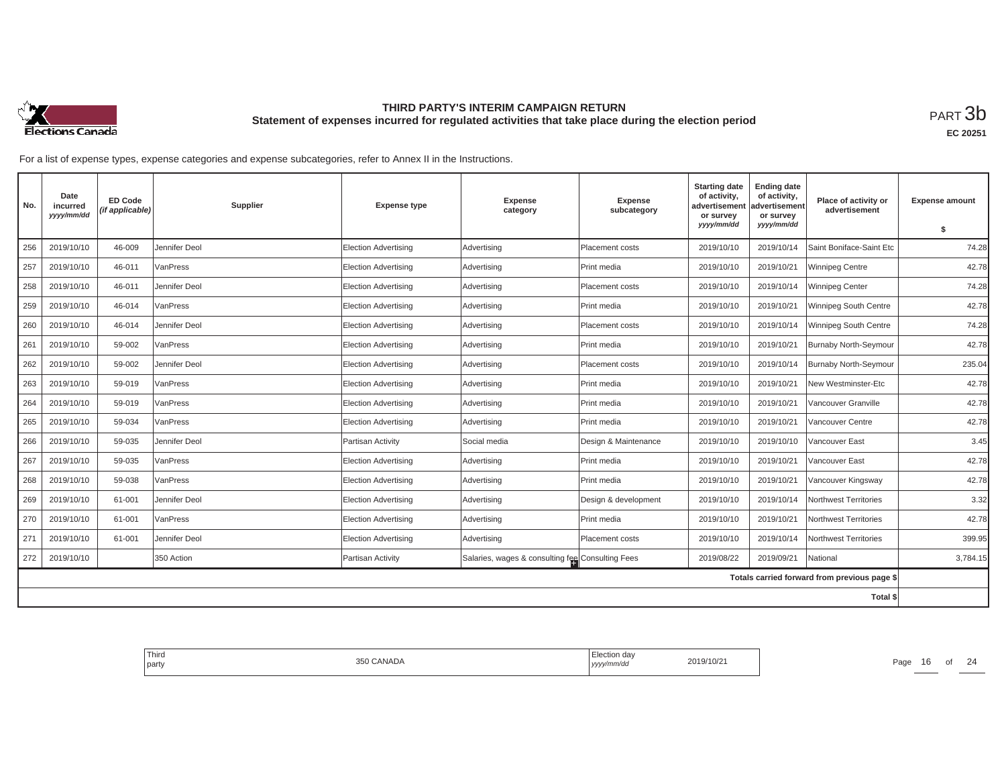

| No. | Date<br>incurred<br>yyyy/mm/dd | <b>ED Code</b><br>(if applicable) | Supplier      | <b>Expense type</b>         | <b>Expense</b><br>category                       | <b>Expense</b><br>subcategory | <b>Starting date</b><br>of activity,<br>advertisement<br>or survey | <b>Ending date</b><br>of activity,<br>advertisement<br>or survey | Place of activity or<br>advertisement        | <b>Expense amount</b> |
|-----|--------------------------------|-----------------------------------|---------------|-----------------------------|--------------------------------------------------|-------------------------------|--------------------------------------------------------------------|------------------------------------------------------------------|----------------------------------------------|-----------------------|
|     |                                |                                   |               |                             |                                                  |                               | yyyy/mm/dd                                                         | yyyy/mm/dd                                                       |                                              | \$                    |
| 256 | 2019/10/10                     | 46-009                            | Jennifer Deol | <b>Election Advertising</b> | Advertising                                      | Placement costs               | 2019/10/10                                                         | 2019/10/14                                                       | Saint Boniface-Saint Etc                     | 74.28                 |
| 257 | 2019/10/10                     | 46-011                            | VanPress      | <b>Election Advertising</b> | Advertising                                      | Print media                   | 2019/10/10                                                         | 2019/10/21                                                       | <b>Winnipeg Centre</b>                       | 42.78                 |
| 258 | 2019/10/10                     | 46-011                            | Jennifer Deol | <b>Election Advertising</b> | Advertising                                      | Placement costs               | 2019/10/10                                                         | 2019/10/14                                                       | Winnipeg Center                              | 74.28                 |
| 259 | 2019/10/10                     | 46-014                            | VanPress      | Election Advertising        | Advertising                                      | Print media                   | 2019/10/10                                                         | 2019/10/21                                                       | Winnipeg South Centre                        | 42.78                 |
| 260 | 2019/10/10                     | 46-014                            | Jennifer Deol | <b>Election Advertising</b> | Advertising                                      | Placement costs               | 2019/10/10                                                         | 2019/10/14                                                       | Winnipeg South Centre                        | 74.28                 |
| 261 | 2019/10/10                     | 59-002                            | VanPress      | <b>Election Advertising</b> | Advertising                                      | Print media                   | 2019/10/10                                                         | 2019/10/21                                                       | <b>Burnaby North-Seymour</b>                 | 42.78                 |
| 262 | 2019/10/10                     | 59-002                            | Jennifer Deol | <b>Election Advertising</b> | Advertising                                      | Placement costs               | 2019/10/10                                                         | 2019/10/14                                                       | <b>Burnaby North-Seymour</b>                 | 235.04                |
| 263 | 2019/10/10                     | 59-019                            | VanPress      | <b>Election Advertising</b> | Advertising                                      | Print media                   | 2019/10/10                                                         | 2019/10/21                                                       | New Westminster-Etc                          | 42.78                 |
| 264 | 2019/10/10                     | 59-019                            | VanPress      | <b>Election Advertising</b> | Advertising                                      | Print media                   | 2019/10/10                                                         | 2019/10/21                                                       | /ancouver Granville                          | 42.78                 |
| 265 | 2019/10/10                     | 59-034                            | VanPress      | <b>Election Advertising</b> | Advertising                                      | Print media                   | 2019/10/10                                                         | 2019/10/21                                                       | Vancouver Centre                             | 42.78                 |
| 266 | 2019/10/10                     | 59-035                            | Jennifer Deol | Partisan Activity           | Social media                                     | Design & Maintenance          | 2019/10/10                                                         | 2019/10/10                                                       | Vancouver East                               | 3.45                  |
| 267 | 2019/10/10                     | 59-035                            | VanPress      | <b>Election Advertising</b> | Advertising                                      | Print media                   | 2019/10/10                                                         | 2019/10/21                                                       | Vancouver East                               | 42.78                 |
| 268 | 2019/10/10                     | 59-038                            | VanPress      | <b>Election Advertising</b> | Advertising                                      | Print media                   | 2019/10/10                                                         | 2019/10/21                                                       | Vancouver Kingsway                           | 42.78                 |
| 269 | 2019/10/10                     | 61-001                            | Jennifer Deol | <b>Election Advertising</b> | Advertising                                      | Design & development          | 2019/10/10                                                         | 2019/10/14                                                       | Northwest Territories                        | 3.32                  |
| 270 | 2019/10/10                     | 61-001                            | VanPress      | <b>Election Advertising</b> | Advertising                                      | Print media                   | 2019/10/10                                                         | 2019/10/21                                                       | <b>Northwest Territories</b>                 | 42.78                 |
| 271 | 2019/10/10                     | 61-001                            | Jennifer Deol | <b>Election Advertising</b> | Advertising                                      | Placement costs               | 2019/10/10                                                         | 2019/10/14                                                       | Northwest Territories                        | 399.95                |
| 272 | 2019/10/10                     |                                   | 350 Action    | Partisan Activity           | Salaries, wages & consulting fee Consulting Fees |                               | 2019/08/22                                                         | 2019/09/21                                                       | National                                     | 3,784.15              |
|     |                                |                                   |               |                             |                                                  |                               |                                                                    |                                                                  | Totals carried forward from previous page \$ |                       |
|     |                                |                                   |               |                             |                                                  |                               |                                                                    |                                                                  | Total \$                                     |                       |

| Third<br>party | 350 CANADA | Election day<br>  yyyy/mm/dd | 2019/10/21 | Page | ט | $\bigcap$<br>{ 2 |
|----------------|------------|------------------------------|------------|------|---|------------------|
|                |            |                              |            |      |   |                  |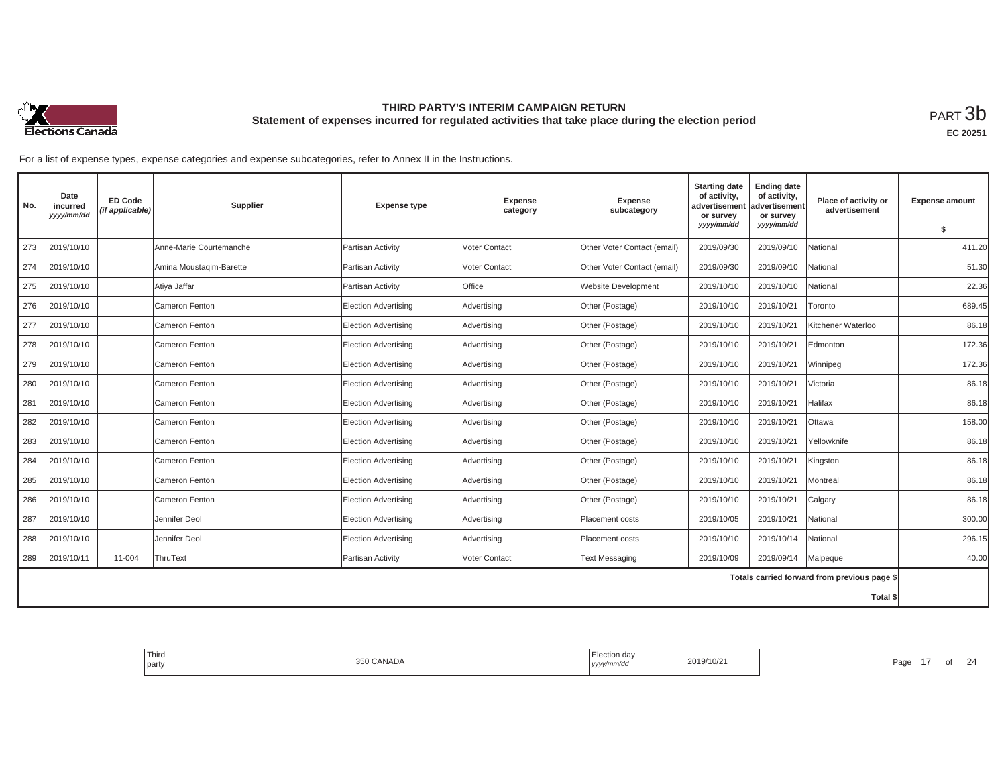

**EC 20251**

| No. | Date<br>incurred<br>yyyy/mm/dd | <b>ED Code</b><br>(if applicable) | Supplier                | <b>Expense type</b>         | <b>Expense</b><br>category | <b>Expense</b><br>subcategory | <b>Starting date</b><br>of activity,<br>advertisement<br>or survey | <b>Ending date</b><br>of activity,<br>advertisement<br>or survey | Place of activity or<br>advertisement        | <b>Expense amount</b> |
|-----|--------------------------------|-----------------------------------|-------------------------|-----------------------------|----------------------------|-------------------------------|--------------------------------------------------------------------|------------------------------------------------------------------|----------------------------------------------|-----------------------|
|     |                                |                                   |                         |                             |                            |                               | yyyy/mm/dd                                                         | yyyy/mm/dd                                                       |                                              | $\mathbf{s}$          |
| 273 | 2019/10/10                     |                                   | Anne-Marie Courtemanche | Partisan Activity           | <b>Voter Contact</b>       | Other Voter Contact (email)   | 2019/09/30                                                         | 2019/09/10                                                       | National                                     | 411.20                |
| 274 | 2019/10/10                     |                                   | Amina Moustagim-Barette | Partisan Activity           | Voter Contact              | Other Voter Contact (email)   | 2019/09/30                                                         | 2019/09/10                                                       | National                                     | 51.30                 |
| 275 | 2019/10/10                     |                                   | Atiya Jaffar            | Partisan Activity           | <b>Office</b>              | Website Development           | 2019/10/10                                                         | 2019/10/10                                                       | National                                     | 22.36                 |
| 276 | 2019/10/10                     |                                   | Cameron Fenton          | <b>Election Advertising</b> | Advertising                | Other (Postage)               | 2019/10/10                                                         | 2019/10/21                                                       | Toronto                                      | 689.45                |
| 277 | 2019/10/10                     |                                   | Cameron Fenton          | Election Advertising        | Advertising                | Other (Postage)               | 2019/10/10                                                         | 2019/10/21                                                       | Kitchener Waterloo                           | 86.18                 |
| 278 | 2019/10/10                     |                                   | Cameron Fenton          | Election Advertising        | Advertising                | Other (Postage)               | 2019/10/10                                                         | 2019/10/21                                                       | Edmonton                                     | 172.36                |
| 279 | 2019/10/10                     |                                   | Cameron Fenton          | Election Advertising        | Advertising                | Other (Postage)               | 2019/10/10                                                         | 2019/10/21                                                       | Winnipeg                                     | 172.36                |
| 280 | 2019/10/10                     |                                   | Cameron Fenton          | <b>Election Advertising</b> | Advertising                | Other (Postage)               | 2019/10/10                                                         | 2019/10/21                                                       | Victoria                                     | 86.18                 |
| 281 | 2019/10/10                     |                                   | Cameron Fenton          | Election Advertising        | Advertising                | Other (Postage)               | 2019/10/10                                                         | 2019/10/21                                                       | Halifax                                      | 86.18                 |
| 282 | 2019/10/10                     |                                   | Cameron Fenton          | Election Advertising        | Advertising                | Other (Postage)               | 2019/10/10                                                         | 2019/10/21                                                       | Ottawa                                       | 158.00                |
| 283 | 2019/10/10                     |                                   | Cameron Fenton          | Election Advertising        | Advertising                | Other (Postage)               | 2019/10/10                                                         | 2019/10/21                                                       | Yellowknife                                  | 86.18                 |
| 284 | 2019/10/10                     |                                   | Cameron Fenton          | Election Advertisina        | Advertising                | Other (Postage)               | 2019/10/10                                                         | 2019/10/21                                                       | Kingston                                     | 86.18                 |
| 285 | 2019/10/10                     |                                   | Cameron Fenton          | <b>Election Advertising</b> | Advertising                | Other (Postage)               | 2019/10/10                                                         | 2019/10/21                                                       | Montreal                                     | 86.18                 |
| 286 | 2019/10/10                     |                                   | Cameron Fenton          | Election Advertising        | Advertising                | Other (Postage)               | 2019/10/10                                                         | 2019/10/21                                                       | Calgary                                      | 86.18                 |
| 287 | 2019/10/10                     |                                   | Jennifer Deol           | Election Advertising        | Advertising                | Placement costs               | 2019/10/05                                                         | 2019/10/21                                                       | National                                     | 300.00                |
| 288 | 2019/10/10                     |                                   | Jennifer Deol           | <b>Election Advertising</b> | Advertising                | Placement costs               | 2019/10/10                                                         | 2019/10/14                                                       | National                                     | 296.15                |
| 289 | 2019/10/11                     | 11-004                            | ThruText                | Partisan Activity           | Voter Contact              | <b>Text Messaging</b>         | 2019/10/09                                                         | 2019/09/14                                                       | Malpeque                                     | 40.00                 |
|     |                                |                                   |                         |                             |                            |                               |                                                                    |                                                                  | Totals carried forward from previous page \$ |                       |
|     |                                |                                   |                         |                             |                            |                               |                                                                    |                                                                  | <b>Total \$</b>                              |                       |

| ' Third<br>party | 350 CANADA | Election day<br>yyyy/mm/aa | 2019/10/21 | Page |  | $\bigcap$<br>{ 2 |
|------------------|------------|----------------------------|------------|------|--|------------------|
|                  |            |                            |            |      |  |                  |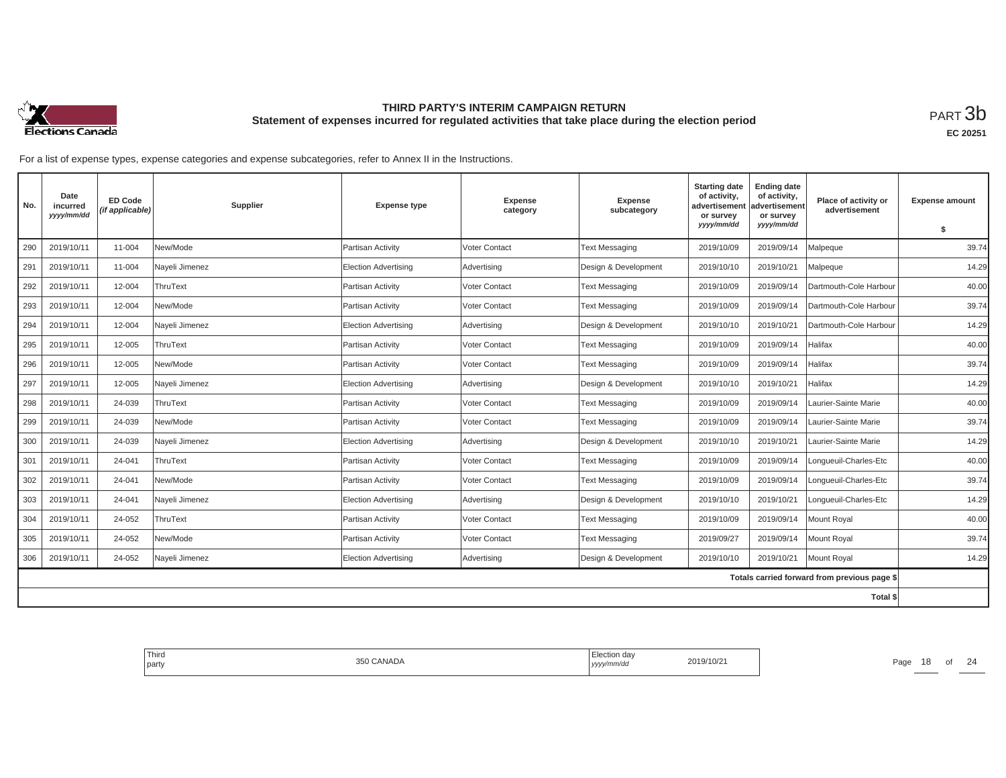

| No. | Date<br>incurred<br>yyyy/mm/dd | <b>ED Code</b><br>(if applicable) | Supplier       | <b>Expense type</b>         | <b>Expense</b><br>category | <b>Expense</b><br>subcategory | <b>Starting date</b><br>of activity,<br>advertisement<br>or survey | <b>Ending date</b><br>of activity,<br>advertisement<br>or survey | Place of activity or<br>advertisement        | <b>Expense amount</b> |
|-----|--------------------------------|-----------------------------------|----------------|-----------------------------|----------------------------|-------------------------------|--------------------------------------------------------------------|------------------------------------------------------------------|----------------------------------------------|-----------------------|
|     |                                |                                   |                |                             |                            |                               | yyyy/mm/dd                                                         | yyyy/mm/dd                                                       |                                              | \$                    |
| 290 | 2019/10/11                     | 11-004                            | New/Mode       | Partisan Activity           | <b>Voter Contact</b>       | <b>Text Messaging</b>         | 2019/10/09                                                         | 2019/09/14                                                       | Malpeque                                     | 39.74                 |
| 291 | 2019/10/11                     | 11-004                            | Nayeli Jimenez | Election Advertising        | Advertising                | Design & Development          | 2019/10/10                                                         | 2019/10/21                                                       | Malpeque                                     | 14.29                 |
| 292 | 2019/10/11                     | 12-004                            | ThruText       | Partisan Activity           | Voter Contact              | <b>Text Messaging</b>         | 2019/10/09                                                         | 2019/09/14                                                       | Dartmouth-Cole Harbour                       | 40.00                 |
| 293 | 2019/10/11                     | 12-004                            | New/Mode       | Partisan Activity           | <b>Voter Contact</b>       | <b>Text Messaging</b>         | 2019/10/09                                                         | 2019/09/14                                                       | Dartmouth-Cole Harbour                       | 39.74                 |
| 294 | 2019/10/11                     | 12-004                            | Nayeli Jimenez | Election Advertising        | Advertising                | Design & Development          | 2019/10/10                                                         | 2019/10/21                                                       | Dartmouth-Cole Harbour                       | 14.29                 |
| 295 | 2019/10/11                     | 12-005                            | ThruText       | Partisan Activity           | Voter Contact              | <b>Text Messaging</b>         | 2019/10/09                                                         | 2019/09/14                                                       | Halifax                                      | 40.00                 |
| 296 | 2019/10/11                     | 12-005                            | New/Mode       | Partisan Activity           | Voter Contact              | <b>Text Messaging</b>         | 2019/10/09                                                         | 2019/09/14                                                       | Halifax                                      | 39.74                 |
| 297 | 2019/10/11                     | 12-005                            | Nayeli Jimenez | <b>Election Advertising</b> | Advertising                | Design & Development          | 2019/10/10                                                         | 2019/10/21                                                       | Halifax                                      | 14.29                 |
| 298 | 2019/10/11                     | 24-039                            | ThruText       | Partisan Activity           | Voter Contact              | <b>Text Messaging</b>         | 2019/10/09                                                         | 2019/09/14                                                       | Laurier-Sainte Marie                         | 40.00                 |
| 299 | 2019/10/11                     | 24-039                            | New/Mode       | Partisan Activity           | Voter Contact              | <b>Text Messaging</b>         | 2019/10/09                                                         | 2019/09/14                                                       | Laurier-Sainte Marie                         | 39.74                 |
| 300 | 2019/10/11                     | 24-039                            | Nayeli Jimenez | Election Advertising        | Advertising                | Design & Development          | 2019/10/10                                                         | 2019/10/21                                                       | Laurier-Sainte Marie                         | 14.29                 |
| 301 | 2019/10/11                     | 24-041                            | ThruText       | Partisan Activity           | Voter Contact              | <b>Text Messaging</b>         | 2019/10/09                                                         | 2019/09/14                                                       | Longueuil-Charles-Etc                        | 40.00                 |
| 302 | 2019/10/11                     | 24-041                            | New/Mode       | Partisan Activity           | Voter Contact              | <b>Text Messaging</b>         | 2019/10/09                                                         | 2019/09/14                                                       | Longueuil-Charles-Etc                        | 39.74                 |
| 303 | 2019/10/11                     | 24-041                            | Nayeli Jimenez | Election Advertising        | Advertising                | Design & Development          | 2019/10/10                                                         | 2019/10/21                                                       | Lonqueuil-Charles-Etc                        | 14.29                 |
| 304 | 2019/10/11                     | 24-052                            | ThruText       | Partisan Activity           | Voter Contact              | <b>Text Messaging</b>         | 2019/10/09                                                         | 2019/09/14                                                       | Mount Royal                                  | 40.00                 |
| 305 | 2019/10/11                     | 24-052                            | New/Mode       | Partisan Activity           | <b>Voter Contact</b>       | <b>Text Messaging</b>         | 2019/09/27                                                         | 2019/09/14                                                       | Mount Royal                                  | 39.74                 |
| 306 | 2019/10/11                     | 24-052                            | Nayeli Jimenez | <b>Election Advertising</b> | Advertising                | Design & Development          | 2019/10/10                                                         | 2019/10/21                                                       | Mount Royal                                  | 14.29                 |
|     |                                |                                   |                |                             |                            |                               |                                                                    |                                                                  | Totals carried forward from previous page \$ |                       |
|     |                                |                                   |                |                             |                            |                               |                                                                    |                                                                  | Total \$                                     |                       |

| Third<br>l party | CANADA | …Juu∪n da∨<br>,,,,, | '10/2 | Page | o | $\sim$ |
|------------------|--------|---------------------|-------|------|---|--------|
|                  |        |                     |       |      |   |        |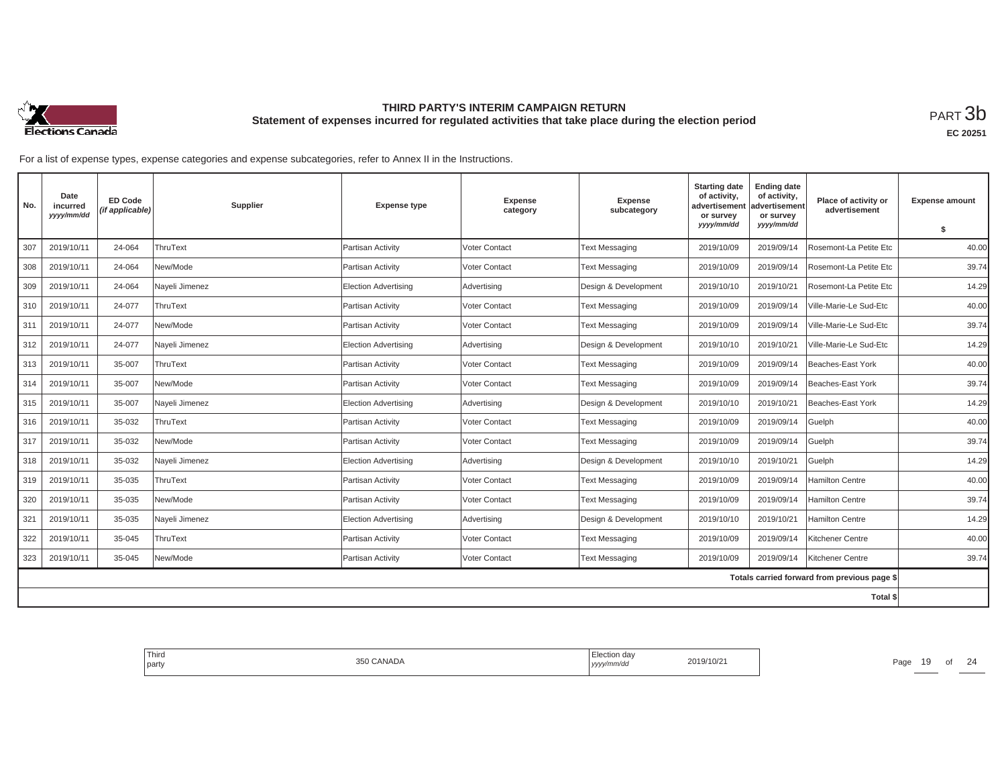

| No. | Date<br>incurred<br>yyyy/mm/dd | <b>ED Code</b><br>(if applicable) | Supplier       | <b>Expense type</b>         | <b>Expense</b><br>category | <b>Expense</b><br>subcategory | <b>Starting date</b><br>of activity,<br>advertisement<br>or survey | <b>Ending date</b><br>of activity,<br>advertisement<br>or survey | Place of activity or<br>advertisement        | <b>Expense amount</b> |
|-----|--------------------------------|-----------------------------------|----------------|-----------------------------|----------------------------|-------------------------------|--------------------------------------------------------------------|------------------------------------------------------------------|----------------------------------------------|-----------------------|
|     |                                |                                   |                |                             |                            |                               | yyyy/mm/dd                                                         | yyyy/mm/dd                                                       |                                              | \$                    |
| 307 | 2019/10/11                     | 24-064                            | ThruText       | Partisan Activity           | Voter Contact              | <b>Text Messaging</b>         | 2019/10/09                                                         | 2019/09/14                                                       | Rosemont-La Petite Etc                       | 40.00                 |
| 308 | 2019/10/11                     | 24-064                            | New/Mode       | Partisan Activity           | <b>Voter Contact</b>       | <b>Text Messaging</b>         | 2019/10/09                                                         | 2019/09/14                                                       | Rosemont-La Petite Etc                       | 39.74                 |
| 309 | 2019/10/11                     | 24-064                            | Nayeli Jimenez | <b>Election Advertising</b> | Advertising                | Design & Development          | 2019/10/10                                                         | 2019/10/21                                                       | Rosemont-La Petite Etc                       | 14.29                 |
| 310 | 2019/10/11                     | 24-077                            | ThruText       | Partisan Activity           | <b>Voter Contact</b>       | <b>Text Messaging</b>         | 2019/10/09                                                         | 2019/09/14                                                       | Ville-Marie-Le Sud-Etc                       | 40.00                 |
| 311 | 2019/10/11                     | 24-077                            | New/Mode       | Partisan Activity           | <b>Voter Contact</b>       | <b>Text Messaging</b>         | 2019/10/09                                                         | 2019/09/14                                                       | Ville-Marie-Le Sud-Etc                       | 39.74                 |
| 312 | 2019/10/11                     | 24-077                            | Nayeli Jimenez | <b>Election Advertising</b> | Advertising                | Design & Development          | 2019/10/10                                                         | 2019/10/21                                                       | Ville-Marie-Le Sud-Etc                       | 14.29                 |
| 313 | 2019/10/11                     | 35-007                            | ThruText       | Partisan Activity           | <b>Voter Contact</b>       | <b>Text Messaging</b>         | 2019/10/09                                                         | 2019/09/14                                                       | Beaches-East York                            | 40.00                 |
| 314 | 2019/10/11                     | 35-007                            | New/Mode       | Partisan Activity           | <b>Voter Contact</b>       | <b>Text Messaging</b>         | 2019/10/09                                                         | 2019/09/14                                                       | Beaches-East York                            | 39.74                 |
| 315 | 2019/10/11                     | 35-007                            | Nayeli Jimenez | <b>Election Advertising</b> | Advertising                | Design & Development          | 2019/10/10                                                         | 2019/10/21                                                       | Beaches-East York                            | 14.29                 |
| 316 | 2019/10/11                     | 35-032                            | ThruText       | Partisan Activity           | <b>Voter Contact</b>       | <b>Text Messaging</b>         | 2019/10/09                                                         | 2019/09/14                                                       | Guelph                                       | 40.00                 |
| 317 | 2019/10/11                     | 35-032                            | New/Mode       | Partisan Activity           | <b>Voter Contact</b>       | <b>Text Messaging</b>         | 2019/10/09                                                         | 2019/09/14                                                       | Guelph                                       | 39.74                 |
| 318 | 2019/10/11                     | 35-032                            | Nayeli Jimenez | <b>Election Advertising</b> | Advertising                | Design & Development          | 2019/10/10                                                         | 2019/10/21                                                       | Guelph                                       | 14.29                 |
| 319 | 2019/10/11                     | 35-035                            | ThruText       | Partisan Activity           | Voter Contact              | <b>Text Messaging</b>         | 2019/10/09                                                         | 2019/09/14                                                       | <b>Hamilton Centre</b>                       | 40.00                 |
| 320 | 2019/10/11                     | 35-035                            | New/Mode       | Partisan Activity           | Voter Contact              | <b>Text Messaging</b>         | 2019/10/09                                                         | 2019/09/14                                                       | Hamilton Centre                              | 39.74                 |
| 321 | 2019/10/11                     | 35-035                            | Nayeli Jimenez | <b>Election Advertising</b> | Advertising                | Design & Development          | 2019/10/10                                                         | 2019/10/21                                                       | Hamilton Centre                              | 14.29                 |
| 322 | 2019/10/11                     | 35-045                            | ThruText       | Partisan Activity           | <b>Voter Contact</b>       | <b>Text Messaging</b>         | 2019/10/09                                                         | 2019/09/14                                                       | Kitchener Centre                             | 40.00                 |
| 323 | 2019/10/11                     | 35-045                            | New/Mode       | Partisan Activity           | <b>Voter Contact</b>       | <b>Text Messaging</b>         | 2019/10/09                                                         | 2019/09/14                                                       | Kitchener Centre                             | 39.74                 |
|     |                                |                                   |                |                             |                            |                               |                                                                    |                                                                  | Totals carried forward from previous page \$ |                       |
|     |                                |                                   |                |                             |                            |                               |                                                                    |                                                                  | Total \$                                     |                       |

| Third<br>l party | CANADA | …Juu⊓ dav<br>,,,,, | '10/2 | Page | נ זי<br>$\sim$ | $\sim$ |
|------------------|--------|--------------------|-------|------|----------------|--------|
|                  |        |                    |       |      |                |        |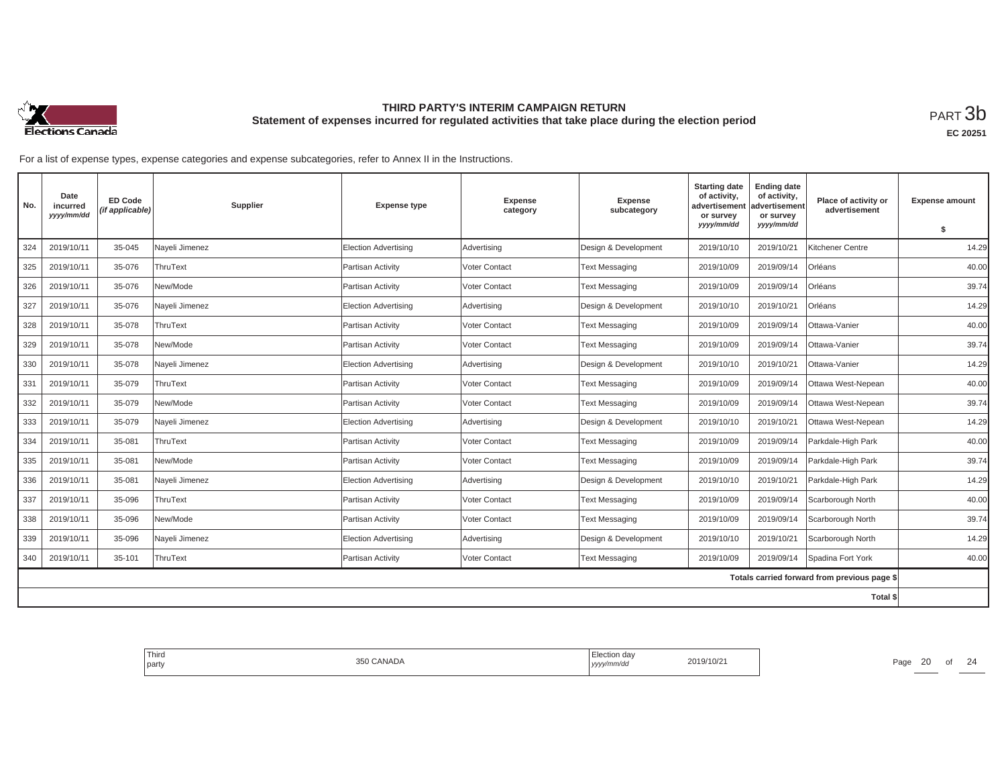

| No. | Date<br>incurred<br>yyyy/mm/dd | <b>ED Code</b><br>(if applicable) | Supplier       | <b>Expense type</b>  | <b>Expense</b><br>category | <b>Expense</b><br>subcategory | <b>Starting date</b><br>of activity,<br>advertisemen<br>or survey | <b>Ending date</b><br>of activity,<br>advertisement<br>or survey | Place of activity or<br>advertisement        | <b>Expense amount</b> |
|-----|--------------------------------|-----------------------------------|----------------|----------------------|----------------------------|-------------------------------|-------------------------------------------------------------------|------------------------------------------------------------------|----------------------------------------------|-----------------------|
|     |                                |                                   |                |                      |                            |                               | yyyy/mm/dd                                                        | yyyy/mm/dd                                                       |                                              | \$                    |
| 324 | 2019/10/11                     | 35-045                            | Nayeli Jimenez | Election Advertising | Advertising                | Design & Development          | 2019/10/10                                                        | 2019/10/21                                                       | Kitchener Centre                             | 14.29                 |
| 325 | 2019/10/11                     | 35-076                            | ThruText       | Partisan Activity    | Voter Contact              | <b>Text Messaging</b>         | 2019/10/09                                                        | 2019/09/14                                                       | Orléans                                      | 40.00                 |
| 326 | 2019/10/11                     | 35-076                            | New/Mode       | Partisan Activity    | Voter Contact              | <b>Text Messaging</b>         | 2019/10/09                                                        | 2019/09/14                                                       | Orléans                                      | 39.74                 |
| 327 | 2019/10/11                     | 35-076                            | Nayeli Jimenez | Election Advertising | Advertising                | Design & Development          | 2019/10/10                                                        | 2019/10/21                                                       | Orléans                                      | 14.29                 |
| 328 | 2019/10/11                     | 35-078                            | ThruText       | Partisan Activity    | Voter Contact              | <b>Text Messaging</b>         | 2019/10/09                                                        | 2019/09/14                                                       | Ottawa-Vanier                                | 40.00                 |
| 329 | 2019/10/11                     | 35-078                            | New/Mode       | Partisan Activity    | Voter Contact              | <b>Text Messaging</b>         | 2019/10/09                                                        | 2019/09/14                                                       | Ottawa-Vanier                                | 39.74                 |
| 330 | 2019/10/11                     | 35-078                            | Nayeli Jimenez | Election Advertising | Advertising                | Design & Development          | 2019/10/10                                                        | 2019/10/21                                                       | Ottawa-Vanier                                | 14.29                 |
| 331 | 2019/10/11                     | 35-079                            | ThruText       | Partisan Activity    | Voter Contact              | <b>Text Messaging</b>         | 2019/10/09                                                        | 2019/09/14                                                       | Ottawa West-Nepean                           | 40.00                 |
| 332 | 2019/10/11                     | 35-079                            | New/Mode       | Partisan Activity    | Voter Contact              | <b>Text Messaging</b>         | 2019/10/09                                                        | 2019/09/14                                                       | Ottawa West-Nepean                           | 39.74                 |
| 333 | 2019/10/11                     | 35-079                            | Nayeli Jimenez | Election Advertising | Advertising                | Design & Development          | 2019/10/10                                                        | 2019/10/21                                                       | Ottawa West-Nepean                           | 14.29                 |
| 334 | 2019/10/11                     | 35-081                            | ThruText       | Partisan Activity    | Voter Contact              | <b>Text Messaging</b>         | 2019/10/09                                                        | 2019/09/14                                                       | Parkdale-High Park                           | 40.00                 |
| 335 | 2019/10/11                     | 35-081                            | New/Mode       | Partisan Activity    | <b>Voter Contact</b>       | <b>Text Messaging</b>         | 2019/10/09                                                        | 2019/09/14                                                       | Parkdale-High Park                           | 39.74                 |
| 336 | 2019/10/11                     | 35-081                            | Nayeli Jimenez | Election Advertising | Advertising                | Design & Development          | 2019/10/10                                                        | 2019/10/21                                                       | Parkdale-High Park                           | 14.29                 |
| 337 | 2019/10/11                     | 35-096                            | ThruText       | Partisan Activity    | Voter Contact              | <b>Text Messaging</b>         | 2019/10/09                                                        | 2019/09/14                                                       | Scarborough North                            | 40.00                 |
| 338 | 2019/10/11                     | 35-096                            | New/Mode       | Partisan Activity    | Voter Contact              | <b>Text Messaging</b>         | 2019/10/09                                                        | 2019/09/14                                                       | Scarborough North                            | 39.74                 |
| 339 | 2019/10/11                     | 35-096                            | Nayeli Jimenez | Election Advertising | Advertising                | Design & Development          | 2019/10/10                                                        | 2019/10/21                                                       | Scarborough North                            | 14.29                 |
| 340 | 2019/10/11                     | 35-101                            | ThruText       | Partisan Activity    | Voter Contact              | <b>Text Messaging</b>         | 2019/10/09                                                        | 2019/09/14                                                       | Spadina Fort York                            | 40.00                 |
|     |                                |                                   |                |                      |                            |                               |                                                                   |                                                                  | Totals carried forward from previous page \$ |                       |
|     |                                |                                   |                |                      |                            |                               |                                                                   |                                                                  | <b>Total \$</b>                              |                       |

| Third<br>l partv | $\cdots$<br>ANADA | …Jul∪n da∨<br>,,,,, | '10/2 | 20<br>Page |  |
|------------------|-------------------|---------------------|-------|------------|--|
|                  |                   |                     |       |            |  |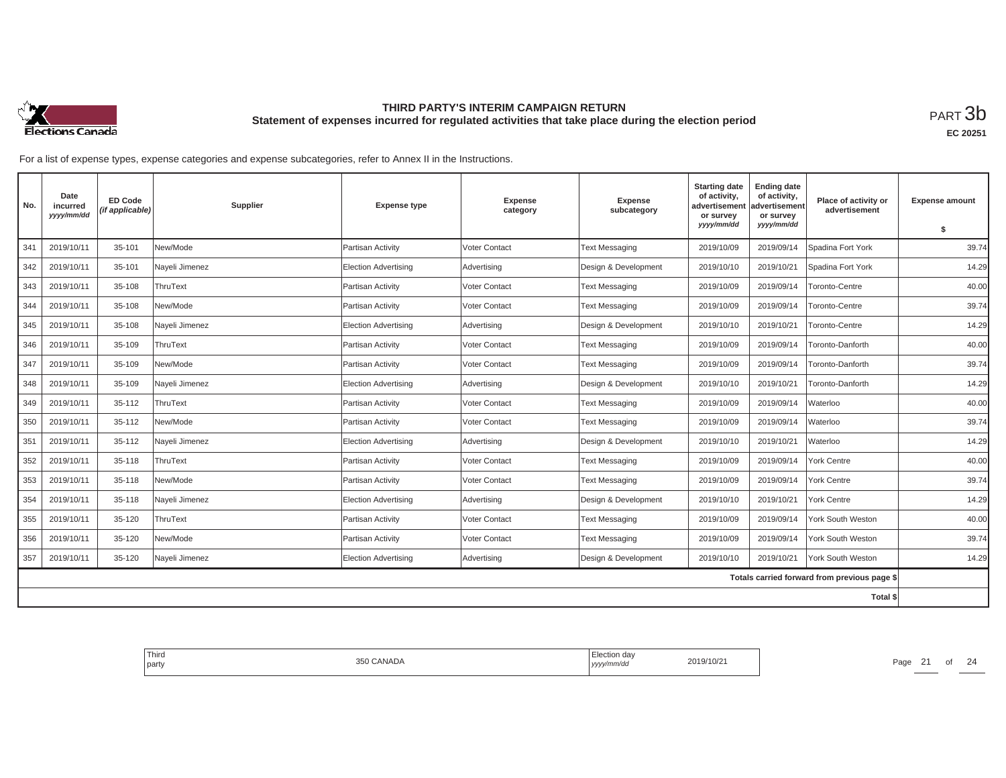

**EC 20251**

| No. | Date<br>incurred<br>yyyy/mm/dd | <b>ED Code</b><br>(if applicable) | Supplier       | <b>Expense type</b>         | <b>Expense</b><br>category | <b>Expense</b><br>subcategory | <b>Starting date</b><br>of activity,<br>advertisement<br>or survey<br>yyyy/mm/dd | <b>Ending date</b><br>of activity,<br>advertisement<br>or survey<br>yyyy/mm/dd | Place of activity or<br>advertisement        | <b>Expense amount</b> |
|-----|--------------------------------|-----------------------------------|----------------|-----------------------------|----------------------------|-------------------------------|----------------------------------------------------------------------------------|--------------------------------------------------------------------------------|----------------------------------------------|-----------------------|
|     |                                |                                   |                |                             |                            |                               |                                                                                  |                                                                                |                                              | \$                    |
| 341 | 2019/10/11                     | 35-101                            | New/Mode       | Partisan Activity           | <b>Voter Contact</b>       | <b>Text Messaging</b>         | 2019/10/09                                                                       | 2019/09/14                                                                     | Spadina Fort York                            | 39.74                 |
| 342 | 2019/10/11                     | 35-101                            | Nayeli Jimenez | <b>Election Advertising</b> | Advertising                | Design & Development          | 2019/10/10                                                                       | 2019/10/21                                                                     | Spadina Fort York                            | 14.29                 |
| 343 | 2019/10/11                     | 35-108                            | ThruText       | Partisan Activity           | Voter Contact              | <b>Text Messaging</b>         | 2019/10/09                                                                       | 2019/09/14                                                                     | Toronto-Centre                               | 40.00                 |
| 344 | 2019/10/11                     | 35-108                            | New/Mode       | Partisan Activity           | Voter Contact              | <b>Text Messaging</b>         | 2019/10/09                                                                       | 2019/09/14                                                                     | Toronto-Centre                               | 39.74                 |
| 345 | 2019/10/11                     | 35-108                            | Nayeli Jimenez | <b>Election Advertising</b> | Advertising                | Design & Development          | 2019/10/10                                                                       | 2019/10/21                                                                     | Toronto-Centre                               | 14.29                 |
| 346 | 2019/10/11                     | 35-109                            | ThruText       | Partisan Activity           | Voter Contact              | <b>Text Messaging</b>         | 2019/10/09                                                                       | 2019/09/14                                                                     | Toronto-Danforth                             | 40.00                 |
| 347 | 2019/10/11                     | 35-109                            | New/Mode       | Partisan Activity           | Voter Contact              | <b>Text Messaging</b>         | 2019/10/09                                                                       | 2019/09/14                                                                     | Toronto-Danforth                             | 39.74                 |
| 348 | 2019/10/11                     | 35-109                            | Nayeli Jimenez | <b>Election Advertising</b> | Advertising                | Design & Development          | 2019/10/10                                                                       | 2019/10/21                                                                     | Toronto-Danforth                             | 14.29                 |
| 349 | 2019/10/11                     | 35-112                            | ThruText       | Partisan Activity           | Voter Contact              | <b>Text Messaging</b>         | 2019/10/09                                                                       | 2019/09/14                                                                     | Waterloo                                     | 40.00                 |
| 350 | 2019/10/11                     | 35-112                            | New/Mode       | Partisan Activity           | Voter Contact              | <b>Text Messaging</b>         | 2019/10/09                                                                       | 2019/09/14                                                                     | Waterloo                                     | 39.74                 |
| 351 | 2019/10/11                     | 35-112                            | Nayeli Jimenez | <b>Election Advertising</b> | Advertising                | Design & Development          | 2019/10/10                                                                       | 2019/10/21                                                                     | Waterloo                                     | 14.29                 |
| 352 | 2019/10/11                     | 35-118                            | ThruText       | Partisan Activity           | Voter Contact              | <b>Text Messaging</b>         | 2019/10/09                                                                       | 2019/09/14                                                                     | York Centre                                  | 40.00                 |
| 353 | 2019/10/11                     | 35-118                            | New/Mode       | Partisan Activity           | Voter Contact              | <b>Text Messaging</b>         | 2019/10/09                                                                       | 2019/09/14                                                                     | York Centre                                  | 39.74                 |
| 354 | 2019/10/11                     | 35-118                            | Nayeli Jimenez | <b>Election Advertising</b> | Advertising                | Design & Development          | 2019/10/10                                                                       | 2019/10/21                                                                     | York Centre                                  | 14.29                 |
| 355 | 2019/10/11                     | 35-120                            | ThruText       | Partisan Activity           | Voter Contact              | <b>Text Messaging</b>         | 2019/10/09                                                                       | 2019/09/14                                                                     | York South Weston                            | 40.00                 |
| 356 | 2019/10/11                     | 35-120                            | New/Mode       | Partisan Activity           | Voter Contact              | <b>Text Messaging</b>         | 2019/10/09                                                                       | 2019/09/14                                                                     | York South Weston                            | 39.74                 |
| 357 | 2019/10/11                     | 35-120                            | Nayeli Jimenez | <b>Election Advertising</b> | Advertising                | Design & Development          | 2019/10/10                                                                       | 2019/10/21                                                                     | York South Weston                            | 14.29                 |
|     |                                |                                   |                |                             |                            |                               |                                                                                  |                                                                                | Totals carried forward from previous page \$ |                       |
|     |                                |                                   |                |                             |                            |                               |                                                                                  |                                                                                | Total \$                                     |                       |

| Third<br>party | 350 CANADA | Election day<br>2019/10/21<br>yyyy/mm/dd | 24<br>$\Omega$<br>Page<br>- |
|----------------|------------|------------------------------------------|-----------------------------|
|                |            |                                          |                             |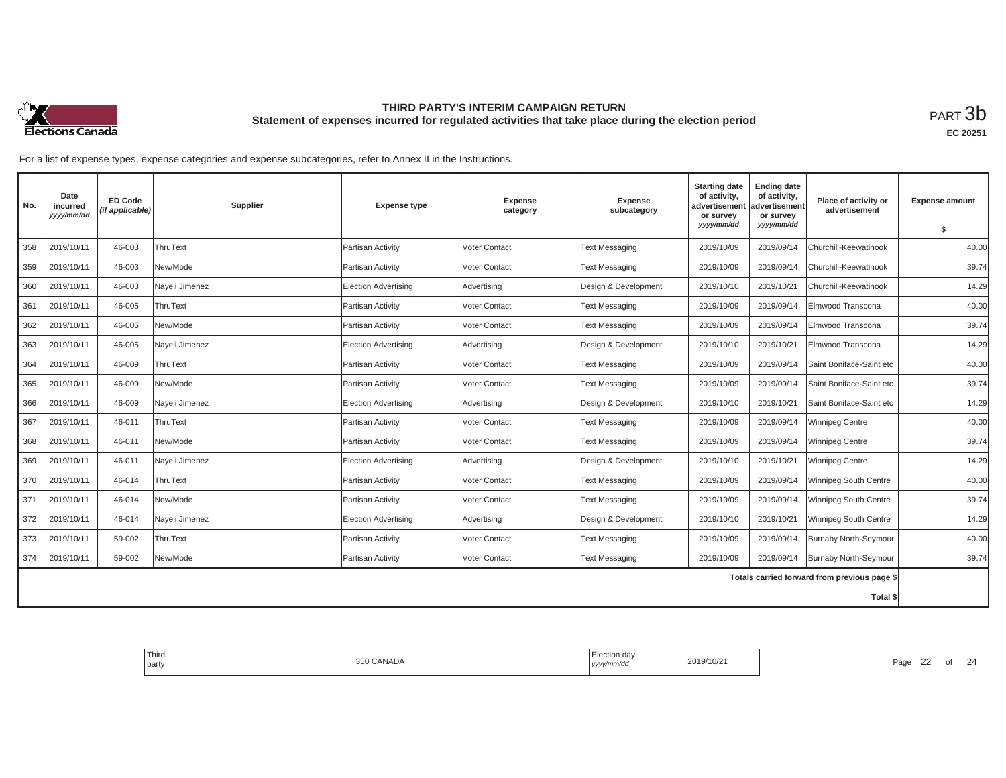

| No. | Date<br>incurred<br>yyyy/mm/dd | <b>ED Code</b><br>(if applicable) | Supplier       | <b>Expense type</b>         | <b>Expense</b><br>category | <b>Expense</b><br>subcategory | <b>Starting date</b><br>of activity,<br>advertisemen<br>or survey | <b>Ending date</b><br>of activity,<br>advertisement<br>or survey | Place of activity or<br>advertisement        | <b>Expense amount</b> |
|-----|--------------------------------|-----------------------------------|----------------|-----------------------------|----------------------------|-------------------------------|-------------------------------------------------------------------|------------------------------------------------------------------|----------------------------------------------|-----------------------|
|     |                                |                                   |                |                             |                            |                               | yyyy/mm/dd                                                        | yyyy/mm/dd                                                       |                                              | \$                    |
| 358 | 2019/10/11                     | 46-003                            | ThruText       | Partisan Activity           | Voter Contact              | <b>Text Messaging</b>         | 2019/10/09                                                        | 2019/09/14                                                       | Churchill-Keewatinook                        | 40.00                 |
| 359 | 2019/10/11                     | 46-003                            | New/Mode       | Partisan Activity           | <b>Voter Contact</b>       | <b>Text Messaging</b>         | 2019/10/09                                                        | 2019/09/14                                                       | Churchill-Keewatinook                        | 39.74                 |
| 360 | 2019/10/11                     | 46-003                            | Nayeli Jimenez | <b>Election Advertising</b> | Advertising                | Design & Development          | 2019/10/10                                                        | 2019/10/21                                                       | Churchill-Keewatinook                        | 14.29                 |
| 361 | 2019/10/11                     | 46-005                            | ThruText       | Partisan Activity           | <b>Voter Contact</b>       | <b>Text Messaging</b>         | 2019/10/09                                                        | 2019/09/14                                                       | Elmwood Transcona                            | 40.00                 |
| 362 | 2019/10/11                     | 46-005                            | New/Mode       | Partisan Activity           | <b>Voter Contact</b>       | <b>Text Messaging</b>         | 2019/10/09                                                        | 2019/09/14                                                       | Elmwood Transcona                            | 39.74                 |
| 363 | 2019/10/11                     | 46-005                            | Nayeli Jimenez | <b>Election Advertising</b> | Advertising                | Design & Development          | 2019/10/10                                                        | 2019/10/21                                                       | Elmwood Transcona                            | 14.29                 |
| 364 | 2019/10/11                     | 46-009                            | ThruText       | Partisan Activity           | Voter Contact              | <b>Text Messaging</b>         | 2019/10/09                                                        | 2019/09/14                                                       | Saint Boniface-Saint etc                     | 40.00                 |
| 365 | 2019/10/11                     | 46-009                            | New/Mode       | Partisan Activity           | <b>Voter Contact</b>       | <b>Text Messaging</b>         | 2019/10/09                                                        | 2019/09/14                                                       | Saint Boniface-Saint etc                     | 39.74                 |
| 366 | 2019/10/11                     | 46-009                            | Nayeli Jimenez | <b>Election Advertising</b> | Advertising                | Design & Development          | 2019/10/10                                                        | 2019/10/21                                                       | Saint Boniface-Saint etc                     | 14.29                 |
| 367 | 2019/10/11                     | 46-011                            | ThruText       | Partisan Activity           | <b>Voter Contact</b>       | <b>Text Messaging</b>         | 2019/10/09                                                        | 2019/09/14                                                       | <b>Winnipeg Centre</b>                       | 40.00                 |
| 368 | 2019/10/11                     | 46-011                            | New/Mode       | Partisan Activity           | Voter Contact              | <b>Text Messaging</b>         | 2019/10/09                                                        | 2019/09/14                                                       | <b>Winnipeg Centre</b>                       | 39.74                 |
| 369 | 2019/10/11                     | 46-011                            | Nayeli Jimenez | <b>Election Advertising</b> | Advertising                | Design & Development          | 2019/10/10                                                        | 2019/10/21                                                       | <b>Winnipeg Centre</b>                       | 14.29                 |
| 370 | 2019/10/11                     | 46-014                            | ThruText       | Partisan Activity           | <b>Voter Contact</b>       | <b>Text Messaging</b>         | 2019/10/09                                                        | 2019/09/14                                                       | Winnipeg South Centre                        | 40.00                 |
| 371 | 2019/10/11                     | 46-014                            | New/Mode       | Partisan Activity           | Voter Contact              | <b>Text Messaging</b>         | 2019/10/09                                                        | 2019/09/14                                                       | Winnipeg South Centre                        | 39.74                 |
| 372 | 2019/10/11                     | 46-014                            | Nayeli Jimenez | <b>Election Advertising</b> | Advertising                | Design & Development          | 2019/10/10                                                        | 2019/10/21                                                       | Winnipeg South Centre                        | 14.29                 |
| 373 | 2019/10/11                     | 59-002                            | ThruText       | Partisan Activity           | Voter Contact              | <b>Text Messaging</b>         | 2019/10/09                                                        | 2019/09/14                                                       | <b>Burnaby North-Seymour</b>                 | 40.00                 |
| 374 | 2019/10/11                     | 59-002                            | New/Mode       | Partisan Activity           | <b>Voter Contact</b>       | <b>Text Messaging</b>         | 2019/10/09                                                        | 2019/09/14                                                       | Burnaby North-Seymour                        | 39.74                 |
|     |                                |                                   |                |                             |                            |                               |                                                                   |                                                                  | Totals carried forward from previous page \$ |                       |
|     |                                |                                   |                |                             |                            |                               |                                                                   |                                                                  | <b>Total \$</b>                              |                       |

| Third<br>l partv | $\overline{\phantom{a}}$<br>ANADA | …Juion da⊻<br>,,,,, | '10/2 | Page | $\sim$<br>∠∠ | $\sim$ $\cdot$ |
|------------------|-----------------------------------|---------------------|-------|------|--------------|----------------|
|                  |                                   |                     |       |      |              |                |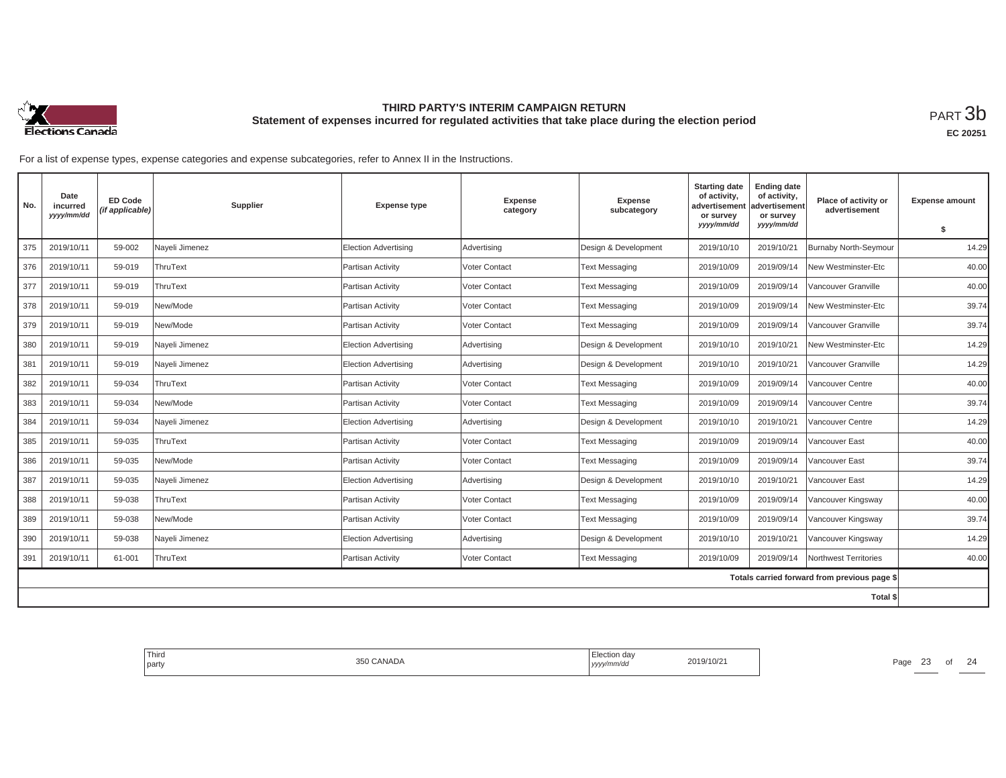

| No. | Date<br>incurred<br>yyyy/mm/dd | <b>ED Code</b><br>(if applicable) | Supplier       | <b>Expense type</b>         | <b>Expense</b><br>category | <b>Expense</b><br>subcategory | <b>Starting date</b><br>of activity,<br>advertisement<br>or survey | <b>Ending date</b><br>of activity,<br>advertisement<br>or survey | Place of activity or<br>advertisement        | <b>Expense amount</b> |
|-----|--------------------------------|-----------------------------------|----------------|-----------------------------|----------------------------|-------------------------------|--------------------------------------------------------------------|------------------------------------------------------------------|----------------------------------------------|-----------------------|
|     |                                |                                   |                |                             |                            |                               | yyyy/mm/dd                                                         | yyyy/mm/dd                                                       |                                              | \$                    |
| 375 | 2019/10/11                     | 59-002                            | Nayeli Jimenez | <b>Election Advertising</b> | Advertising                | Design & Development          | 2019/10/10                                                         | 2019/10/21                                                       | Burnaby North-Seymour                        | 14.29                 |
| 376 | 2019/10/11                     | 59-019                            | ThruText       | Partisan Activity           | Voter Contact              | <b>Text Messaging</b>         | 2019/10/09                                                         | 2019/09/14                                                       | New Westminster-Etc                          | 40.00                 |
| 377 | 2019/10/11                     | 59-019                            | ThruText       | Partisan Activity           | Voter Contact              | <b>Text Messaging</b>         | 2019/10/09                                                         | 2019/09/14                                                       | Vancouver Granville                          | 40.00                 |
| 378 | 2019/10/11                     | 59-019                            | New/Mode       | Partisan Activity           | Voter Contact              | <b>Text Messaging</b>         | 2019/10/09                                                         | 2019/09/14                                                       | New Westminster-Etc                          | 39.74                 |
| 379 | 2019/10/11                     | 59-019                            | New/Mode       | Partisan Activity           | Voter Contact              | <b>Text Messaging</b>         | 2019/10/09                                                         | 2019/09/14                                                       | Vancouver Granville                          | 39.74                 |
| 380 | 2019/10/11                     | 59-019                            | Nayeli Jimenez | <b>Election Advertising</b> | Advertising                | Design & Development          | 2019/10/10                                                         | 2019/10/21                                                       | New Westminster-Etc                          | 14.29                 |
| 381 | 2019/10/11                     | 59-019                            | Nayeli Jimenez | <b>Election Advertising</b> | Advertising                | Design & Development          | 2019/10/10                                                         | 2019/10/21                                                       | Vancouver Granville                          | 14.29                 |
| 382 | 2019/10/11                     | 59-034                            | ThruText       | Partisan Activity           | Voter Contact              | <b>Text Messaging</b>         | 2019/10/09                                                         | 2019/09/14                                                       | Vancouver Centre                             | 40.00                 |
| 383 | 2019/10/11                     | 59-034                            | New/Mode       | Partisan Activity           | Voter Contact              | <b>Text Messaging</b>         | 2019/10/09                                                         | 2019/09/14                                                       | /ancouver Centre                             | 39.74                 |
| 384 | 2019/10/11                     | 59-034                            | Nayeli Jimenez | <b>Election Advertising</b> | Advertising                | Design & Development          | 2019/10/10                                                         | 2019/10/21                                                       | Vancouver Centre                             | 14.29                 |
| 385 | 2019/10/11                     | 59-035                            | ThruText       | Partisan Activity           | Voter Contact              | <b>Text Messaging</b>         | 2019/10/09                                                         | 2019/09/14                                                       | Vancouver East                               | 40.00                 |
| 386 | 2019/10/11                     | 59-035                            | New/Mode       | Partisan Activity           | Voter Contact              | <b>Text Messaging</b>         | 2019/10/09                                                         | 2019/09/14                                                       | /ancouver East                               | 39.74                 |
| 387 | 2019/10/11                     | 59-035                            | Nayeli Jimenez | <b>Election Advertising</b> | Advertising                | Design & Development          | 2019/10/10                                                         | 2019/10/21                                                       | Vancouver East                               | 14.29                 |
| 388 | 2019/10/11                     | 59-038                            | ThruText       | Partisan Activity           | Voter Contact              | <b>Text Messaging</b>         | 2019/10/09                                                         | 2019/09/14                                                       | Vancouver Kingsway                           | 40.00                 |
| 389 | 2019/10/11                     | 59-038                            | New/Mode       | Partisan Activity           | Voter Contact              | <b>Text Messaging</b>         | 2019/10/09                                                         | 2019/09/14                                                       | Vancouver Kingsway                           | 39.74                 |
| 390 | 2019/10/11                     | 59-038                            | Nayeli Jimenez | <b>Election Advertising</b> | Advertising                | Design & Development          | 2019/10/10                                                         | 2019/10/21                                                       | Vancouver Kingsway                           | 14.29                 |
| 391 | 2019/10/11                     | 61-001                            | ThruText       | Partisan Activity           | Voter Contact              | <b>Text Messaging</b>         | 2019/10/09                                                         | 2019/09/14                                                       | Northwest Territories                        | 40.00                 |
|     |                                |                                   |                |                             |                            |                               |                                                                    |                                                                  | Totals carried forward from previous page \$ |                       |
|     |                                |                                   |                |                             |                            |                               |                                                                    |                                                                  | Total \$                                     |                       |

| Third<br>l partv | $\lambda$<br>ANADA | …Jul∪n da∨<br>,,,,, | '10/2 | Page | $\sim$<br>ںے | $\sim$ $\cdot$ |
|------------------|--------------------|---------------------|-------|------|--------------|----------------|
|                  |                    |                     |       |      |              |                |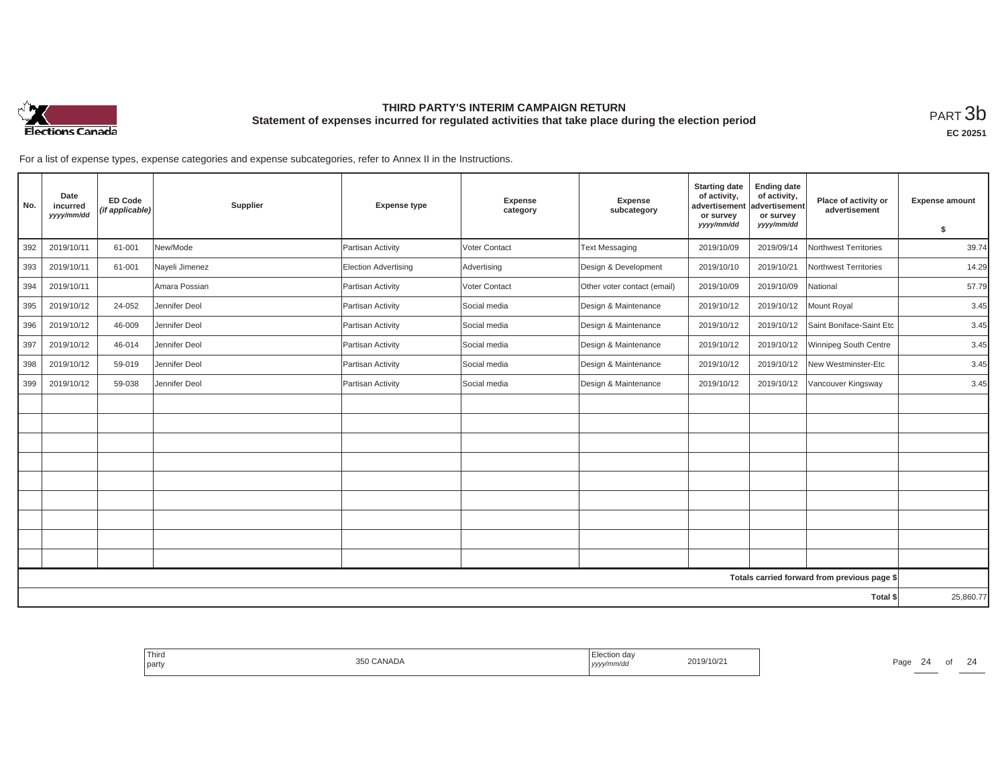

| No.                                          | Date<br>incurred<br>yyyy/mm/dd | <b>ED Code</b><br>(if applicable) | Supplier       | <b>Expense type</b>         | <b>Expense</b><br>category | <b>Expense</b><br>subcategory | <b>Starting date</b><br>of activity,<br>advertisement<br>or survey<br>yyyy/mm/dd | <b>Ending date</b><br>of activity,<br>advertisement<br>or survey<br>yyyy/mm/dd | Place of activity or<br>advertisement | <b>Expense amount</b><br>s. |
|----------------------------------------------|--------------------------------|-----------------------------------|----------------|-----------------------------|----------------------------|-------------------------------|----------------------------------------------------------------------------------|--------------------------------------------------------------------------------|---------------------------------------|-----------------------------|
| 392                                          | 2019/10/11                     | 61-001                            | New/Mode       | Partisan Activity           | Voter Contact              | <b>Text Messaging</b>         | 2019/10/09                                                                       | 2019/09/14                                                                     | Northwest Territories                 | 39.74                       |
| 393                                          | 2019/10/11                     | 61-001                            | Nayeli Jimenez | <b>Election Advertising</b> | Advertising                | Design & Development          | 2019/10/10                                                                       | 2019/10/21                                                                     | Northwest Territories                 | 14.29                       |
| 394                                          | 2019/10/11                     |                                   | Amara Possian  | Partisan Activity           | Voter Contact              | Other voter contact (email)   | 2019/10/09                                                                       | 2019/10/09                                                                     | National                              | 57.79                       |
| 395                                          | 2019/10/12                     | 24-052                            | Jennifer Deol  | Partisan Activity           | Social media               | Design & Maintenance          | 2019/10/12                                                                       | 2019/10/12                                                                     | Mount Royal                           | 3.45                        |
| 396                                          | 2019/10/12                     | 46-009                            | Jennifer Deol  | Partisan Activity           | Social media               | Design & Maintenance          | 2019/10/12                                                                       | 2019/10/12                                                                     | Saint Boniface-Saint Etc              | 3.45                        |
| 397                                          | 2019/10/12                     | 46-014                            | Jennifer Deol  | Partisan Activity           | Social media               | Design & Maintenance          | 2019/10/12                                                                       | 2019/10/12                                                                     | Winnipeg South Centre                 | 3.45                        |
| 398                                          | 2019/10/12                     | 59-019                            | Jennifer Deol  | Partisan Activity           | Social media               | Design & Maintenance          | 2019/10/12                                                                       | 2019/10/12                                                                     | New Westminster-Etc                   | 3.45                        |
| 399                                          | 2019/10/12                     | 59-038                            | Jennifer Deol  | Partisan Activity           | Social media               | Design & Maintenance          | 2019/10/12                                                                       | 2019/10/12                                                                     | Vancouver Kingsway                    | 3.45                        |
|                                              |                                |                                   |                |                             |                            |                               |                                                                                  |                                                                                |                                       |                             |
|                                              |                                |                                   |                |                             |                            |                               |                                                                                  |                                                                                |                                       |                             |
|                                              |                                |                                   |                |                             |                            |                               |                                                                                  |                                                                                |                                       |                             |
|                                              |                                |                                   |                |                             |                            |                               |                                                                                  |                                                                                |                                       |                             |
|                                              |                                |                                   |                |                             |                            |                               |                                                                                  |                                                                                |                                       |                             |
|                                              |                                |                                   |                |                             |                            |                               |                                                                                  |                                                                                |                                       |                             |
|                                              |                                |                                   |                |                             |                            |                               |                                                                                  |                                                                                |                                       |                             |
|                                              |                                |                                   |                |                             |                            |                               |                                                                                  |                                                                                |                                       |                             |
|                                              |                                |                                   |                |                             |                            |                               |                                                                                  |                                                                                |                                       |                             |
| Totals carried forward from previous page \$ |                                |                                   |                |                             |                            |                               |                                                                                  |                                                                                |                                       |                             |
| Total \$                                     |                                |                                   |                |                             |                            |                               | 25,860.77                                                                        |                                                                                |                                       |                             |

| <b>Third</b><br>∩ CANADA<br>550.<br>party | Election day<br>1. HH<br>2019/10/21<br>yyyy/mm/dd | Page<br>24 |
|-------------------------------------------|---------------------------------------------------|------------|
|-------------------------------------------|---------------------------------------------------|------------|